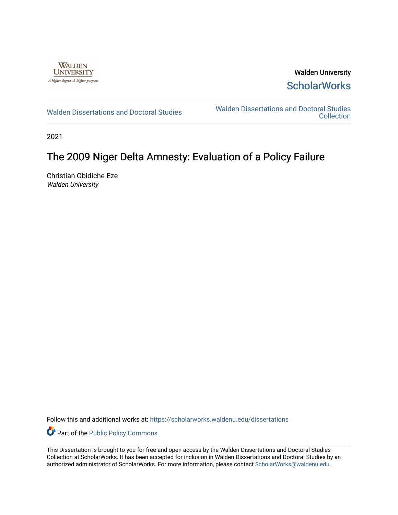

Walden University **ScholarWorks** 

[Walden Dissertations and Doctoral Studies](https://scholarworks.waldenu.edu/dissertations) Walden Dissertations and Doctoral Studies **Collection** 

2021

# The 2009 Niger Delta Amnesty: Evaluation of a Policy Failure

Christian Obidiche Eze Walden University

Follow this and additional works at: [https://scholarworks.waldenu.edu/dissertations](https://scholarworks.waldenu.edu/dissertations?utm_source=scholarworks.waldenu.edu%2Fdissertations%2F11067&utm_medium=PDF&utm_campaign=PDFCoverPages)

Part of the [Public Policy Commons](http://network.bepress.com/hgg/discipline/400?utm_source=scholarworks.waldenu.edu%2Fdissertations%2F11067&utm_medium=PDF&utm_campaign=PDFCoverPages) 

This Dissertation is brought to you for free and open access by the Walden Dissertations and Doctoral Studies Collection at ScholarWorks. It has been accepted for inclusion in Walden Dissertations and Doctoral Studies by an authorized administrator of ScholarWorks. For more information, please contact [ScholarWorks@waldenu.edu](mailto:ScholarWorks@waldenu.edu).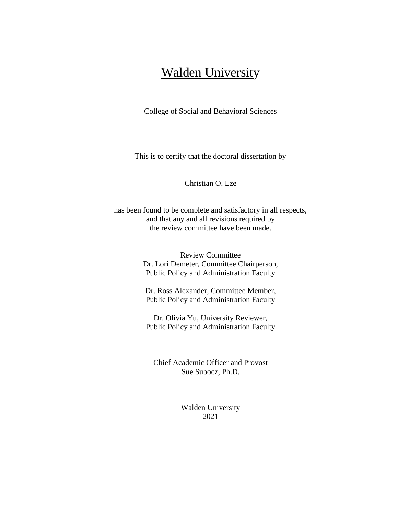# **Walden University**

College of Social and Behavioral Sciences

This is to certify that the doctoral dissertation by

Christian O. Eze

has been found to be complete and satisfactory in all respects, and that any and all revisions required by the review committee have been made.

> Review Committee Dr. Lori Demeter, Committee Chairperson, Public Policy and Administration Faculty

Dr. Ross Alexander, Committee Member, Public Policy and Administration Faculty

Dr. Olivia Yu, University Reviewer, Public Policy and Administration Faculty

Chief Academic Officer and Provost Sue Subocz, Ph.D.

> Walden University 2021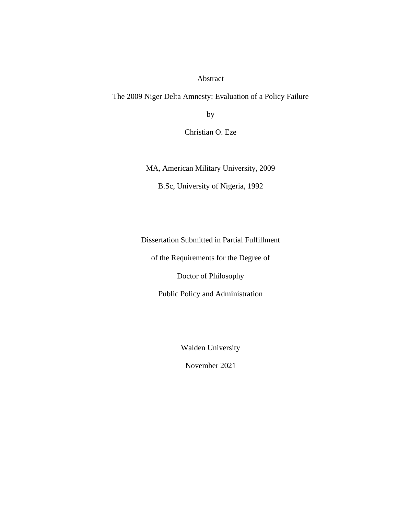Abstract

The 2009 Niger Delta Amnesty: Evaluation of a Policy Failure

by

Christian O. Eze

MA, American Military University, 2009

B.Sc, University of Nigeria, 1992

Dissertation Submitted in Partial Fulfillment

of the Requirements for the Degree of

Doctor of Philosophy

Public Policy and Administration

Walden University

November 2021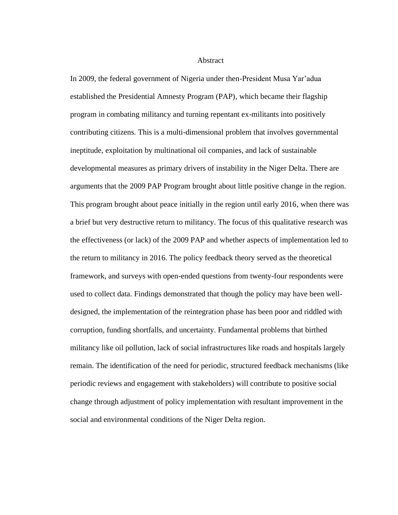Abstract

In 2009, the federal government of Nigeria under then-President Musa Yar'adua established the Presidential Amnesty Program (PAP), which became their flagship program in combating militancy and turning repentant ex-militants into positively contributing citizens. This is a multi-dimensional problem that involves governmental ineptitude, exploitation by multinational oil companies, and lack of sustainable developmental measures as primary drivers of instability in the Niger Delta. There are arguments that the 2009 PAP Program brought about little positive change in the region. This program brought about peace initially in the region until early 2016, when there was a brief but very destructive return to militancy. The focus of this qualitative research was the effectiveness (or lack) of the 2009 PAP and whether aspects of implementation led to the return to militancy in 2016. The policy feedback theory served as the theoretical framework, and surveys with open-ended questions from twenty-four respondents were used to collect data. Findings demonstrated that though the policy may have been welldesigned, the implementation of the reintegration phase has been poor and riddled with corruption, funding shortfalls, and uncertainty. Fundamental problems that birthed militancy like oil pollution, lack of social infrastructures like roads and hospitals largely remain. The identification of the need for periodic, structured feedback mechanisms (like periodic reviews and engagement with stakeholders) will contribute to positive social change through adjustment of policy implementation with resultant improvement in the social and environmental conditions of the Niger Delta region.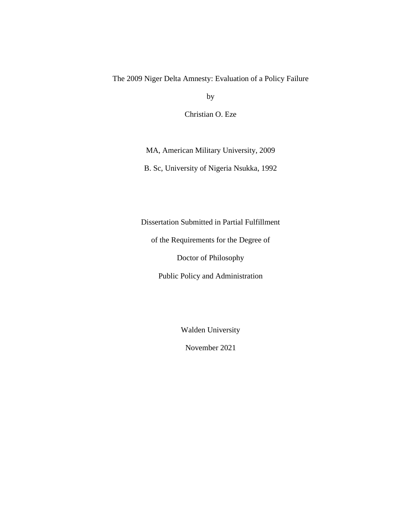# The 2009 Niger Delta Amnesty: Evaluation of a Policy Failure

by

Christian O. Eze

MA, American Military University, 2009

B. Sc, University of Nigeria Nsukka, 1992

Dissertation Submitted in Partial Fulfillment

of the Requirements for the Degree of

Doctor of Philosophy

Public Policy and Administration

Walden University

November 2021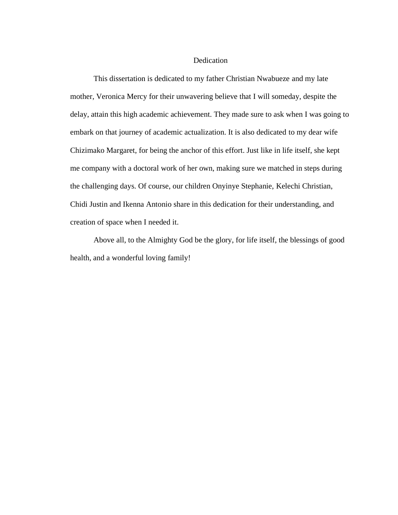# Dedication

This dissertation is dedicated to my father Christian Nwabueze and my late mother, Veronica Mercy for their unwavering believe that I will someday, despite the delay, attain this high academic achievement. They made sure to ask when I was going to embark on that journey of academic actualization. It is also dedicated to my dear wife Chizimako Margaret, for being the anchor of this effort. Just like in life itself, she kept me company with a doctoral work of her own, making sure we matched in steps during the challenging days. Of course, our children Onyinye Stephanie, Kelechi Christian, Chidi Justin and Ikenna Antonio share in this dedication for their understanding, and creation of space when I needed it.

Above all, to the Almighty God be the glory, for life itself, the blessings of good health, and a wonderful loving family!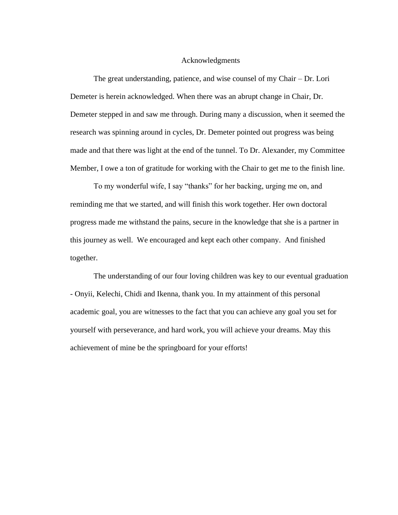# Acknowledgments

The great understanding, patience, and wise counsel of my Chair – Dr. Lori Demeter is herein acknowledged. When there was an abrupt change in Chair, Dr. Demeter stepped in and saw me through. During many a discussion, when it seemed the research was spinning around in cycles, Dr. Demeter pointed out progress was being made and that there was light at the end of the tunnel. To Dr. Alexander, my Committee Member, I owe a ton of gratitude for working with the Chair to get me to the finish line.

To my wonderful wife, I say "thanks" for her backing, urging me on, and reminding me that we started, and will finish this work together. Her own doctoral progress made me withstand the pains, secure in the knowledge that she is a partner in this journey as well. We encouraged and kept each other company. And finished together.

The understanding of our four loving children was key to our eventual graduation - Onyii, Kelechi, Chidi and Ikenna, thank you. In my attainment of this personal academic goal, you are witnesses to the fact that you can achieve any goal you set for yourself with perseverance, and hard work, you will achieve your dreams. May this achievement of mine be the springboard for your efforts!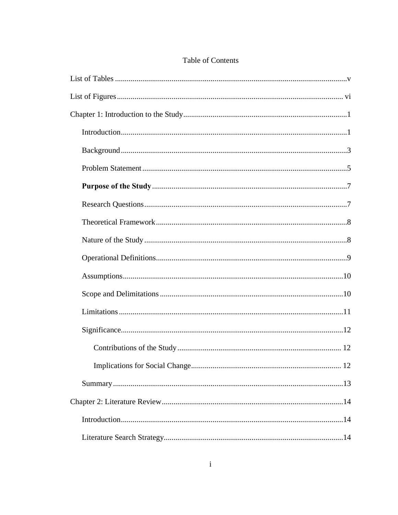# Table of Contents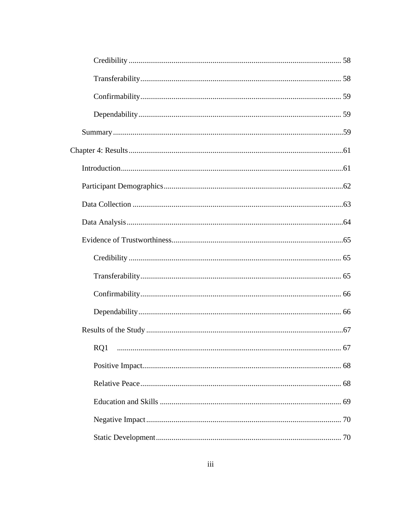| RQ1 |
|-----|
|     |
|     |
|     |
|     |
|     |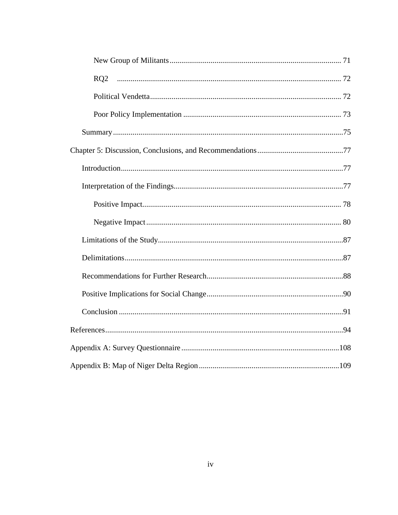| RQ2 |
|-----|
|     |
|     |
|     |
|     |
|     |
|     |
|     |
|     |
|     |
|     |
|     |
|     |
|     |
|     |
|     |
|     |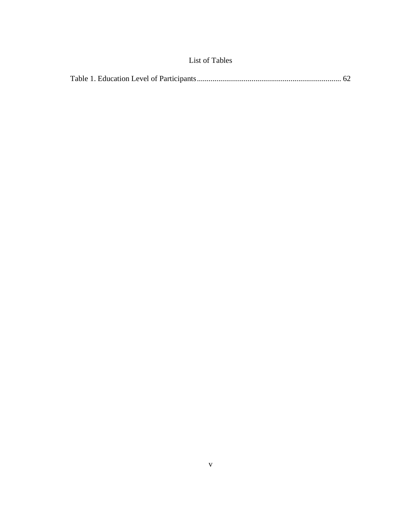# List of Tables

<span id="page-11-0"></span>

|--|--|--|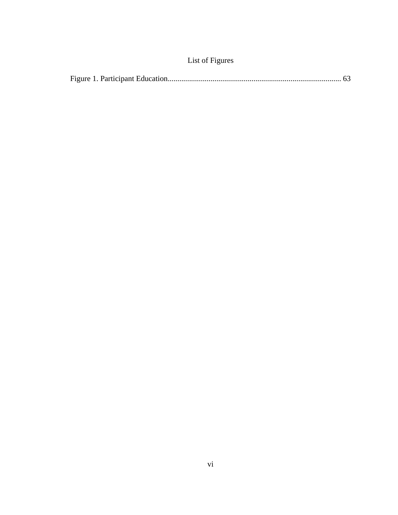|  |  |  | List of Figures |
|--|--|--|-----------------|
|--|--|--|-----------------|

<span id="page-12-0"></span>

|--|--|--|--|--|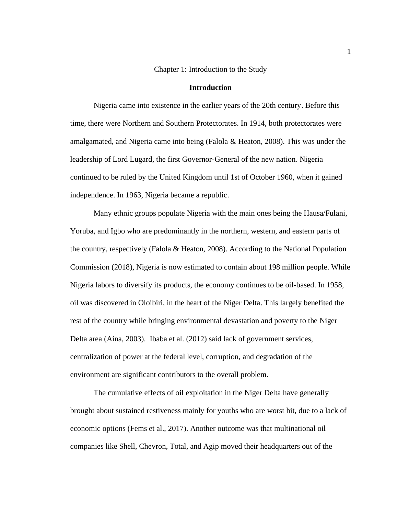# Chapter 1: Introduction to the Study

# **Introduction**

<span id="page-13-1"></span><span id="page-13-0"></span>Nigeria came into existence in the earlier years of the 20th century. Before this time, there were Northern and Southern Protectorates. In 1914, both protectorates were amalgamated, and Nigeria came into being (Falola & Heaton, 2008). This was under the leadership of Lord Lugard, the first Governor-General of the new nation. Nigeria continued to be ruled by the United Kingdom until 1st of October 1960, when it gained independence. In 1963, Nigeria became a republic.

Many ethnic groups populate Nigeria with the main ones being the Hausa/Fulani, Yoruba, and Igbo who are predominantly in the northern, western, and eastern parts of the country, respectively (Falola & Heaton, 2008). According to the National Population Commission (2018), Nigeria is now estimated to contain about 198 million people. While Nigeria labors to diversify its products, the economy continues to be oil-based. In 1958, oil was discovered in Oloibiri, in the heart of the Niger Delta. This largely benefited the rest of the country while bringing environmental devastation and poverty to the Niger Delta area (Aina, 2003). Ibaba et al. (2012) said lack of government services, centralization of power at the federal level, corruption, and degradation of the environment are significant contributors to the overall problem.

The cumulative effects of oil exploitation in the Niger Delta have generally brought about sustained restiveness mainly for youths who are worst hit, due to a lack of economic options (Fems et al., 2017). Another outcome was that multinational oil companies like Shell, Chevron, Total, and Agip moved their headquarters out of the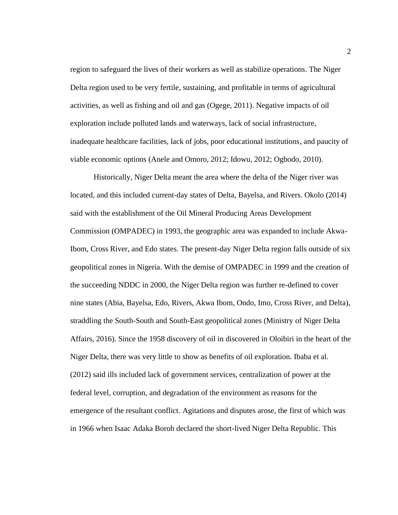region to safeguard the lives of their workers as well as stabilize operations. The Niger Delta region used to be very fertile, sustaining, and profitable in terms of agricultural activities, as well as fishing and oil and gas (Ogege, 2011). Negative impacts of oil exploration include polluted lands and waterways, lack of social infrastructure, inadequate healthcare facilities, lack of jobs, poor educational institutions, and paucity of viable economic options (Anele and Omoro, 2012; Idowu, 2012; Ogbodo, 2010).

Historically, Niger Delta meant the area where the delta of the Niger river was located, and this included current-day states of Delta, Bayelsa, and Rivers. Okolo (2014) said with the establishment of the Oil Mineral Producing Areas Development Commission (OMPADEC) in 1993, the geographic area was expanded to include Akwa-Ibom, Cross River, and Edo states. The present-day Niger Delta region falls outside of six geopolitical zones in Nigeria. With the demise of OMPADEC in 1999 and the creation of the succeeding NDDC in 2000, the Niger Delta region was further re-defined to cover nine states (Abia, Bayelsa, Edo, Rivers, Akwa Ibom, Ondo, Imo, Cross River, and Delta), straddling the South-South and South-East geopolitical zones (Ministry of Niger Delta Affairs, 2016). Since the 1958 discovery of oil in discovered in Oloibiri in the heart of the Niger Delta, there was very little to show as benefits of oil exploration. Ibaba et al. (2012) said ills included lack of government services, centralization of power at the federal level, corruption, and degradation of the environment as reasons for the emergence of the resultant conflict. Agitations and disputes arose, the first of which was in 1966 when Isaac Adaka Boroh declared the short-lived Niger Delta Republic. This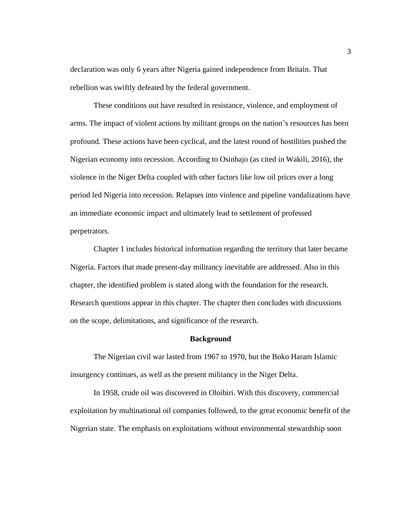declaration was only 6 years after Nigeria gained independence from Britain. That rebellion was swiftly defeated by the federal government.

These conditions out have resulted in resistance, violence, and employment of arms. The impact of violent actions by militant groups on the nation's resources has been profound. These actions have been cyclical, and the latest round of hostilities pushed the Nigerian economy into recession. According to Osinbajo (as cited in Wakili, 2016), the violence in the Niger Delta coupled with other factors like low oil prices over a long period led Nigeria into recession. Relapses into violence and pipeline vandalizations have an immediate economic impact and ultimately lead to settlement of professed perpetrators.

Chapter 1 includes historical information regarding the territory that later became Nigeria. Factors that made present-day militancy inevitable are addressed. Also in this chapter, the identified problem is stated along with the foundation for the research. Research questions appear in this chapter. The chapter then concludes with discussions on the scope, delimitations, and significance of the research.

#### **Background**

<span id="page-15-0"></span>The Nigerian civil war lasted from 1967 to 1970, but the Boko Haram Islamic insurgency continues, as well as the present militancy in the Niger Delta.

In 1958, crude oil was discovered in Oloibiri. With this discovery, commercial exploitation by multinational oil companies followed, to the great economic benefit of the Nigerian state. The emphasis on exploitations without environmental stewardship soon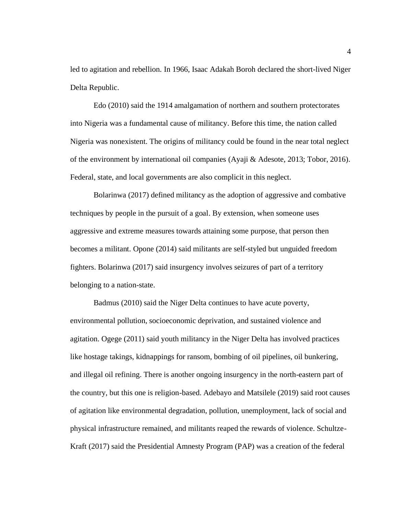led to agitation and rebellion. In 1966, Isaac Adakah Boroh declared the short-lived Niger Delta Republic.

Edo (2010) said the 1914 amalgamation of northern and southern protectorates into Nigeria was a fundamental cause of militancy. Before this time, the nation called Nigeria was nonexistent. The origins of militancy could be found in the near total neglect of the environment by international oil companies (Ayaji & Adesote, 2013; Tobor, 2016). Federal, state, and local governments are also complicit in this neglect.

Bolarinwa (2017) defined militancy as the adoption of aggressive and combative techniques by people in the pursuit of a goal. By extension, when someone uses aggressive and extreme measures towards attaining some purpose, that person then becomes a militant. Opone (2014) said militants are self-styled but unguided freedom fighters. Bolarinwa (2017) said insurgency involves seizures of part of a territory belonging to a nation-state.

Badmus (2010) said the Niger Delta continues to have acute poverty, environmental pollution, socioeconomic deprivation, and sustained violence and agitation. Ogege (2011) said youth militancy in the Niger Delta has involved practices like hostage takings, kidnappings for ransom, bombing of oil pipelines, oil bunkering, and illegal oil refining. There is another ongoing insurgency in the north-eastern part of the country, but this one is religion-based. Adebayo and Matsilele (2019) said root causes of agitation like environmental degradation, pollution, unemployment, lack of social and physical infrastructure remained, and militants reaped the rewards of violence. Schultze-Kraft (2017) said the Presidential Amnesty Program (PAP) was a creation of the federal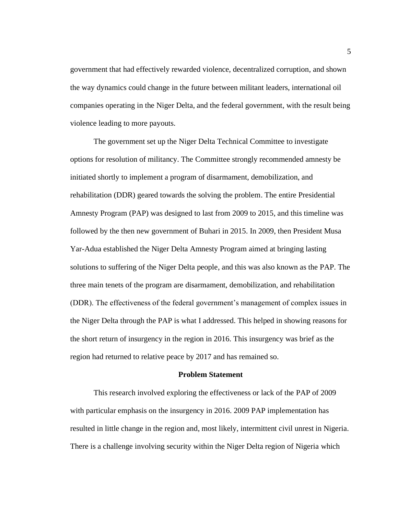government that had effectively rewarded violence, decentralized corruption, and shown the way dynamics could change in the future between militant leaders, international oil companies operating in the Niger Delta, and the federal government, with the result being violence leading to more payouts.

The government set up the Niger Delta Technical Committee to investigate options for resolution of militancy. The Committee strongly recommended amnesty be initiated shortly to implement a program of disarmament, demobilization, and rehabilitation (DDR) geared towards the solving the problem. The entire Presidential Amnesty Program (PAP) was designed to last from 2009 to 2015, and this timeline was followed by the then new government of Buhari in 2015. In 2009, then President Musa Yar-Adua established the Niger Delta Amnesty Program aimed at bringing lasting solutions to suffering of the Niger Delta people, and this was also known as the PAP. The three main tenets of the program are disarmament, demobilization, and rehabilitation (DDR). The effectiveness of the federal government's management of complex issues in the Niger Delta through the PAP is what I addressed. This helped in showing reasons for the short return of insurgency in the region in 2016. This insurgency was brief as the region had returned to relative peace by 2017 and has remained so.

# **Problem Statement**

<span id="page-17-0"></span>This research involved exploring the effectiveness or lack of the PAP of 2009 with particular emphasis on the insurgency in 2016. 2009 PAP implementation has resulted in little change in the region and, most likely, intermittent civil unrest in Nigeria. There is a challenge involving security within the Niger Delta region of Nigeria which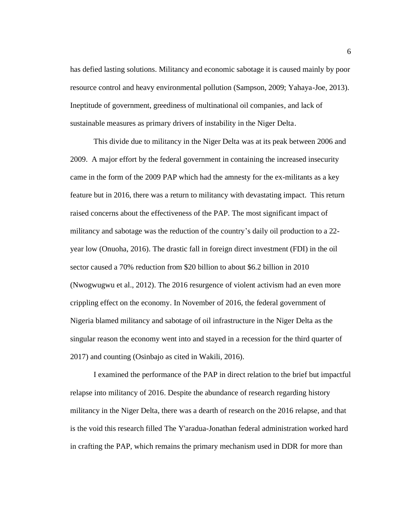has defied lasting solutions. Militancy and economic sabotage it is caused mainly by poor resource control and heavy environmental pollution (Sampson, 2009; Yahaya-Joe, 2013). Ineptitude of government, greediness of multinational oil companies, and lack of sustainable measures as primary drivers of instability in the Niger Delta.

This divide due to militancy in the Niger Delta was at its peak between 2006 and 2009. A major effort by the federal government in containing the increased insecurity came in the form of the 2009 PAP which had the amnesty for the ex-militants as a key feature but in 2016, there was a return to militancy with devastating impact. This return raised concerns about the effectiveness of the PAP. The most significant impact of militancy and sabotage was the reduction of the country's daily oil production to a 22 year low (Onuoha, 2016). The drastic fall in foreign direct investment (FDI) in the oil sector caused a 70% reduction from \$20 billion to about \$6.2 billion in 2010 (Nwogwugwu et al., 2012). The 2016 resurgence of violent activism had an even more crippling effect on the economy. In November of 2016, the federal government of Nigeria blamed militancy and sabotage of oil infrastructure in the Niger Delta as the singular reason the economy went into and stayed in a recession for the third quarter of 2017) and counting (Osinbajo as cited in Wakili, 2016).

I examined the performance of the PAP in direct relation to the brief but impactful relapse into militancy of 2016. Despite the abundance of research regarding history militancy in the Niger Delta, there was a dearth of research on the 2016 relapse, and that is the void this research filled The Y'aradua-Jonathan federal administration worked hard in crafting the PAP, which remains the primary mechanism used in DDR for more than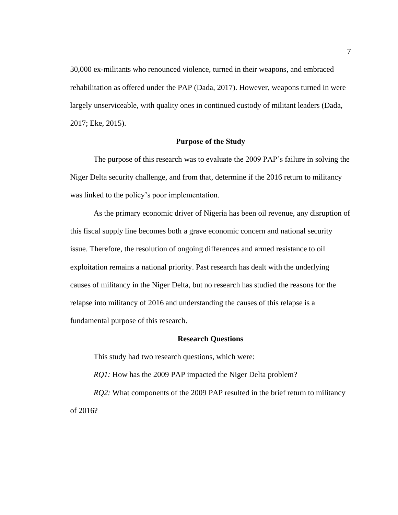30,000 ex-militants who renounced violence, turned in their weapons, and embraced rehabilitation as offered under the PAP (Dada, 2017). However, weapons turned in were largely unserviceable, with quality ones in continued custody of militant leaders (Dada, 2017; Eke, 2015).

# **Purpose of the Study**

<span id="page-19-0"></span>The purpose of this research was to evaluate the 2009 PAP's failure in solving the Niger Delta security challenge, and from that, determine if the 2016 return to militancy was linked to the policy's poor implementation.

As the primary economic driver of Nigeria has been oil revenue, any disruption of this fiscal supply line becomes both a grave economic concern and national security issue. Therefore, the resolution of ongoing differences and armed resistance to oil exploitation remains a national priority. Past research has dealt with the underlying causes of militancy in the Niger Delta, but no research has studied the reasons for the relapse into militancy of 2016 and understanding the causes of this relapse is a fundamental purpose of this research.

# **Research Questions**

<span id="page-19-1"></span>This study had two research questions, which were:

*RQ1:* How has the 2009 PAP impacted the Niger Delta problem?

*RQ2:* What components of the 2009 PAP resulted in the brief return to militancy of 2016?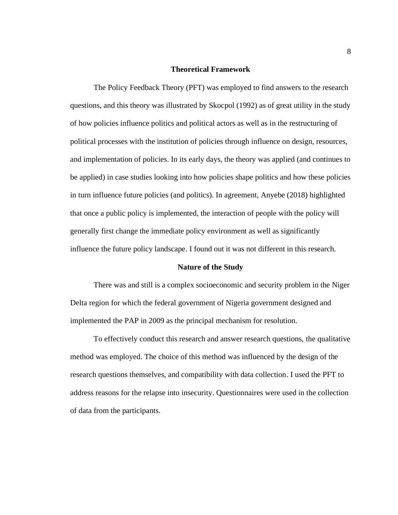# **Theoretical Framework**

<span id="page-20-0"></span>The Policy Feedback Theory (PFT) was employed to find answers to the research questions, and this theory was illustrated by Skocpol (1992) as of great utility in the study of how policies influence politics and political actors as well as in the restructuring of political processes with the institution of policies through influence on design, resources, and implementation of policies. In its early days, the theory was applied (and continues to be applied) in case studies looking into how policies shape politics and how these policies in turn influence future policies (and politics). In agreement, Anyebe (2018) highlighted that once a public policy is implemented, the interaction of people with the policy will generally first change the immediate policy environment as well as significantly influence the future policy landscape. I found out it was not different in this research.

## **Nature of the Study**

<span id="page-20-1"></span>There was and still is a complex socioeconomic and security problem in the Niger Delta region for which the federal government of Nigeria government designed and implemented the PAP in 2009 as the principal mechanism for resolution.

To effectively conduct this research and answer research questions, the qualitative method was employed. The choice of this method was influenced by the design of the research questions themselves, and compatibility with data collection. I used the PFT to address reasons for the relapse into insecurity. Questionnaires were used in the collection of data from the participants.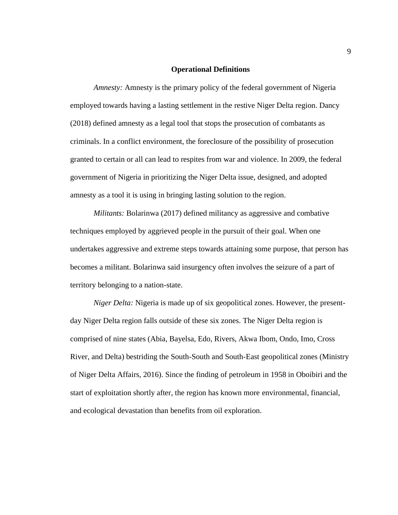# **Operational Definitions**

<span id="page-21-0"></span>*Amnesty:* Amnesty is the primary policy of the federal government of Nigeria employed towards having a lasting settlement in the restive Niger Delta region. Dancy (2018) defined amnesty as a legal tool that stops the prosecution of combatants as criminals. In a conflict environment, the foreclosure of the possibility of prosecution granted to certain or all can lead to respites from war and violence. In 2009, the federal government of Nigeria in prioritizing the Niger Delta issue, designed, and adopted amnesty as a tool it is using in bringing lasting solution to the region.

*Militants:* Bolarinwa (2017) defined militancy as aggressive and combative techniques employed by aggrieved people in the pursuit of their goal. When one undertakes aggressive and extreme steps towards attaining some purpose, that person has becomes a militant. Bolarinwa said insurgency often involves the seizure of a part of territory belonging to a nation-state.

*Niger Delta:* Nigeria is made up of six geopolitical zones. However, the presentday Niger Delta region falls outside of these six zones. The Niger Delta region is comprised of nine states (Abia, Bayelsa, Edo, Rivers, Akwa Ibom, Ondo, Imo, Cross River, and Delta) bestriding the South-South and South-East geopolitical zones (Ministry of Niger Delta Affairs, 2016). Since the finding of petroleum in 1958 in Oboibiri and the start of exploitation shortly after, the region has known more environmental, financial, and ecological devastation than benefits from oil exploration.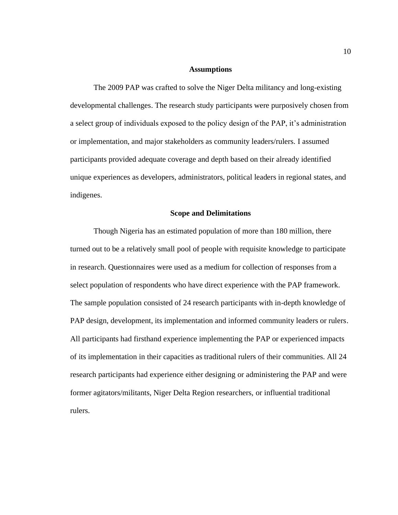# **Assumptions**

<span id="page-22-0"></span>The 2009 PAP was crafted to solve the Niger Delta militancy and long-existing developmental challenges. The research study participants were purposively chosen from a select group of individuals exposed to the policy design of the PAP, it's administration or implementation, and major stakeholders as community leaders/rulers. I assumed participants provided adequate coverage and depth based on their already identified unique experiences as developers, administrators, political leaders in regional states, and indigenes.

#### **Scope and Delimitations**

<span id="page-22-1"></span>Though Nigeria has an estimated population of more than 180 million, there turned out to be a relatively small pool of people with requisite knowledge to participate in research. Questionnaires were used as a medium for collection of responses from a select population of respondents who have direct experience with the PAP framework. The sample population consisted of 24 research participants with in-depth knowledge of PAP design, development, its implementation and informed community leaders or rulers. All participants had firsthand experience implementing the PAP or experienced impacts of its implementation in their capacities as traditional rulers of their communities. All 24 research participants had experience either designing or administering the PAP and were former agitators/militants, Niger Delta Region researchers, or influential traditional rulers.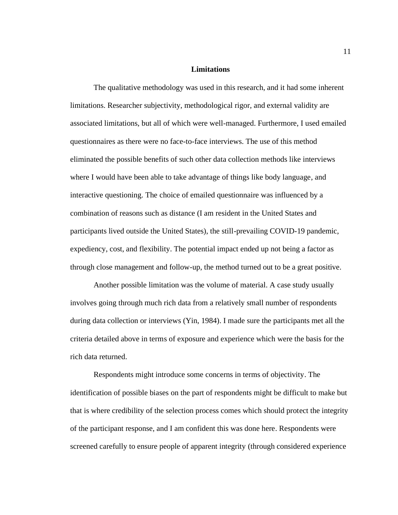# **Limitations**

<span id="page-23-0"></span>The qualitative methodology was used in this research, and it had some inherent limitations. Researcher subjectivity, methodological rigor, and external validity are associated limitations, but all of which were well-managed. Furthermore, I used emailed questionnaires as there were no face-to-face interviews. The use of this method eliminated the possible benefits of such other data collection methods like interviews where I would have been able to take advantage of things like body language, and interactive questioning. The choice of emailed questionnaire was influenced by a combination of reasons such as distance (I am resident in the United States and participants lived outside the United States), the still-prevailing COVID-19 pandemic, expediency, cost, and flexibility. The potential impact ended up not being a factor as through close management and follow-up, the method turned out to be a great positive.

Another possible limitation was the volume of material. A case study usually involves going through much rich data from a relatively small number of respondents during data collection or interviews (Yin, 1984). I made sure the participants met all the criteria detailed above in terms of exposure and experience which were the basis for the rich data returned.

Respondents might introduce some concerns in terms of objectivity. The identification of possible biases on the part of respondents might be difficult to make but that is where credibility of the selection process comes which should protect the integrity of the participant response, and I am confident this was done here. Respondents were screened carefully to ensure people of apparent integrity (through considered experience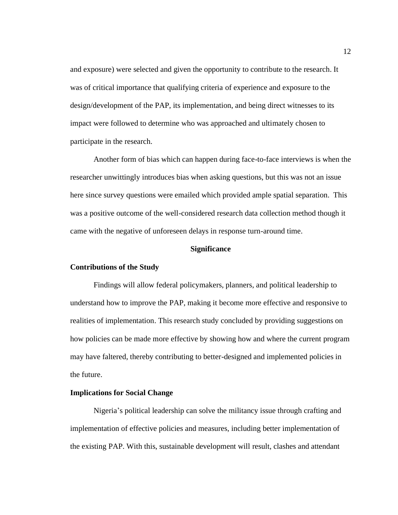and exposure) were selected and given the opportunity to contribute to the research. It was of critical importance that qualifying criteria of experience and exposure to the design/development of the PAP, its implementation, and being direct witnesses to its impact were followed to determine who was approached and ultimately chosen to participate in the research.

Another form of bias which can happen during face-to-face interviews is when the researcher unwittingly introduces bias when asking questions, but this was not an issue here since survey questions were emailed which provided ample spatial separation. This was a positive outcome of the well-considered research data collection method though it came with the negative of unforeseen delays in response turn-around time.

# **Significance**

## <span id="page-24-1"></span><span id="page-24-0"></span>**Contributions of the Study**

Findings will allow federal policymakers, planners, and political leadership to understand how to improve the PAP, making it become more effective and responsive to realities of implementation. This research study concluded by providing suggestions on how policies can be made more effective by showing how and where the current program may have faltered, thereby contributing to better-designed and implemented policies in the future.

# <span id="page-24-2"></span>**Implications for Social Change**

Nigeria's political leadership can solve the militancy issue through crafting and implementation of effective policies and measures, including better implementation of the existing PAP. With this, sustainable development will result, clashes and attendant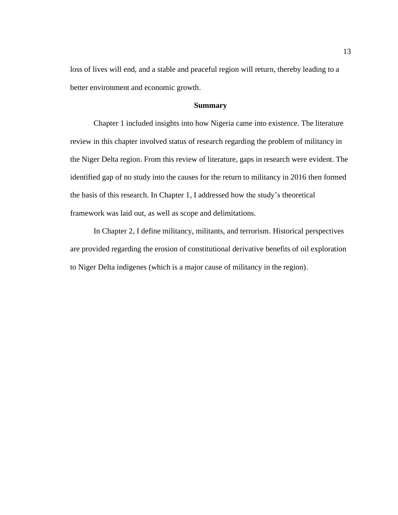loss of lives will end, and a stable and peaceful region will return, thereby leading to a better environment and economic growth.

# **Summary**

<span id="page-25-0"></span>Chapter 1 included insights into how Nigeria came into existence. The literature review in this chapter involved status of research regarding the problem of militancy in the Niger Delta region. From this review of literature, gaps in research were evident. The identified gap of no study into the causes for the return to militancy in 2016 then formed the basis of this research. In Chapter 1, I addressed how the study's theoretical framework was laid out, as well as scope and delimitations.

In Chapter 2, I define militancy, militants, and terrorism. Historical perspectives are provided regarding the erosion of constitutional derivative benefits of oil exploration to Niger Delta indigenes (which is a major cause of militancy in the region).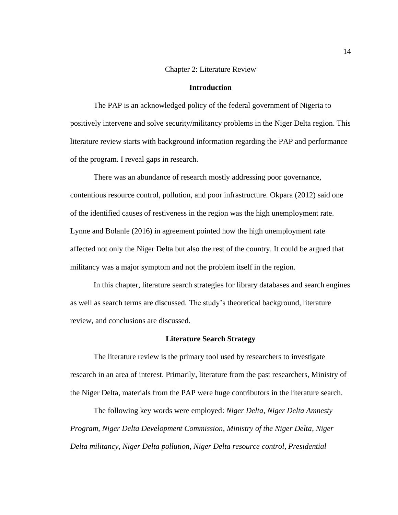# Chapter 2: Literature Review

# **Introduction**

<span id="page-26-1"></span><span id="page-26-0"></span>The PAP is an acknowledged policy of the federal government of Nigeria to positively intervene and solve security/militancy problems in the Niger Delta region. This literature review starts with background information regarding the PAP and performance of the program. I reveal gaps in research.

There was an abundance of research mostly addressing poor governance, contentious resource control, pollution, and poor infrastructure. Okpara (2012) said one of the identified causes of restiveness in the region was the high unemployment rate. Lynne and Bolanle (2016) in agreement pointed how the high unemployment rate affected not only the Niger Delta but also the rest of the country. It could be argued that militancy was a major symptom and not the problem itself in the region.

In this chapter, literature search strategies for library databases and search engines as well as search terms are discussed. The study's theoretical background, literature review, and conclusions are discussed.

#### **Literature Search Strategy**

<span id="page-26-2"></span>The literature review is the primary tool used by researchers to investigate research in an area of interest. Primarily, literature from the past researchers, Ministry of the Niger Delta, materials from the PAP were huge contributors in the literature search.

The following key words were employed: *Niger Delta*, *Niger Delta Amnesty Program*, *Niger Delta Development Commission*, *Ministry of the Niger Delta*, *Niger Delta militancy*, *Niger Delta pollution*, *Niger Delta resource control, Presidential*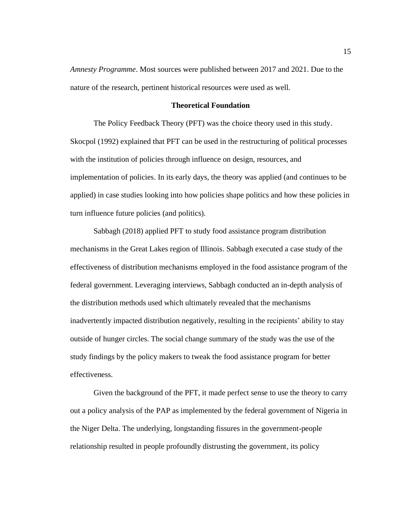*Amnesty Programme*. Most sources were published between 2017 and 2021. Due to the nature of the research, pertinent historical resources were used as well.

# **Theoretical Foundation**

<span id="page-27-0"></span>The Policy Feedback Theory (PFT) was the choice theory used in this study. Skocpol (1992) explained that PFT can be used in the restructuring of political processes with the institution of policies through influence on design, resources, and implementation of policies. In its early days, the theory was applied (and continues to be applied) in case studies looking into how policies shape politics and how these policies in turn influence future policies (and politics).

Sabbagh (2018) applied PFT to study food assistance program distribution mechanisms in the Great Lakes region of Illinois. Sabbagh executed a case study of the effectiveness of distribution mechanisms employed in the food assistance program of the federal government. Leveraging interviews, Sabbagh conducted an in-depth analysis of the distribution methods used which ultimately revealed that the mechanisms inadvertently impacted distribution negatively, resulting in the recipients' ability to stay outside of hunger circles. The social change summary of the study was the use of the study findings by the policy makers to tweak the food assistance program for better effectiveness.

Given the background of the PFT, it made perfect sense to use the theory to carry out a policy analysis of the PAP as implemented by the federal government of Nigeria in the Niger Delta. The underlying, longstanding fissures in the government-people relationship resulted in people profoundly distrusting the government, its policy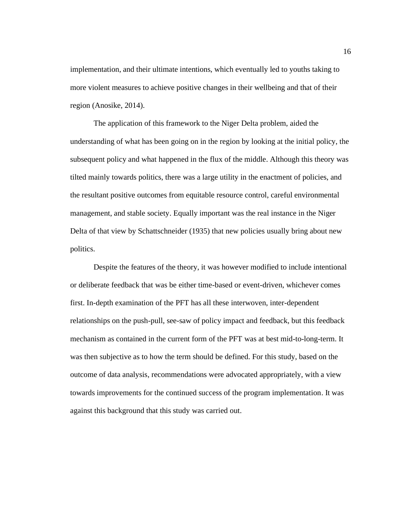implementation, and their ultimate intentions, which eventually led to youths taking to more violent measures to achieve positive changes in their wellbeing and that of their region (Anosike, 2014).

The application of this framework to the Niger Delta problem, aided the understanding of what has been going on in the region by looking at the initial policy, the subsequent policy and what happened in the flux of the middle. Although this theory was tilted mainly towards politics, there was a large utility in the enactment of policies, and the resultant positive outcomes from equitable resource control, careful environmental management, and stable society. Equally important was the real instance in the Niger Delta of that view by Schattschneider (1935) that new policies usually bring about new politics.

Despite the features of the theory, it was however modified to include intentional or deliberate feedback that was be either time-based or event-driven, whichever comes first. In-depth examination of the PFT has all these interwoven, inter-dependent relationships on the push-pull, see-saw of policy impact and feedback, but this feedback mechanism as contained in the current form of the PFT was at best mid-to-long-term. It was then subjective as to how the term should be defined. For this study, based on the outcome of data analysis, recommendations were advocated appropriately, with a view towards improvements for the continued success of the program implementation. It was against this background that this study was carried out.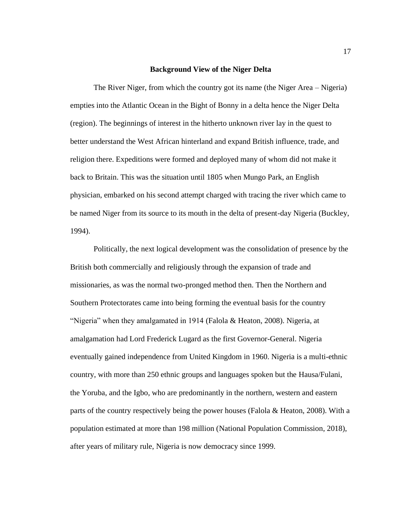# **Background View of the Niger Delta**

<span id="page-29-0"></span>The River Niger, from which the country got its name (the Niger Area – Nigeria) empties into the Atlantic Ocean in the Bight of Bonny in a delta hence the Niger Delta (region). The beginnings of interest in the hitherto unknown river lay in the quest to better understand the West African hinterland and expand British influence, trade, and religion there. Expeditions were formed and deployed many of whom did not make it back to Britain. This was the situation until 1805 when Mungo Park, an English physician, embarked on his second attempt charged with tracing the river which came to be named Niger from its source to its mouth in the delta of present-day Nigeria (Buckley, 1994).

Politically, the next logical development was the consolidation of presence by the British both commercially and religiously through the expansion of trade and missionaries, as was the normal two-pronged method then. Then the Northern and Southern Protectorates came into being forming the eventual basis for the country "Nigeria" when they amalgamated in 1914 (Falola & Heaton, 2008). Nigeria, at amalgamation had Lord Frederick Lugard as the first Governor-General. Nigeria eventually gained independence from United Kingdom in 1960. Nigeria is a multi-ethnic country, with more than 250 ethnic groups and languages spoken but the Hausa/Fulani, the Yoruba, and the Igbo, who are predominantly in the northern, western and eastern parts of the country respectively being the power houses (Falola & Heaton, 2008). With a population estimated at more than 198 million (National Population Commission, 2018), after years of military rule, Nigeria is now democracy since 1999.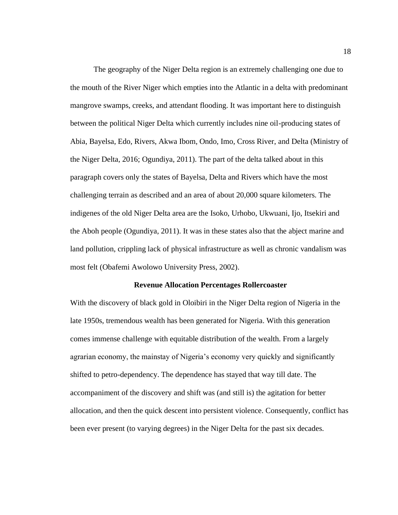The geography of the Niger Delta region is an extremely challenging one due to the mouth of the River Niger which empties into the Atlantic in a delta with predominant mangrove swamps, creeks, and attendant flooding. It was important here to distinguish between the political Niger Delta which currently includes nine oil-producing states of Abia, Bayelsa, Edo, Rivers, Akwa Ibom, Ondo, Imo, Cross River, and Delta (Ministry of the Niger Delta, 2016; Ogundiya, 2011). The part of the delta talked about in this paragraph covers only the states of Bayelsa, Delta and Rivers which have the most challenging terrain as described and an area of about 20,000 square kilometers. The indigenes of the old Niger Delta area are the Isoko, Urhobo, Ukwuani, Ijo, Itsekiri and the Aboh people (Ogundiya, 2011). It was in these states also that the abject marine and land pollution, crippling lack of physical infrastructure as well as chronic vandalism was most felt (Obafemi Awolowo University Press, 2002).

#### **Revenue Allocation Percentages Rollercoaster**

<span id="page-30-0"></span>With the discovery of black gold in Oloibiri in the Niger Delta region of Nigeria in the late 1950s, tremendous wealth has been generated for Nigeria. With this generation comes immense challenge with equitable distribution of the wealth. From a largely agrarian economy, the mainstay of Nigeria's economy very quickly and significantly shifted to petro-dependency. The dependence has stayed that way till date. The accompaniment of the discovery and shift was (and still is) the agitation for better allocation, and then the quick descent into persistent violence. Consequently, conflict has been ever present (to varying degrees) in the Niger Delta for the past six decades.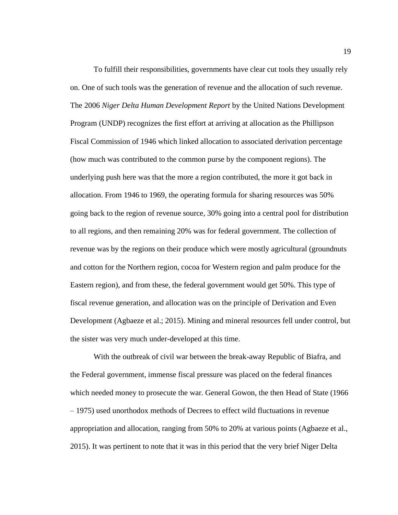To fulfill their responsibilities, governments have clear cut tools they usually rely on. One of such tools was the generation of revenue and the allocation of such revenue. The 2006 *Niger Delta Human Development Report* by the United Nations Development Program (UNDP) recognizes the first effort at arriving at allocation as the Phillipson Fiscal Commission of 1946 which linked allocation to associated derivation percentage (how much was contributed to the common purse by the component regions). The underlying push here was that the more a region contributed, the more it got back in allocation. From 1946 to 1969, the operating formula for sharing resources was 50% going back to the region of revenue source, 30% going into a central pool for distribution to all regions, and then remaining 20% was for federal government. The collection of revenue was by the regions on their produce which were mostly agricultural (groundnuts and cotton for the Northern region, cocoa for Western region and palm produce for the Eastern region), and from these, the federal government would get 50%. This type of fiscal revenue generation, and allocation was on the principle of Derivation and Even Development (Agbaeze et al.; 2015). Mining and mineral resources fell under control, but the sister was very much under-developed at this time.

With the outbreak of civil war between the break-away Republic of Biafra, and the Federal government, immense fiscal pressure was placed on the federal finances which needed money to prosecute the war. General Gowon, the then Head of State (1966 – 1975) used unorthodox methods of Decrees to effect wild fluctuations in revenue appropriation and allocation, ranging from 50% to 20% at various points (Agbaeze et al., 2015). It was pertinent to note that it was in this period that the very brief Niger Delta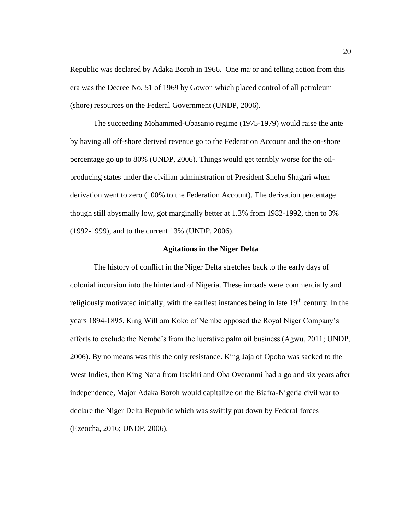Republic was declared by Adaka Boroh in 1966. One major and telling action from this era was the Decree No. 51 of 1969 by Gowon which placed control of all petroleum (shore) resources on the Federal Government (UNDP, 2006).

The succeeding Mohammed-Obasanjo regime (1975-1979) would raise the ante by having all off-shore derived revenue go to the Federation Account and the on-shore percentage go up to 80% (UNDP, 2006). Things would get terribly worse for the oilproducing states under the civilian administration of President Shehu Shagari when derivation went to zero (100% to the Federation Account). The derivation percentage though still abysmally low, got marginally better at 1.3% from 1982-1992, then to 3% (1992-1999), and to the current 13% (UNDP, 2006).

#### **Agitations in the Niger Delta**

<span id="page-32-0"></span>The history of conflict in the Niger Delta stretches back to the early days of colonial incursion into the hinterland of Nigeria. These inroads were commercially and religiously motivated initially, with the earliest instances being in late  $19<sup>th</sup>$  century. In the years 1894-1895, King William Koko of Nembe opposed the Royal Niger Company's efforts to exclude the Nembe's from the lucrative palm oil business (Agwu, 2011; UNDP, 2006). By no means was this the only resistance. King Jaja of Opobo was sacked to the West Indies, then King Nana from Itsekiri and Oba Overanmi had a go and six years after independence, Major Adaka Boroh would capitalize on the Biafra-Nigeria civil war to declare the Niger Delta Republic which was swiftly put down by Federal forces (Ezeocha, 2016; UNDP, 2006).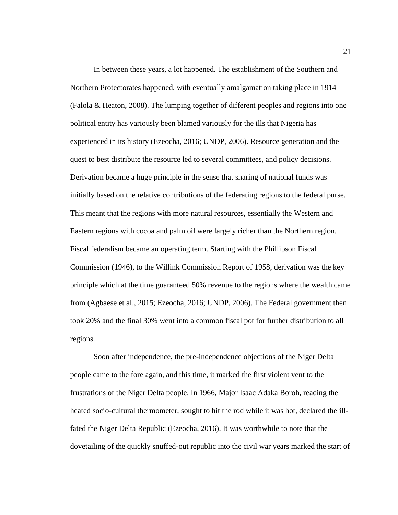In between these years, a lot happened. The establishment of the Southern and Northern Protectorates happened, with eventually amalgamation taking place in 1914 (Falola & Heaton, 2008). The lumping together of different peoples and regions into one political entity has variously been blamed variously for the ills that Nigeria has experienced in its history (Ezeocha, 2016; UNDP, 2006). Resource generation and the quest to best distribute the resource led to several committees, and policy decisions. Derivation became a huge principle in the sense that sharing of national funds was initially based on the relative contributions of the federating regions to the federal purse. This meant that the regions with more natural resources, essentially the Western and Eastern regions with cocoa and palm oil were largely richer than the Northern region. Fiscal federalism became an operating term. Starting with the Phillipson Fiscal Commission (1946), to the Willink Commission Report of 1958, derivation was the key principle which at the time guaranteed 50% revenue to the regions where the wealth came from (Agbaese et al., 2015; Ezeocha, 2016; UNDP, 2006). The Federal government then took 20% and the final 30% went into a common fiscal pot for further distribution to all regions.

Soon after independence, the pre-independence objections of the Niger Delta people came to the fore again, and this time, it marked the first violent vent to the frustrations of the Niger Delta people. In 1966, Major Isaac Adaka Boroh, reading the heated socio-cultural thermometer, sought to hit the rod while it was hot, declared the illfated the Niger Delta Republic (Ezeocha, 2016). It was worthwhile to note that the dovetailing of the quickly snuffed-out republic into the civil war years marked the start of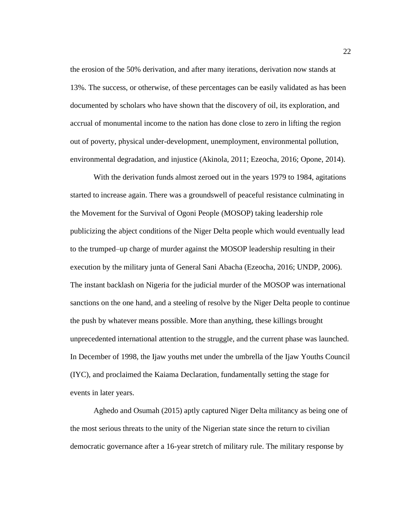the erosion of the 50% derivation, and after many iterations, derivation now stands at 13%. The success, or otherwise, of these percentages can be easily validated as has been documented by scholars who have shown that the discovery of oil, its exploration, and accrual of monumental income to the nation has done close to zero in lifting the region out of poverty, physical under-development, unemployment, environmental pollution, environmental degradation, and injustice (Akinola, 2011; Ezeocha, 2016; Opone, 2014).

With the derivation funds almost zeroed out in the years 1979 to 1984, agitations started to increase again. There was a groundswell of peaceful resistance culminating in the Movement for the Survival of Ogoni People (MOSOP) taking leadership role publicizing the abject conditions of the Niger Delta people which would eventually lead to the trumped–up charge of murder against the MOSOP leadership resulting in their execution by the military junta of General Sani Abacha (Ezeocha, 2016; UNDP, 2006). The instant backlash on Nigeria for the judicial murder of the MOSOP was international sanctions on the one hand, and a steeling of resolve by the Niger Delta people to continue the push by whatever means possible. More than anything, these killings brought unprecedented international attention to the struggle, and the current phase was launched. In December of 1998, the Ijaw youths met under the umbrella of the Ijaw Youths Council (IYC), and proclaimed the Kaiama Declaration, fundamentally setting the stage for events in later years.

Aghedo and Osumah (2015) aptly captured Niger Delta militancy as being one of the most serious threats to the unity of the Nigerian state since the return to civilian democratic governance after a 16-year stretch of military rule. The military response by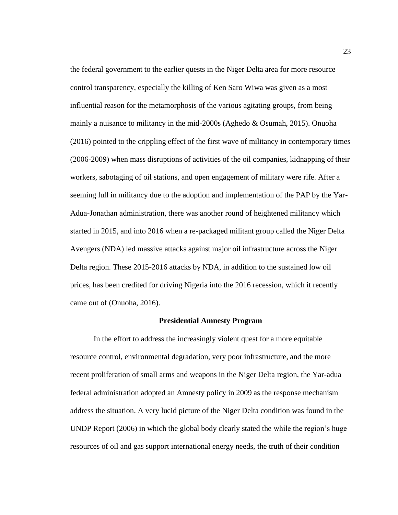the federal government to the earlier quests in the Niger Delta area for more resource control transparency, especially the killing of Ken Saro Wiwa was given as a most influential reason for the metamorphosis of the various agitating groups, from being mainly a nuisance to militancy in the mid-2000s (Aghedo & Osumah, 2015). Onuoha (2016) pointed to the crippling effect of the first wave of militancy in contemporary times (2006-2009) when mass disruptions of activities of the oil companies, kidnapping of their workers, sabotaging of oil stations, and open engagement of military were rife. After a seeming lull in militancy due to the adoption and implementation of the PAP by the Yar-Adua-Jonathan administration, there was another round of heightened militancy which started in 2015, and into 2016 when a re-packaged militant group called the Niger Delta Avengers (NDA) led massive attacks against major oil infrastructure across the Niger Delta region. These 2015-2016 attacks by NDA, in addition to the sustained low oil prices, has been credited for driving Nigeria into the 2016 recession, which it recently came out of (Onuoha, 2016).

#### **Presidential Amnesty Program**

<span id="page-35-0"></span>In the effort to address the increasingly violent quest for a more equitable resource control, environmental degradation, very poor infrastructure, and the more recent proliferation of small arms and weapons in the Niger Delta region, the Yar-adua federal administration adopted an Amnesty policy in 2009 as the response mechanism address the situation. A very lucid picture of the Niger Delta condition was found in the UNDP Report (2006) in which the global body clearly stated the while the region's huge resources of oil and gas support international energy needs, the truth of their condition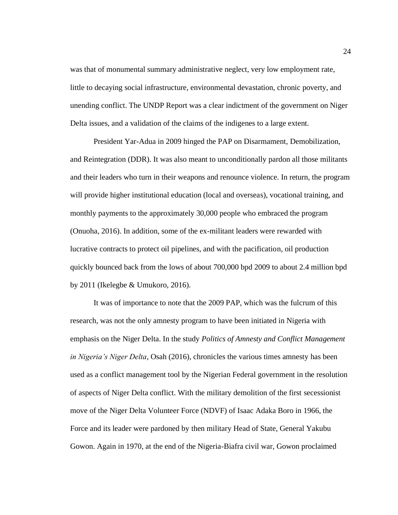was that of monumental summary administrative neglect, very low employment rate, little to decaying social infrastructure, environmental devastation, chronic poverty, and unending conflict. The UNDP Report was a clear indictment of the government on Niger Delta issues, and a validation of the claims of the indigenes to a large extent.

President Yar-Adua in 2009 hinged the PAP on Disarmament, Demobilization, and Reintegration (DDR). It was also meant to unconditionally pardon all those militants and their leaders who turn in their weapons and renounce violence. In return, the program will provide higher institutional education (local and overseas), vocational training, and monthly payments to the approximately 30,000 people who embraced the program (Onuoha, 2016). In addition, some of the ex-militant leaders were rewarded with lucrative contracts to protect oil pipelines, and with the pacification, oil production quickly bounced back from the lows of about 700,000 bpd 2009 to about 2.4 million bpd by 2011 (Ikelegbe & Umukoro, 2016).

It was of importance to note that the 2009 PAP, which was the fulcrum of this research, was not the only amnesty program to have been initiated in Nigeria with emphasis on the Niger Delta. In the study *Politics of Amnesty and Conflict Management in Nigeria's Niger Delta*, Osah (2016), chronicles the various times amnesty has been used as a conflict management tool by the Nigerian Federal government in the resolution of aspects of Niger Delta conflict. With the military demolition of the first secessionist move of the Niger Delta Volunteer Force (NDVF) of Isaac Adaka Boro in 1966, the Force and its leader were pardoned by then military Head of State, General Yakubu Gowon. Again in 1970, at the end of the Nigeria-Biafra civil war, Gowon proclaimed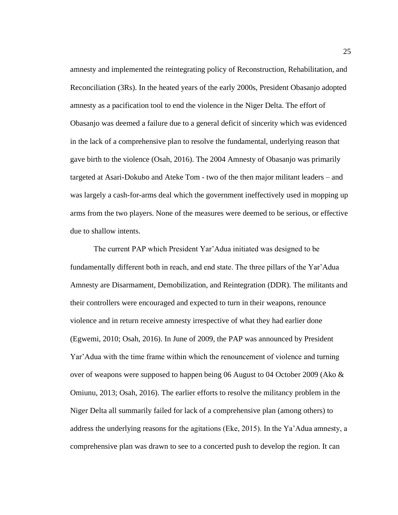amnesty and implemented the reintegrating policy of Reconstruction, Rehabilitation, and Reconciliation (3Rs). In the heated years of the early 2000s, President Obasanjo adopted amnesty as a pacification tool to end the violence in the Niger Delta. The effort of Obasanjo was deemed a failure due to a general deficit of sincerity which was evidenced in the lack of a comprehensive plan to resolve the fundamental, underlying reason that gave birth to the violence (Osah, 2016). The 2004 Amnesty of Obasanjo was primarily targeted at Asari-Dokubo and Ateke Tom - two of the then major militant leaders – and was largely a cash-for-arms deal which the government ineffectively used in mopping up arms from the two players. None of the measures were deemed to be serious, or effective due to shallow intents.

The current PAP which President Yar'Adua initiated was designed to be fundamentally different both in reach, and end state. The three pillars of the Yar'Adua Amnesty are Disarmament, Demobilization, and Reintegration (DDR). The militants and their controllers were encouraged and expected to turn in their weapons, renounce violence and in return receive amnesty irrespective of what they had earlier done (Egwemi, 2010; Osah, 2016). In June of 2009, the PAP was announced by President Yar'Adua with the time frame within which the renouncement of violence and turning over of weapons were supposed to happen being 06 August to 04 October 2009 (Ako & Omiunu, 2013; Osah, 2016). The earlier efforts to resolve the militancy problem in the Niger Delta all summarily failed for lack of a comprehensive plan (among others) to address the underlying reasons for the agitations (Eke, 2015). In the Ya'Adua amnesty, a comprehensive plan was drawn to see to a concerted push to develop the region. It can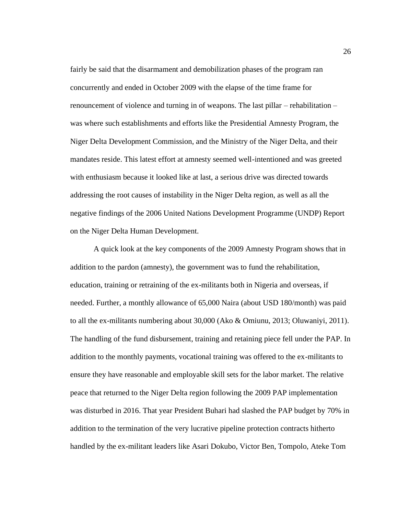fairly be said that the disarmament and demobilization phases of the program ran concurrently and ended in October 2009 with the elapse of the time frame for renouncement of violence and turning in of weapons. The last pillar – rehabilitation – was where such establishments and efforts like the Presidential Amnesty Program, the Niger Delta Development Commission, and the Ministry of the Niger Delta, and their mandates reside. This latest effort at amnesty seemed well-intentioned and was greeted with enthusiasm because it looked like at last, a serious drive was directed towards addressing the root causes of instability in the Niger Delta region, as well as all the negative findings of the 2006 United Nations Development Programme (UNDP) Report on the Niger Delta Human Development.

A quick look at the key components of the 2009 Amnesty Program shows that in addition to the pardon (amnesty), the government was to fund the rehabilitation, education, training or retraining of the ex-militants both in Nigeria and overseas, if needed. Further, a monthly allowance of 65,000 Naira (about USD 180/month) was paid to all the ex-militants numbering about 30,000 (Ako & Omiunu, 2013; Oluwaniyi, 2011). The handling of the fund disbursement, training and retaining piece fell under the PAP. In addition to the monthly payments, vocational training was offered to the ex-militants to ensure they have reasonable and employable skill sets for the labor market. The relative peace that returned to the Niger Delta region following the 2009 PAP implementation was disturbed in 2016. That year President Buhari had slashed the PAP budget by 70% in addition to the termination of the very lucrative pipeline protection contracts hitherto handled by the ex-militant leaders like Asari Dokubo, Victor Ben, Tompolo, Ateke Tom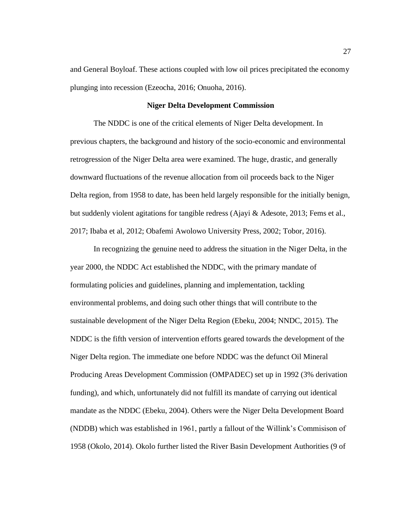and General Boyloaf. These actions coupled with low oil prices precipitated the economy plunging into recession (Ezeocha, 2016; Onuoha, 2016).

# **Niger Delta Development Commission**

The NDDC is one of the critical elements of Niger Delta development. In previous chapters, the background and history of the socio-economic and environmental retrogression of the Niger Delta area were examined. The huge, drastic, and generally downward fluctuations of the revenue allocation from oil proceeds back to the Niger Delta region, from 1958 to date, has been held largely responsible for the initially benign, but suddenly violent agitations for tangible redress (Ajayi & Adesote, 2013; Fems et al., 2017; Ibaba et al, 2012; Obafemi Awolowo University Press, 2002; Tobor, 2016).

In recognizing the genuine need to address the situation in the Niger Delta, in the year 2000, the NDDC Act established the NDDC, with the primary mandate of formulating policies and guidelines, planning and implementation, tackling environmental problems, and doing such other things that will contribute to the sustainable development of the Niger Delta Region (Ebeku, 2004; NNDC, 2015). The NDDC is the fifth version of intervention efforts geared towards the development of the Niger Delta region. The immediate one before NDDC was the defunct Oil Mineral Producing Areas Development Commission (OMPADEC) set up in 1992 (3% derivation funding), and which, unfortunately did not fulfill its mandate of carrying out identical mandate as the NDDC (Ebeku, 2004). Others were the Niger Delta Development Board (NDDB) which was established in 1961, partly a fallout of the Willink's Commisison of 1958 (Okolo, 2014). Okolo further listed the River Basin Development Authorities (9 of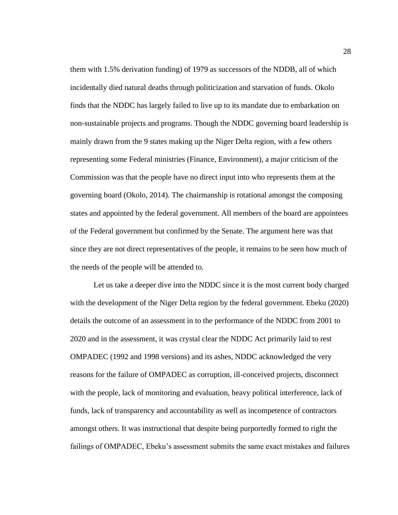them with 1.5% derivation funding) of 1979 as successors of the NDDB, all of which incidentally died natural deaths through politicization and starvation of funds. Okolo finds that the NDDC has largely failed to live up to its mandate due to embarkation on non-sustainable projects and programs. Though the NDDC governing board leadership is mainly drawn from the 9 states making up the Niger Delta region, with a few others representing some Federal ministries (Finance, Environment), a major criticism of the Commission was that the people have no direct input into who represents them at the governing board (Okolo, 2014). The chairmanship is rotational amongst the composing states and appointed by the federal government. All members of the board are appointees of the Federal government but confirmed by the Senate. The argument here was that since they are not direct representatives of the people, it remains to be seen how much of the needs of the people will be attended to.

Let us take a deeper dive into the NDDC since it is the most current body charged with the development of the Niger Delta region by the federal government. Ebeku (2020) details the outcome of an assessment in to the performance of the NDDC from 2001 to 2020 and in the assessment, it was crystal clear the NDDC Act primarily laid to rest OMPADEC (1992 and 1998 versions) and its ashes, NDDC acknowledged the very reasons for the failure of OMPADEC as corruption, ill-conceived projects, disconnect with the people, lack of monitoring and evaluation, heavy political interference, lack of funds, lack of transparency and accountability as well as incompetence of contractors amongst others. It was instructional that despite being purportedly formed to right the failings of OMPADEC, Ebeku's assessment submits the same exact mistakes and failures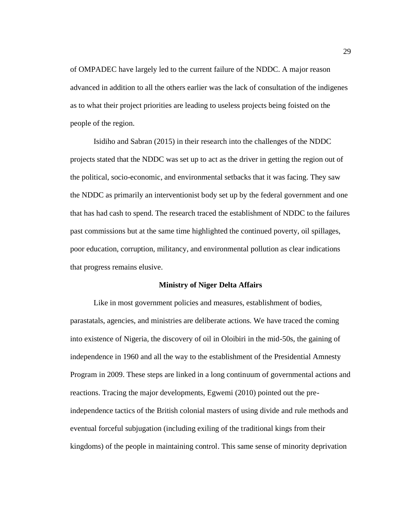of OMPADEC have largely led to the current failure of the NDDC. A major reason advanced in addition to all the others earlier was the lack of consultation of the indigenes as to what their project priorities are leading to useless projects being foisted on the people of the region.

Isidiho and Sabran (2015) in their research into the challenges of the NDDC projects stated that the NDDC was set up to act as the driver in getting the region out of the political, socio-economic, and environmental setbacks that it was facing. They saw the NDDC as primarily an interventionist body set up by the federal government and one that has had cash to spend. The research traced the establishment of NDDC to the failures past commissions but at the same time highlighted the continued poverty, oil spillages, poor education, corruption, militancy, and environmental pollution as clear indications that progress remains elusive.

#### **Ministry of Niger Delta Affairs**

Like in most government policies and measures, establishment of bodies, parastatals, agencies, and ministries are deliberate actions. We have traced the coming into existence of Nigeria, the discovery of oil in Oloibiri in the mid-50s, the gaining of independence in 1960 and all the way to the establishment of the Presidential Amnesty Program in 2009. These steps are linked in a long continuum of governmental actions and reactions. Tracing the major developments, Egwemi (2010) pointed out the preindependence tactics of the British colonial masters of using divide and rule methods and eventual forceful subjugation (including exiling of the traditional kings from their kingdoms) of the people in maintaining control. This same sense of minority deprivation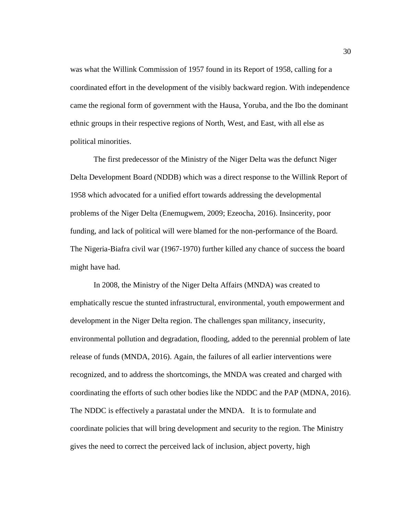was what the Willink Commission of 1957 found in its Report of 1958, calling for a coordinated effort in the development of the visibly backward region. With independence came the regional form of government with the Hausa, Yoruba, and the Ibo the dominant ethnic groups in their respective regions of North, West, and East, with all else as political minorities.

The first predecessor of the Ministry of the Niger Delta was the defunct Niger Delta Development Board (NDDB) which was a direct response to the Willink Report of 1958 which advocated for a unified effort towards addressing the developmental problems of the Niger Delta (Enemugwem, 2009; Ezeocha, 2016). Insincerity, poor funding, and lack of political will were blamed for the non-performance of the Board. The Nigeria-Biafra civil war (1967-1970) further killed any chance of success the board might have had.

In 2008, the Ministry of the Niger Delta Affairs (MNDA) was created to emphatically rescue the stunted infrastructural, environmental, youth empowerment and development in the Niger Delta region. The challenges span militancy, insecurity, environmental pollution and degradation, flooding, added to the perennial problem of late release of funds (MNDA, 2016). Again, the failures of all earlier interventions were recognized, and to address the shortcomings, the MNDA was created and charged with coordinating the efforts of such other bodies like the NDDC and the PAP (MDNA, 2016). The NDDC is effectively a parastatal under the MNDA. It is to formulate and coordinate policies that will bring development and security to the region. The Ministry gives the need to correct the perceived lack of inclusion, abject poverty, high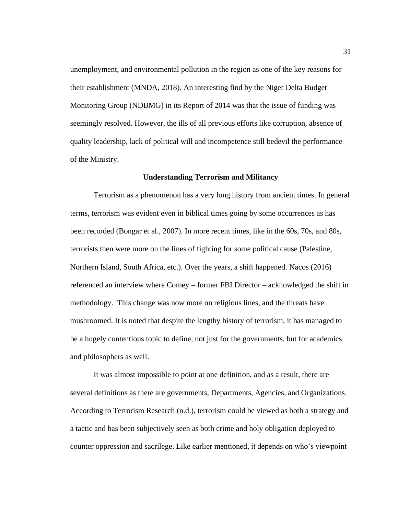unemployment, and environmental pollution in the region as one of the key reasons for their establishment (MNDA, 2018). An interesting find by the Niger Delta Budget Monitoring Group (NDBMG) in its Report of 2014 was that the issue of funding was seemingly resolved. However, the ills of all previous efforts like corruption, absence of quality leadership, lack of political will and incompetence still bedevil the performance of the Ministry.

#### **Understanding Terrorism and Militancy**

Terrorism as a phenomenon has a very long history from ancient times. In general terms, terrorism was evident even in biblical times going by some occurrences as has been recorded (Bongar et al., 2007). In more recent times, like in the 60s, 70s, and 80s, terrorists then were more on the lines of fighting for some political cause (Palestine, Northern Island, South Africa, etc.). Over the years, a shift happened. Nacos (2016) referenced an interview where Comey – former FBI Director – acknowledged the shift in methodology. This change was now more on religious lines, and the threats have mushroomed. It is noted that despite the lengthy history of terrorism, it has managed to be a hugely contentious topic to define, not just for the governments, but for academics and philosophers as well.

It was almost impossible to point at one definition, and as a result, there are several definitions as there are governments, Departments, Agencies, and Organizations. According to Terrorism Research (n.d.), terrorism could be viewed as both a strategy and a tactic and has been subjectively seen as both crime and holy obligation deployed to counter oppression and sacrilege. Like earlier mentioned, it depends on who's viewpoint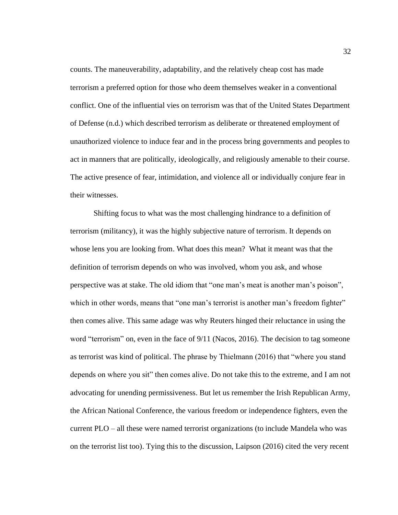counts. The maneuverability, adaptability, and the relatively cheap cost has made terrorism a preferred option for those who deem themselves weaker in a conventional conflict. One of the influential vies on terrorism was that of the United States Department of Defense (n.d.) which described terrorism as deliberate or threatened employment of unauthorized violence to induce fear and in the process bring governments and peoples to act in manners that are politically, ideologically, and religiously amenable to their course. The active presence of fear, intimidation, and violence all or individually conjure fear in their witnesses.

Shifting focus to what was the most challenging hindrance to a definition of terrorism (militancy), it was the highly subjective nature of terrorism. It depends on whose lens you are looking from. What does this mean? What it meant was that the definition of terrorism depends on who was involved, whom you ask, and whose perspective was at stake. The old idiom that "one man's meat is another man's poison", which in other words, means that "one man's terrorist is another man's freedom fighter" then comes alive. This same adage was why Reuters hinged their reluctance in using the word "terrorism" on, even in the face of 9/11 (Nacos, 2016). The decision to tag someone as terrorist was kind of political. The phrase by Thielmann (2016) that "where you stand depends on where you sit" then comes alive. Do not take this to the extreme, and I am not advocating for unending permissiveness. But let us remember the Irish Republican Army, the African National Conference, the various freedom or independence fighters, even the current PLO – all these were named terrorist organizations (to include Mandela who was on the terrorist list too). Tying this to the discussion, Laipson (2016) cited the very recent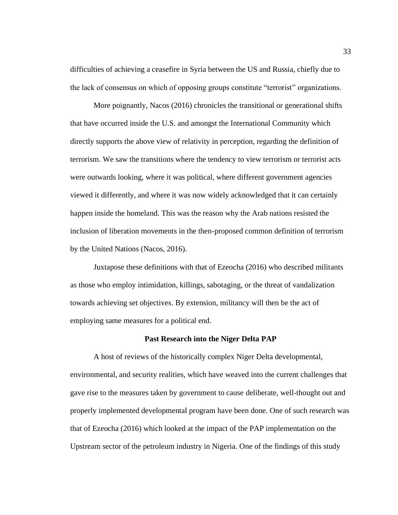difficulties of achieving a ceasefire in Syria between the US and Russia, chiefly due to the lack of consensus on which of opposing groups constitute "terrorist" organizations.

More poignantly, Nacos (2016) chronicles the transitional or generational shifts that have occurred inside the U.S. and amongst the International Community which directly supports the above view of relativity in perception, regarding the definition of terrorism. We saw the transitions where the tendency to view terrorism or terrorist acts were outwards looking, where it was political, where different government agencies viewed it differently, and where it was now widely acknowledged that it can certainly happen inside the homeland. This was the reason why the Arab nations resisted the inclusion of liberation movements in the then-proposed common definition of terrorism by the United Nations (Nacos, 2016).

Juxtapose these definitions with that of Ezeocha (2016) who described militants as those who employ intimidation, killings, sabotaging, or the threat of vandalization towards achieving set objectives. By extension, militancy will then be the act of employing same measures for a political end.

#### **Past Research into the Niger Delta PAP**

A host of reviews of the historically complex Niger Delta developmental, environmental, and security realities, which have weaved into the current challenges that gave rise to the measures taken by government to cause deliberate, well-thought out and properly implemented developmental program have been done. One of such research was that of Ezeocha (2016) which looked at the impact of the PAP implementation on the Upstream sector of the petroleum industry in Nigeria. One of the findings of this study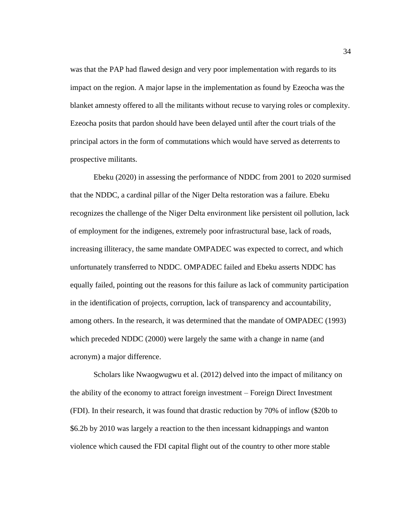was that the PAP had flawed design and very poor implementation with regards to its impact on the region. A major lapse in the implementation as found by Ezeocha was the blanket amnesty offered to all the militants without recuse to varying roles or complexity. Ezeocha posits that pardon should have been delayed until after the court trials of the principal actors in the form of commutations which would have served as deterrents to prospective militants.

Ebeku (2020) in assessing the performance of NDDC from 2001 to 2020 surmised that the NDDC, a cardinal pillar of the Niger Delta restoration was a failure. Ebeku recognizes the challenge of the Niger Delta environment like persistent oil pollution, lack of employment for the indigenes, extremely poor infrastructural base, lack of roads, increasing illiteracy, the same mandate OMPADEC was expected to correct, and which unfortunately transferred to NDDC. OMPADEC failed and Ebeku asserts NDDC has equally failed, pointing out the reasons for this failure as lack of community participation in the identification of projects, corruption, lack of transparency and accountability, among others. In the research, it was determined that the mandate of OMPADEC (1993) which preceded NDDC (2000) were largely the same with a change in name (and acronym) a major difference.

Scholars like Nwaogwugwu et al. (2012) delved into the impact of militancy on the ability of the economy to attract foreign investment – Foreign Direct Investment (FDI). In their research, it was found that drastic reduction by 70% of inflow (\$20b to \$6.2b by 2010 was largely a reaction to the then incessant kidnappings and wanton violence which caused the FDI capital flight out of the country to other more stable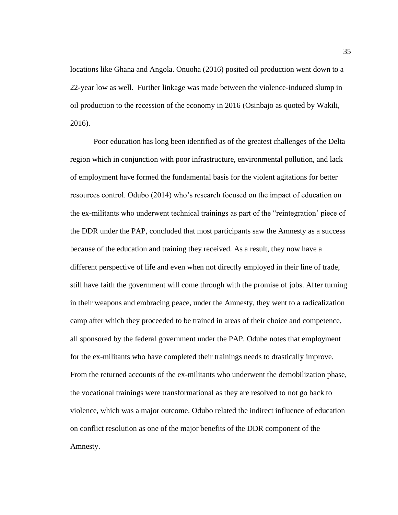locations like Ghana and Angola. Onuoha (2016) posited oil production went down to a 22-year low as well. Further linkage was made between the violence-induced slump in oil production to the recession of the economy in 2016 (Osinbajo as quoted by Wakili, 2016).

Poor education has long been identified as of the greatest challenges of the Delta region which in conjunction with poor infrastructure, environmental pollution, and lack of employment have formed the fundamental basis for the violent agitations for better resources control. Odubo (2014) who's research focused on the impact of education on the ex-militants who underwent technical trainings as part of the "reintegration' piece of the DDR under the PAP, concluded that most participants saw the Amnesty as a success because of the education and training they received. As a result, they now have a different perspective of life and even when not directly employed in their line of trade, still have faith the government will come through with the promise of jobs. After turning in their weapons and embracing peace, under the Amnesty, they went to a radicalization camp after which they proceeded to be trained in areas of their choice and competence, all sponsored by the federal government under the PAP. Odube notes that employment for the ex-militants who have completed their trainings needs to drastically improve. From the returned accounts of the ex-militants who underwent the demobilization phase, the vocational trainings were transformational as they are resolved to not go back to violence, which was a major outcome. Odubo related the indirect influence of education on conflict resolution as one of the major benefits of the DDR component of the Amnesty.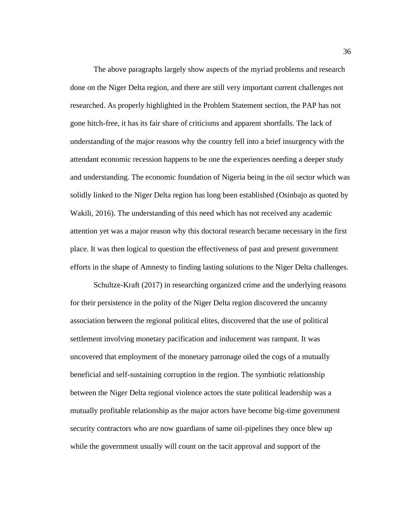The above paragraphs largely show aspects of the myriad problems and research done on the Niger Delta region, and there are still very important current challenges not researched. As properly highlighted in the Problem Statement section, the PAP has not gone hitch-free, it has its fair share of criticisms and apparent shortfalls. The lack of understanding of the major reasons why the country fell into a brief insurgency with the attendant economic recession happens to be one the experiences needing a deeper study and understanding. The economic foundation of Nigeria being in the oil sector which was solidly linked to the Niger Delta region has long been established (Osinbajo as quoted by Wakili, 2016). The understanding of this need which has not received any academic attention yet was a major reason why this doctoral research became necessary in the first place. It was then logical to question the effectiveness of past and present government efforts in the shape of Amnesty to finding lasting solutions to the Niger Delta challenges.

Schultze-Kraft (2017) in researching organized crime and the underlying reasons for their persistence in the polity of the Niger Delta region discovered the uncanny association between the regional political elites, discovered that the use of political settlement involving monetary pacification and inducement was rampant. It was uncovered that employment of the monetary patronage oiled the cogs of a mutually beneficial and self-sustaining corruption in the region. The symbiotic relationship between the Niger Delta regional violence actors the state political leadership was a mutually profitable relationship as the major actors have become big-time government security contractors who are now guardians of same oil-pipelines they once blew up while the government usually will count on the tacit approval and support of the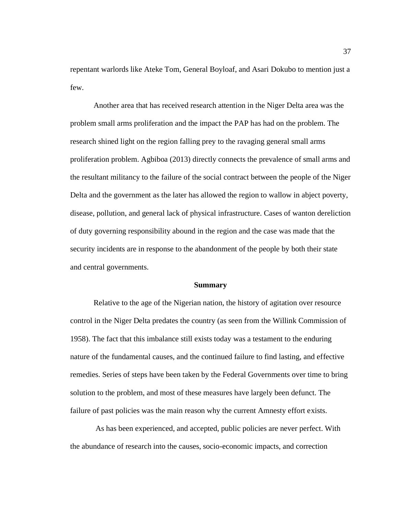repentant warlords like Ateke Tom, General Boyloaf, and Asari Dokubo to mention just a few.

Another area that has received research attention in the Niger Delta area was the problem small arms proliferation and the impact the PAP has had on the problem. The research shined light on the region falling prey to the ravaging general small arms proliferation problem. Agbiboa (2013) directly connects the prevalence of small arms and the resultant militancy to the failure of the social contract between the people of the Niger Delta and the government as the later has allowed the region to wallow in abject poverty, disease, pollution, and general lack of physical infrastructure. Cases of wanton dereliction of duty governing responsibility abound in the region and the case was made that the security incidents are in response to the abandonment of the people by both their state and central governments.

#### **Summary**

Relative to the age of the Nigerian nation, the history of agitation over resource control in the Niger Delta predates the country (as seen from the Willink Commission of 1958). The fact that this imbalance still exists today was a testament to the enduring nature of the fundamental causes, and the continued failure to find lasting, and effective remedies. Series of steps have been taken by the Federal Governments over time to bring solution to the problem, and most of these measures have largely been defunct. The failure of past policies was the main reason why the current Amnesty effort exists.

As has been experienced, and accepted, public policies are never perfect. With the abundance of research into the causes, socio-economic impacts, and correction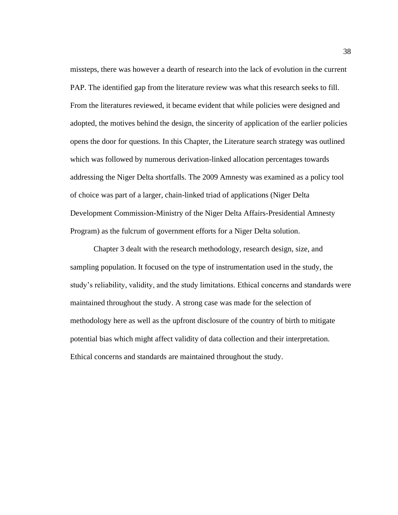missteps, there was however a dearth of research into the lack of evolution in the current PAP. The identified gap from the literature review was what this research seeks to fill. From the literatures reviewed, it became evident that while policies were designed and adopted, the motives behind the design, the sincerity of application of the earlier policies opens the door for questions. In this Chapter, the Literature search strategy was outlined which was followed by numerous derivation-linked allocation percentages towards addressing the Niger Delta shortfalls. The 2009 Amnesty was examined as a policy tool of choice was part of a larger, chain-linked triad of applications (Niger Delta Development Commission-Ministry of the Niger Delta Affairs-Presidential Amnesty Program) as the fulcrum of government efforts for a Niger Delta solution.

Chapter 3 dealt with the research methodology, research design, size, and sampling population. It focused on the type of instrumentation used in the study, the study's reliability, validity, and the study limitations. Ethical concerns and standards were maintained throughout the study. A strong case was made for the selection of methodology here as well as the upfront disclosure of the country of birth to mitigate potential bias which might affect validity of data collection and their interpretation. Ethical concerns and standards are maintained throughout the study.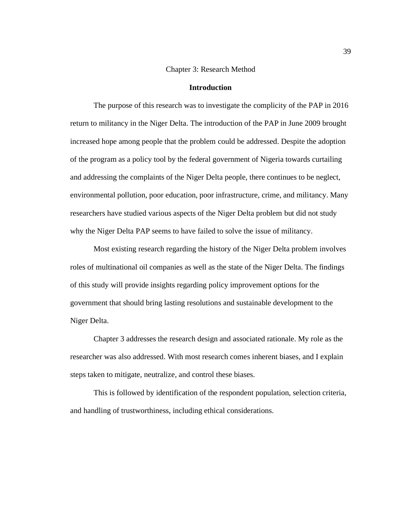## Chapter 3: Research Method

#### **Introduction**

The purpose of this research was to investigate the complicity of the PAP in 2016 return to militancy in the Niger Delta. The introduction of the PAP in June 2009 brought increased hope among people that the problem could be addressed. Despite the adoption of the program as a policy tool by the federal government of Nigeria towards curtailing and addressing the complaints of the Niger Delta people, there continues to be neglect, environmental pollution, poor education, poor infrastructure, crime, and militancy. Many researchers have studied various aspects of the Niger Delta problem but did not study why the Niger Delta PAP seems to have failed to solve the issue of militancy.

Most existing research regarding the history of the Niger Delta problem involves roles of multinational oil companies as well as the state of the Niger Delta. The findings of this study will provide insights regarding policy improvement options for the government that should bring lasting resolutions and sustainable development to the Niger Delta.

Chapter 3 addresses the research design and associated rationale. My role as the researcher was also addressed. With most research comes inherent biases, and I explain steps taken to mitigate, neutralize, and control these biases.

This is followed by identification of the respondent population, selection criteria, and handling of trustworthiness, including ethical considerations.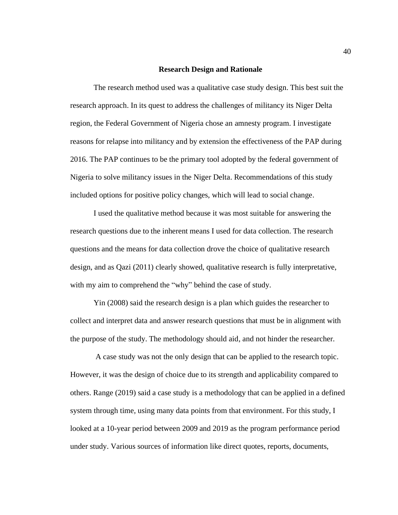#### **Research Design and Rationale**

The research method used was a qualitative case study design. This best suit the research approach. In its quest to address the challenges of militancy its Niger Delta region, the Federal Government of Nigeria chose an amnesty program. I investigate reasons for relapse into militancy and by extension the effectiveness of the PAP during 2016. The PAP continues to be the primary tool adopted by the federal government of Nigeria to solve militancy issues in the Niger Delta. Recommendations of this study included options for positive policy changes, which will lead to social change.

I used the qualitative method because it was most suitable for answering the research questions due to the inherent means I used for data collection. The research questions and the means for data collection drove the choice of qualitative research design, and as Qazi (2011) clearly showed, qualitative research is fully interpretative, with my aim to comprehend the "why" behind the case of study.

Yin (2008) said the research design is a plan which guides the researcher to collect and interpret data and answer research questions that must be in alignment with the purpose of the study. The methodology should aid, and not hinder the researcher.

A case study was not the only design that can be applied to the research topic. However, it was the design of choice due to its strength and applicability compared to others. Range (2019) said a case study is a methodology that can be applied in a defined system through time, using many data points from that environment. For this study, I looked at a 10-year period between 2009 and 2019 as the program performance period under study. Various sources of information like direct quotes, reports, documents,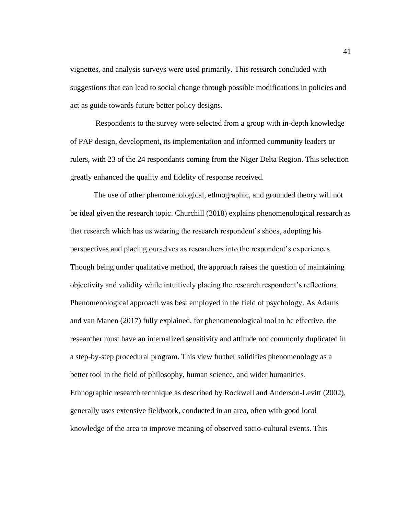vignettes, and analysis surveys were used primarily. This research concluded with suggestions that can lead to social change through possible modifications in policies and act as guide towards future better policy designs.

Respondents to the survey were selected from a group with in-depth knowledge of PAP design, development, its implementation and informed community leaders or rulers, with 23 of the 24 respondants coming from the Niger Delta Region. This selection greatly enhanced the quality and fidelity of response received.

The use of other phenomenological, ethnographic, and grounded theory will not be ideal given the research topic. Churchill (2018) explains phenomenological research as that research which has us wearing the research respondent's shoes, adopting his perspectives and placing ourselves as researchers into the respondent's experiences. Though being under qualitative method, the approach raises the question of maintaining objectivity and validity while intuitively placing the research respondent's reflections. Phenomenological approach was best employed in the field of psychology. As Adams and van Manen (2017) fully explained, for phenomenological tool to be effective, the researcher must have an internalized sensitivity and attitude not commonly duplicated in a step-by-step procedural program. This view further solidifies phenomenology as a better tool in the field of philosophy, human science, and wider humanities. Ethnographic research technique as described by Rockwell and Anderson-Levitt (2002), generally uses extensive fieldwork, conducted in an area, often with good local knowledge of the area to improve meaning of observed socio-cultural events. This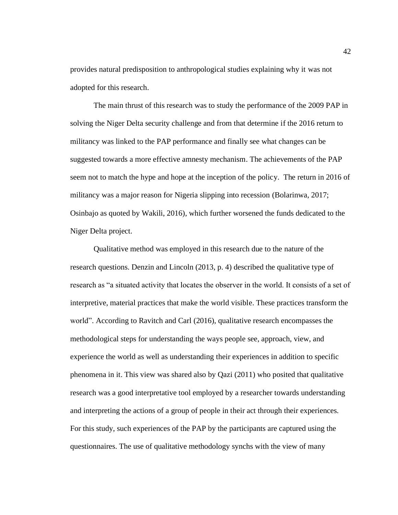provides natural predisposition to anthropological studies explaining why it was not adopted for this research.

The main thrust of this research was to study the performance of the 2009 PAP in solving the Niger Delta security challenge and from that determine if the 2016 return to militancy was linked to the PAP performance and finally see what changes can be suggested towards a more effective amnesty mechanism. The achievements of the PAP seem not to match the hype and hope at the inception of the policy. The return in 2016 of militancy was a major reason for Nigeria slipping into recession (Bolarinwa, 2017; Osinbajo as quoted by Wakili, 2016), which further worsened the funds dedicated to the Niger Delta project.

Qualitative method was employed in this research due to the nature of the research questions. Denzin and Lincoln (2013, p. 4) described the qualitative type of research as "a situated activity that locates the observer in the world. It consists of a set of interpretive, material practices that make the world visible. These practices transform the world". According to Ravitch and Carl (2016), qualitative research encompasses the methodological steps for understanding the ways people see, approach, view, and experience the world as well as understanding their experiences in addition to specific phenomena in it. This view was shared also by Qazi (2011) who posited that qualitative research was a good interpretative tool employed by a researcher towards understanding and interpreting the actions of a group of people in their act through their experiences. For this study, such experiences of the PAP by the participants are captured using the questionnaires. The use of qualitative methodology synchs with the view of many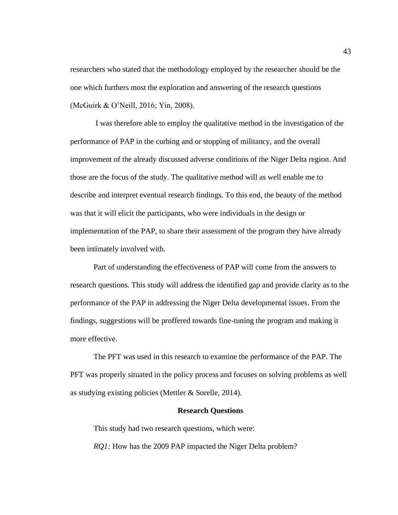researchers who stated that the methodology employed by the researcher should be the one which furthers most the exploration and answering of the research questions (McGuirk & O'Neill, 2016; Yin, 2008).

I was therefore able to employ the qualitative method in the investigation of the performance of PAP in the curbing and or stopping of militancy, and the overall improvement of the already discussed adverse conditions of the Niger Delta region. And those are the focus of the study. The qualitative method will as well enable me to describe and interpret eventual research findings. To this end, the beauty of the method was that it will elicit the participants, who were individuals in the design or implementation of the PAP, to share their assessment of the program they have already been intimately involved with.

Part of understanding the effectiveness of PAP will come from the answers to research questions. This study will address the identified gap and provide clarity as to the performance of the PAP in addressing the Niger Delta developmental issues. From the findings, suggestions will be proffered towards fine-tuning the program and making it more effective.

The PFT was used in this research to examine the performance of the PAP. The PFT was properly situated in the policy process and focuses on solving problems as well as studying existing policies (Mettler & Sorelle, 2014).

#### **Research Questions**

This study had two research questions, which were: *RQ1:* How has the 2009 PAP impacted the Niger Delta problem?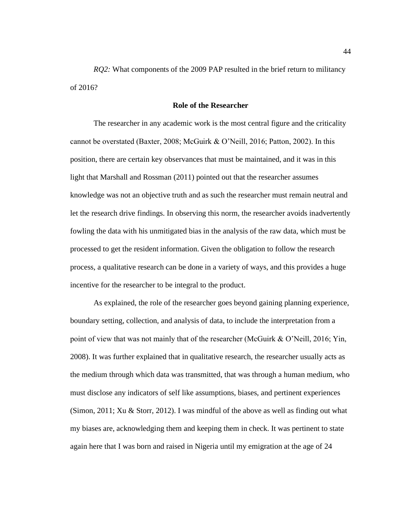*RQ2:* What components of the 2009 PAP resulted in the brief return to militancy of 2016?

## **Role of the Researcher**

The researcher in any academic work is the most central figure and the criticality cannot be overstated (Baxter, 2008; McGuirk & O'Neill, 2016; Patton, 2002). In this position, there are certain key observances that must be maintained, and it was in this light that Marshall and Rossman (2011) pointed out that the researcher assumes knowledge was not an objective truth and as such the researcher must remain neutral and let the research drive findings. In observing this norm, the researcher avoids inadvertently fowling the data with his unmitigated bias in the analysis of the raw data, which must be processed to get the resident information. Given the obligation to follow the research process, a qualitative research can be done in a variety of ways, and this provides a huge incentive for the researcher to be integral to the product.

As explained, the role of the researcher goes beyond gaining planning experience, boundary setting, collection, and analysis of data, to include the interpretation from a point of view that was not mainly that of the researcher (McGuirk & O'Neill, 2016; Yin, 2008). It was further explained that in qualitative research, the researcher usually acts as the medium through which data was transmitted, that was through a human medium, who must disclose any indicators of self like assumptions, biases, and pertinent experiences (Simon, 2011; Xu & Storr, 2012). I was mindful of the above as well as finding out what my biases are, acknowledging them and keeping them in check. It was pertinent to state again here that I was born and raised in Nigeria until my emigration at the age of 24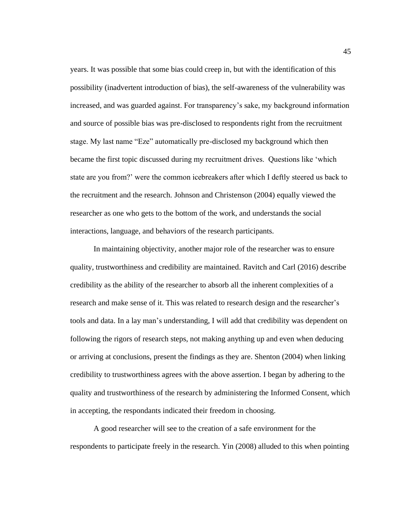years. It was possible that some bias could creep in, but with the identification of this possibility (inadvertent introduction of bias), the self-awareness of the vulnerability was increased, and was guarded against. For transparency's sake, my background information and source of possible bias was pre-disclosed to respondents right from the recruitment stage. My last name "Eze" automatically pre-disclosed my background which then became the first topic discussed during my recruitment drives. Questions like 'which state are you from?' were the common icebreakers after which I deftly steered us back to the recruitment and the research. Johnson and Christenson (2004) equally viewed the researcher as one who gets to the bottom of the work, and understands the social interactions, language, and behaviors of the research participants.

In maintaining objectivity, another major role of the researcher was to ensure quality, trustworthiness and credibility are maintained. Ravitch and Carl (2016) describe credibility as the ability of the researcher to absorb all the inherent complexities of a research and make sense of it. This was related to research design and the researcher's tools and data. In a lay man's understanding, I will add that credibility was dependent on following the rigors of research steps, not making anything up and even when deducing or arriving at conclusions, present the findings as they are. Shenton (2004) when linking credibility to trustworthiness agrees with the above assertion. I began by adhering to the quality and trustworthiness of the research by administering the Informed Consent, which in accepting, the respondants indicated their freedom in choosing.

A good researcher will see to the creation of a safe environment for the respondents to participate freely in the research. Yin (2008) alluded to this when pointing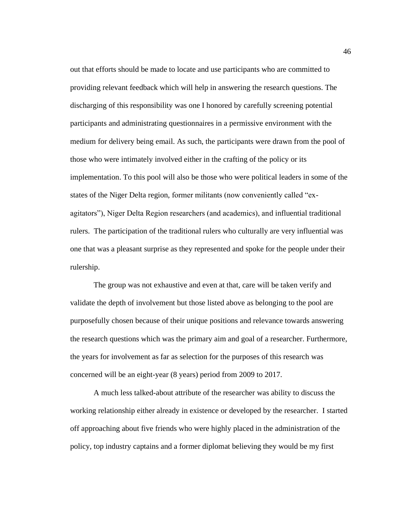out that efforts should be made to locate and use participants who are committed to providing relevant feedback which will help in answering the research questions. The discharging of this responsibility was one I honored by carefully screening potential participants and administrating questionnaires in a permissive environment with the medium for delivery being email. As such, the participants were drawn from the pool of those who were intimately involved either in the crafting of the policy or its implementation. To this pool will also be those who were political leaders in some of the states of the Niger Delta region, former militants (now conveniently called "exagitators"), Niger Delta Region researchers (and academics), and influential traditional rulers. The participation of the traditional rulers who culturally are very influential was one that was a pleasant surprise as they represented and spoke for the people under their rulership.

The group was not exhaustive and even at that, care will be taken verify and validate the depth of involvement but those listed above as belonging to the pool are purposefully chosen because of their unique positions and relevance towards answering the research questions which was the primary aim and goal of a researcher. Furthermore, the years for involvement as far as selection for the purposes of this research was concerned will be an eight-year (8 years) period from 2009 to 2017.

A much less talked-about attribute of the researcher was ability to discuss the working relationship either already in existence or developed by the researcher. I started off approaching about five friends who were highly placed in the administration of the policy, top industry captains and a former diplomat believing they would be my first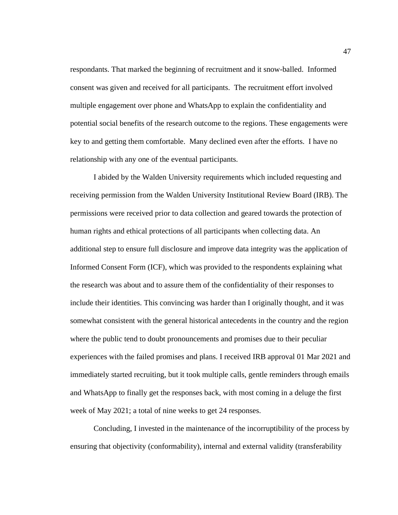respondants. That marked the beginning of recruitment and it snow-balled. Informed consent was given and received for all participants. The recruitment effort involved multiple engagement over phone and WhatsApp to explain the confidentiality and potential social benefits of the research outcome to the regions. These engagements were key to and getting them comfortable. Many declined even after the efforts. I have no relationship with any one of the eventual participants.

I abided by the Walden University requirements which included requesting and receiving permission from the Walden University Institutional Review Board (IRB). The permissions were received prior to data collection and geared towards the protection of human rights and ethical protections of all participants when collecting data. An additional step to ensure full disclosure and improve data integrity was the application of Informed Consent Form (ICF), which was provided to the respondents explaining what the research was about and to assure them of the confidentiality of their responses to include their identities. This convincing was harder than I originally thought, and it was somewhat consistent with the general historical antecedents in the country and the region where the public tend to doubt pronouncements and promises due to their peculiar experiences with the failed promises and plans. I received IRB approval 01 Mar 2021 and immediately started recruiting, but it took multiple calls, gentle reminders through emails and WhatsApp to finally get the responses back, with most coming in a deluge the first week of May 2021; a total of nine weeks to get 24 responses.

Concluding, I invested in the maintenance of the incorruptibility of the process by ensuring that objectivity (conformability), internal and external validity (transferability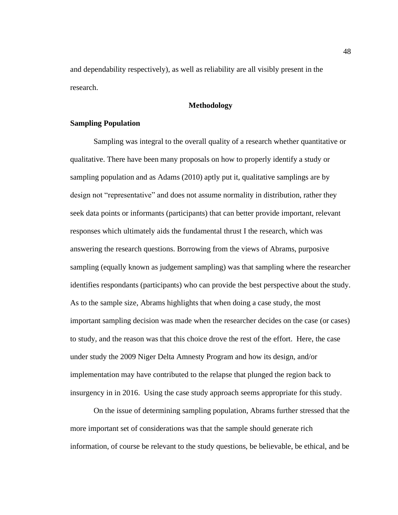and dependability respectively), as well as reliability are all visibly present in the research.

# **Methodology**

## **Sampling Population**

Sampling was integral to the overall quality of a research whether quantitative or qualitative. There have been many proposals on how to properly identify a study or sampling population and as Adams (2010) aptly put it, qualitative samplings are by design not "representative" and does not assume normality in distribution, rather they seek data points or informants (participants) that can better provide important, relevant responses which ultimately aids the fundamental thrust I the research, which was answering the research questions. Borrowing from the views of Abrams, purposive sampling (equally known as judgement sampling) was that sampling where the researcher identifies respondants (participants) who can provide the best perspective about the study. As to the sample size, Abrams highlights that when doing a case study, the most important sampling decision was made when the researcher decides on the case (or cases) to study, and the reason was that this choice drove the rest of the effort. Here, the case under study the 2009 Niger Delta Amnesty Program and how its design, and/or implementation may have contributed to the relapse that plunged the region back to insurgency in in 2016. Using the case study approach seems appropriate for this study.

On the issue of determining sampling population, Abrams further stressed that the more important set of considerations was that the sample should generate rich information, of course be relevant to the study questions, be believable, be ethical, and be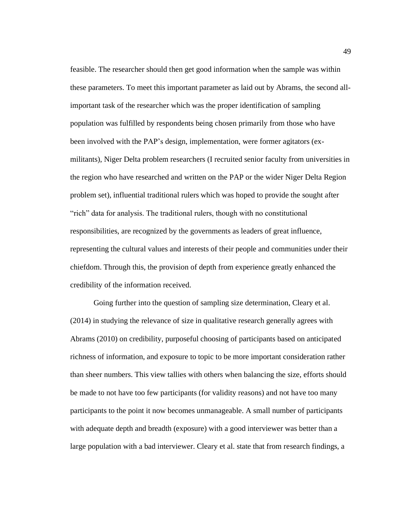feasible. The researcher should then get good information when the sample was within these parameters. To meet this important parameter as laid out by Abrams, the second allimportant task of the researcher which was the proper identification of sampling population was fulfilled by respondents being chosen primarily from those who have been involved with the PAP's design, implementation, were former agitators (exmilitants), Niger Delta problem researchers (I recruited senior faculty from universities in the region who have researched and written on the PAP or the wider Niger Delta Region problem set), influential traditional rulers which was hoped to provide the sought after "rich" data for analysis. The traditional rulers, though with no constitutional responsibilities, are recognized by the governments as leaders of great influence, representing the cultural values and interests of their people and communities under their chiefdom. Through this, the provision of depth from experience greatly enhanced the credibility of the information received.

Going further into the question of sampling size determination, Cleary et al. (2014) in studying the relevance of size in qualitative research generally agrees with Abrams (2010) on credibility, purposeful choosing of participants based on anticipated richness of information, and exposure to topic to be more important consideration rather than sheer numbers. This view tallies with others when balancing the size, efforts should be made to not have too few participants (for validity reasons) and not have too many participants to the point it now becomes unmanageable. A small number of participants with adequate depth and breadth (exposure) with a good interviewer was better than a large population with a bad interviewer. Cleary et al. state that from research findings, a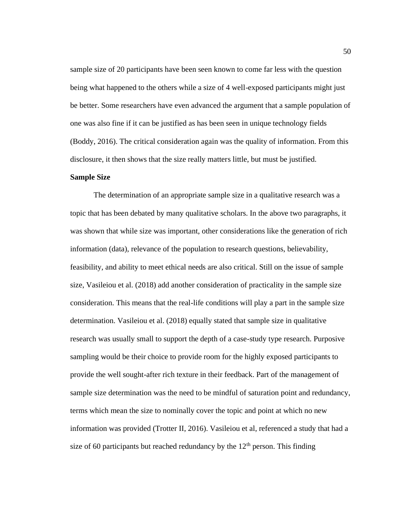sample size of 20 participants have been seen known to come far less with the question being what happened to the others while a size of 4 well-exposed participants might just be better. Some researchers have even advanced the argument that a sample population of one was also fine if it can be justified as has been seen in unique technology fields (Boddy, 2016). The critical consideration again was the quality of information. From this disclosure, it then shows that the size really matters little, but must be justified.

## **Sample Size**

The determination of an appropriate sample size in a qualitative research was a topic that has been debated by many qualitative scholars. In the above two paragraphs, it was shown that while size was important, other considerations like the generation of rich information (data), relevance of the population to research questions, believability, feasibility, and ability to meet ethical needs are also critical. Still on the issue of sample size, Vasileiou et al. (2018) add another consideration of practicality in the sample size consideration. This means that the real-life conditions will play a part in the sample size determination. Vasileiou et al. (2018) equally stated that sample size in qualitative research was usually small to support the depth of a case-study type research. Purposive sampling would be their choice to provide room for the highly exposed participants to provide the well sought-after rich texture in their feedback. Part of the management of sample size determination was the need to be mindful of saturation point and redundancy, terms which mean the size to nominally cover the topic and point at which no new information was provided (Trotter II, 2016). Vasileiou et al, referenced a study that had a size of 60 participants but reached redundancy by the  $12<sup>th</sup>$  person. This finding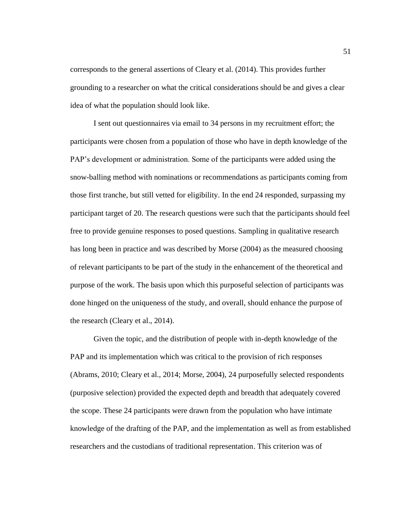corresponds to the general assertions of Cleary et al. (2014). This provides further grounding to a researcher on what the critical considerations should be and gives a clear idea of what the population should look like.

I sent out questionnaires via email to 34 persons in my recruitment effort; the participants were chosen from a population of those who have in depth knowledge of the PAP's development or administration. Some of the participants were added using the snow-balling method with nominations or recommendations as participants coming from those first tranche, but still vetted for eligibility. In the end 24 responded, surpassing my participant target of 20. The research questions were such that the participants should feel free to provide genuine responses to posed questions. Sampling in qualitative research has long been in practice and was described by Morse (2004) as the measured choosing of relevant participants to be part of the study in the enhancement of the theoretical and purpose of the work. The basis upon which this purposeful selection of participants was done hinged on the uniqueness of the study, and overall, should enhance the purpose of the research (Cleary et al., 2014).

Given the topic, and the distribution of people with in-depth knowledge of the PAP and its implementation which was critical to the provision of rich responses (Abrams, 2010; Cleary et al., 2014; Morse, 2004), 24 purposefully selected respondents (purposive selection) provided the expected depth and breadth that adequately covered the scope. These 24 participants were drawn from the population who have intimate knowledge of the drafting of the PAP, and the implementation as well as from established researchers and the custodians of traditional representation. This criterion was of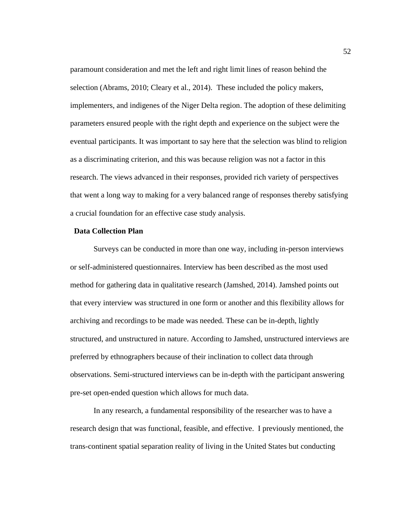paramount consideration and met the left and right limit lines of reason behind the selection (Abrams, 2010; Cleary et al., 2014). These included the policy makers, implementers, and indigenes of the Niger Delta region. The adoption of these delimiting parameters ensured people with the right depth and experience on the subject were the eventual participants. It was important to say here that the selection was blind to religion as a discriminating criterion, and this was because religion was not a factor in this research. The views advanced in their responses, provided rich variety of perspectives that went a long way to making for a very balanced range of responses thereby satisfying a crucial foundation for an effective case study analysis.

#### **Data Collection Plan**

Surveys can be conducted in more than one way, including in-person interviews or self-administered questionnaires. Interview has been described as the most used method for gathering data in qualitative research (Jamshed, 2014). Jamshed points out that every interview was structured in one form or another and this flexibility allows for archiving and recordings to be made was needed. These can be in-depth, lightly structured, and unstructured in nature. According to Jamshed, unstructured interviews are preferred by ethnographers because of their inclination to collect data through observations. Semi-structured interviews can be in-depth with the participant answering pre-set open-ended question which allows for much data.

In any research, a fundamental responsibility of the researcher was to have a research design that was functional, feasible, and effective. I previously mentioned, the trans-continent spatial separation reality of living in the United States but conducting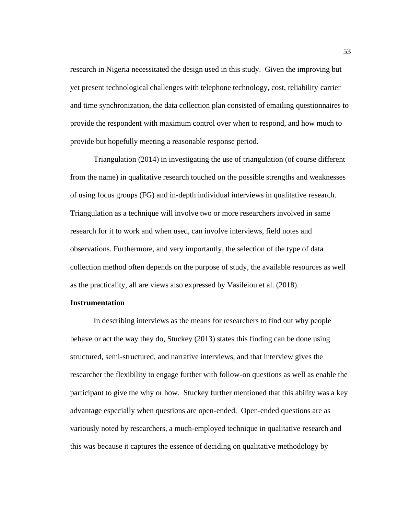research in Nigeria necessitated the design used in this study. Given the improving but yet present technological challenges with telephone technology, cost, reliability carrier and time synchronization, the data collection plan consisted of emailing questionnaires to provide the respondent with maximum control over when to respond, and how much to provide but hopefully meeting a reasonable response period.

Triangulation (2014) in investigating the use of triangulation (of course different from the name) in qualitative research touched on the possible strengths and weaknesses of using focus groups (FG) and in-depth individual interviews in qualitative research. Triangulation as a technique will involve two or more researchers involved in same research for it to work and when used, can involve interviews, field notes and observations. Furthermore, and very importantly, the selection of the type of data collection method often depends on the purpose of study, the available resources as well as the practicality, all are views also expressed by Vasileiou et al. (2018).

## **Instrumentation**

In describing interviews as the means for researchers to find out why people behave or act the way they do, Stuckey (2013) states this finding can be done using structured, semi-structured, and narrative interviews, and that interview gives the researcher the flexibility to engage further with follow-on questions as well as enable the participant to give the why or how. Stuckey further mentioned that this ability was a key advantage especially when questions are open-ended. Open-ended questions are as variously noted by researchers, a much-employed technique in qualitative research and this was because it captures the essence of deciding on qualitative methodology by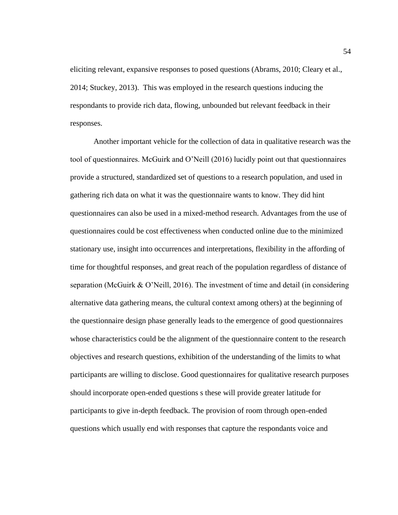eliciting relevant, expansive responses to posed questions (Abrams, 2010; Cleary et al., 2014; Stuckey, 2013). This was employed in the research questions inducing the respondants to provide rich data, flowing, unbounded but relevant feedback in their responses.

Another important vehicle for the collection of data in qualitative research was the tool of questionnaires. McGuirk and O'Neill (2016) lucidly point out that questionnaires provide a structured, standardized set of questions to a research population, and used in gathering rich data on what it was the questionnaire wants to know. They did hint questionnaires can also be used in a mixed-method research. Advantages from the use of questionnaires could be cost effectiveness when conducted online due to the minimized stationary use, insight into occurrences and interpretations, flexibility in the affording of time for thoughtful responses, and great reach of the population regardless of distance of separation (McGuirk & O'Neill, 2016). The investment of time and detail (in considering alternative data gathering means, the cultural context among others) at the beginning of the questionnaire design phase generally leads to the emergence of good questionnaires whose characteristics could be the alignment of the questionnaire content to the research objectives and research questions, exhibition of the understanding of the limits to what participants are willing to disclose. Good questionnaires for qualitative research purposes should incorporate open-ended questions s these will provide greater latitude for participants to give in-depth feedback. The provision of room through open-ended questions which usually end with responses that capture the respondants voice and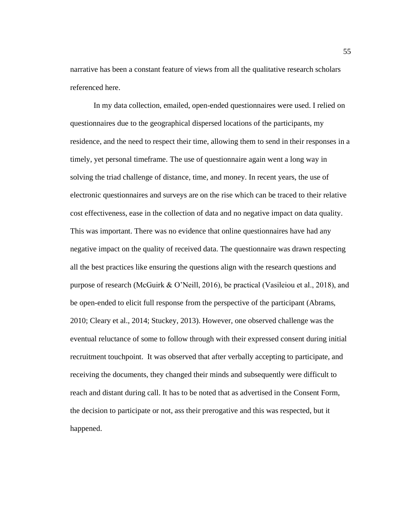narrative has been a constant feature of views from all the qualitative research scholars referenced here.

In my data collection, emailed, open-ended questionnaires were used. I relied on questionnaires due to the geographical dispersed locations of the participants, my residence, and the need to respect their time, allowing them to send in their responses in a timely, yet personal timeframe. The use of questionnaire again went a long way in solving the triad challenge of distance, time, and money. In recent years, the use of electronic questionnaires and surveys are on the rise which can be traced to their relative cost effectiveness, ease in the collection of data and no negative impact on data quality. This was important. There was no evidence that online questionnaires have had any negative impact on the quality of received data. The questionnaire was drawn respecting all the best practices like ensuring the questions align with the research questions and purpose of research (McGuirk & O'Neill, 2016), be practical (Vasileiou et al., 2018), and be open-ended to elicit full response from the perspective of the participant (Abrams, 2010; Cleary et al., 2014; Stuckey, 2013). However, one observed challenge was the eventual reluctance of some to follow through with their expressed consent during initial recruitment touchpoint. It was observed that after verbally accepting to participate, and receiving the documents, they changed their minds and subsequently were difficult to reach and distant during call. It has to be noted that as advertised in the Consent Form, the decision to participate or not, ass their prerogative and this was respected, but it happened.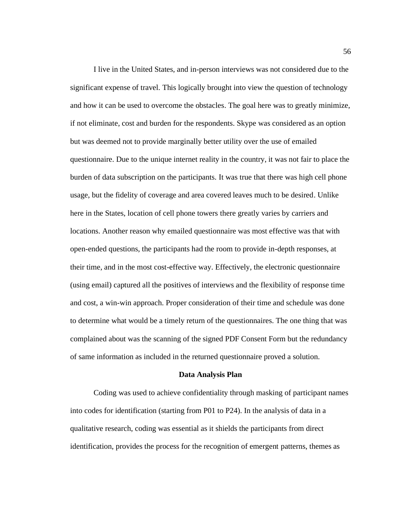I live in the United States, and in-person interviews was not considered due to the significant expense of travel. This logically brought into view the question of technology and how it can be used to overcome the obstacles. The goal here was to greatly minimize, if not eliminate, cost and burden for the respondents. Skype was considered as an option but was deemed not to provide marginally better utility over the use of emailed questionnaire. Due to the unique internet reality in the country, it was not fair to place the burden of data subscription on the participants. It was true that there was high cell phone usage, but the fidelity of coverage and area covered leaves much to be desired. Unlike here in the States, location of cell phone towers there greatly varies by carriers and locations. Another reason why emailed questionnaire was most effective was that with open-ended questions, the participants had the room to provide in-depth responses, at their time, and in the most cost-effective way. Effectively, the electronic questionnaire (using email) captured all the positives of interviews and the flexibility of response time and cost, a win-win approach. Proper consideration of their time and schedule was done to determine what would be a timely return of the questionnaires. The one thing that was complained about was the scanning of the signed PDF Consent Form but the redundancy of same information as included in the returned questionnaire proved a solution.

#### **Data Analysis Plan**

Coding was used to achieve confidentiality through masking of participant names into codes for identification (starting from P01 to P24). In the analysis of data in a qualitative research, coding was essential as it shields the participants from direct identification, provides the process for the recognition of emergent patterns, themes as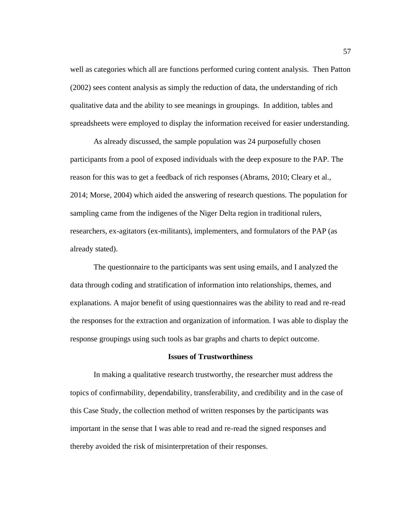well as categories which all are functions performed curing content analysis. Then Patton (2002) sees content analysis as simply the reduction of data, the understanding of rich qualitative data and the ability to see meanings in groupings. In addition, tables and spreadsheets were employed to display the information received for easier understanding.

As already discussed, the sample population was 24 purposefully chosen participants from a pool of exposed individuals with the deep exposure to the PAP. The reason for this was to get a feedback of rich responses (Abrams, 2010; Cleary et al., 2014; Morse, 2004) which aided the answering of research questions. The population for sampling came from the indigenes of the Niger Delta region in traditional rulers, researchers, ex-agitators (ex-militants), implementers, and formulators of the PAP (as already stated).

The questionnaire to the participants was sent using emails, and I analyzed the data through coding and stratification of information into relationships, themes, and explanations. A major benefit of using questionnaires was the ability to read and re-read the responses for the extraction and organization of information. I was able to display the response groupings using such tools as bar graphs and charts to depict outcome.

## **Issues of Trustworthiness**

In making a qualitative research trustworthy, the researcher must address the topics of confirmability, dependability, transferability, and credibility and in the case of this Case Study, the collection method of written responses by the participants was important in the sense that I was able to read and re-read the signed responses and thereby avoided the risk of misinterpretation of their responses.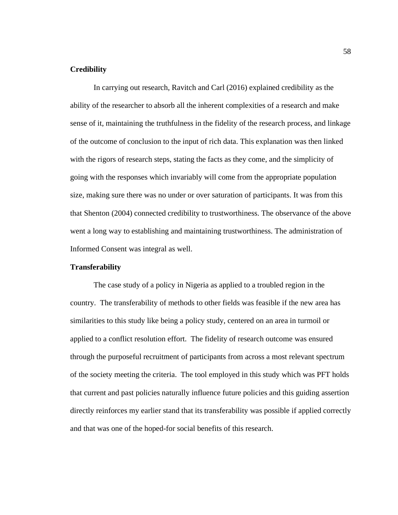# **Credibility**

In carrying out research, Ravitch and Carl (2016) explained credibility as the ability of the researcher to absorb all the inherent complexities of a research and make sense of it, maintaining the truthfulness in the fidelity of the research process, and linkage of the outcome of conclusion to the input of rich data. This explanation was then linked with the rigors of research steps, stating the facts as they come, and the simplicity of going with the responses which invariably will come from the appropriate population size, making sure there was no under or over saturation of participants. It was from this that Shenton (2004) connected credibility to trustworthiness. The observance of the above went a long way to establishing and maintaining trustworthiness. The administration of Informed Consent was integral as well.

# **Transferability**

The case study of a policy in Nigeria as applied to a troubled region in the country. The transferability of methods to other fields was feasible if the new area has similarities to this study like being a policy study, centered on an area in turmoil or applied to a conflict resolution effort. The fidelity of research outcome was ensured through the purposeful recruitment of participants from across a most relevant spectrum of the society meeting the criteria. The tool employed in this study which was PFT holds that current and past policies naturally influence future policies and this guiding assertion directly reinforces my earlier stand that its transferability was possible if applied correctly and that was one of the hoped-for social benefits of this research.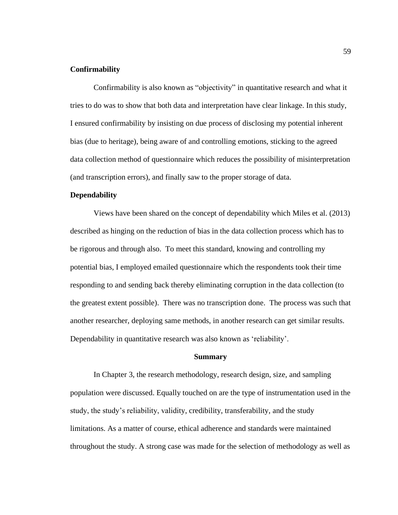# **Confirmability**

Confirmability is also known as "objectivity" in quantitative research and what it tries to do was to show that both data and interpretation have clear linkage. In this study, I ensured confirmability by insisting on due process of disclosing my potential inherent bias (due to heritage), being aware of and controlling emotions, sticking to the agreed data collection method of questionnaire which reduces the possibility of misinterpretation (and transcription errors), and finally saw to the proper storage of data.

#### **Dependability**

Views have been shared on the concept of dependability which Miles et al. (2013) described as hinging on the reduction of bias in the data collection process which has to be rigorous and through also. To meet this standard, knowing and controlling my potential bias, I employed emailed questionnaire which the respondents took their time responding to and sending back thereby eliminating corruption in the data collection (to the greatest extent possible). There was no transcription done. The process was such that another researcher, deploying same methods, in another research can get similar results. Dependability in quantitative research was also known as 'reliability'.

#### **Summary**

In Chapter 3, the research methodology, research design, size, and sampling population were discussed. Equally touched on are the type of instrumentation used in the study, the study's reliability, validity, credibility, transferability, and the study limitations. As a matter of course, ethical adherence and standards were maintained throughout the study. A strong case was made for the selection of methodology as well as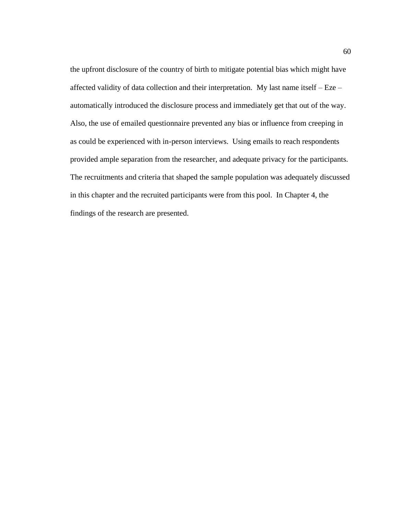the upfront disclosure of the country of birth to mitigate potential bias which might have affected validity of data collection and their interpretation. My last name itself – Eze – automatically introduced the disclosure process and immediately get that out of the way. Also, the use of emailed questionnaire prevented any bias or influence from creeping in as could be experienced with in-person interviews. Using emails to reach respondents provided ample separation from the researcher, and adequate privacy for the participants. The recruitments and criteria that shaped the sample population was adequately discussed in this chapter and the recruited participants were from this pool. In Chapter 4, the findings of the research are presented.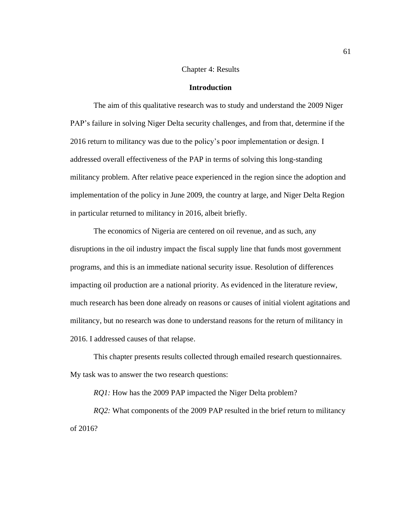### Chapter 4: Results

#### **Introduction**

The aim of this qualitative research was to study and understand the 2009 Niger PAP's failure in solving Niger Delta security challenges, and from that, determine if the 2016 return to militancy was due to the policy's poor implementation or design. I addressed overall effectiveness of the PAP in terms of solving this long-standing militancy problem. After relative peace experienced in the region since the adoption and implementation of the policy in June 2009, the country at large, and Niger Delta Region in particular returned to militancy in 2016, albeit briefly.

The economics of Nigeria are centered on oil revenue, and as such, any disruptions in the oil industry impact the fiscal supply line that funds most government programs, and this is an immediate national security issue. Resolution of differences impacting oil production are a national priority. As evidenced in the literature review, much research has been done already on reasons or causes of initial violent agitations and militancy, but no research was done to understand reasons for the return of militancy in 2016. I addressed causes of that relapse.

This chapter presents results collected through emailed research questionnaires. My task was to answer the two research questions:

*RQ1*: How has the 2009 PAP impacted the Niger Delta problem?

*RQ2*: What components of the 2009 PAP resulted in the brief return to militancy of 2016?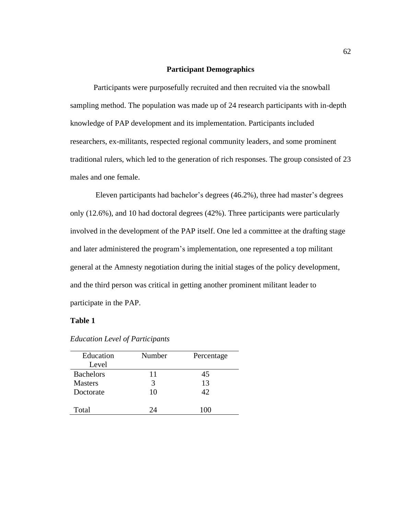## **Participant Demographics**

Participants were purposefully recruited and then recruited via the snowball sampling method. The population was made up of 24 research participants with in-depth knowledge of PAP development and its implementation. Participants included researchers, ex-militants, respected regional community leaders, and some prominent traditional rulers, which led to the generation of rich responses. The group consisted of 23 males and one female.

Eleven participants had bachelor's degrees (46.2%), three had master's degrees only (12.6%), and 10 had doctoral degrees (42%). Three participants were particularly involved in the development of the PAP itself. One led a committee at the drafting stage and later administered the program's implementation, one represented a top militant general at the Amnesty negotiation during the initial stages of the policy development, and the third person was critical in getting another prominent militant leader to participate in the PAP.

# **Table 1**

| Education        | Number | Percentage |
|------------------|--------|------------|
| Level            |        |            |
| <b>Bachelors</b> | 11     | 45         |
| <b>Masters</b>   | 3      | 13         |
| Doctorate        | 10     | 42         |
|                  |        |            |
| Total            | 24     | 100        |

*Education Level of Participants*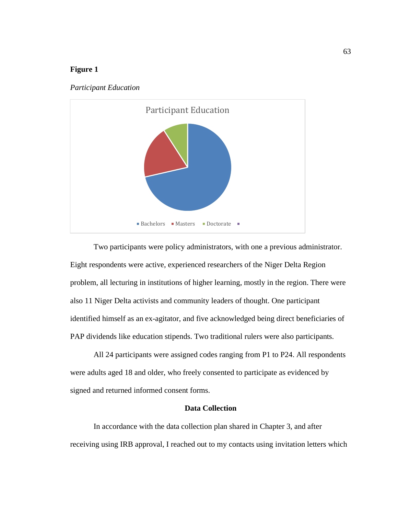# **Figure 1**





Two participants were policy administrators, with one a previous administrator. Eight respondents were active, experienced researchers of the Niger Delta Region problem, all lecturing in institutions of higher learning, mostly in the region. There were also 11 Niger Delta activists and community leaders of thought. One participant identified himself as an ex-agitator, and five acknowledged being direct beneficiaries of PAP dividends like education stipends. Two traditional rulers were also participants.

All 24 participants were assigned codes ranging from P1 to P24. All respondents were adults aged 18 and older, who freely consented to participate as evidenced by signed and returned informed consent forms.

# **Data Collection**

In accordance with the data collection plan shared in Chapter 3, and after receiving using IRB approval, I reached out to my contacts using invitation letters which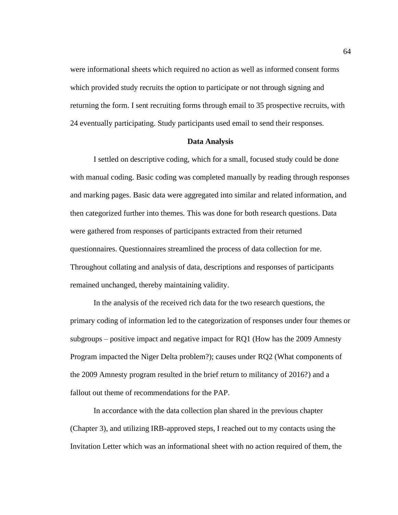were informational sheets which required no action as well as informed consent forms which provided study recruits the option to participate or not through signing and returning the form. I sent recruiting forms through email to 35 prospective recruits, with 24 eventually participating. Study participants used email to send their responses.

# **Data Analysis**

I settled on descriptive coding, which for a small, focused study could be done with manual coding. Basic coding was completed manually by reading through responses and marking pages. Basic data were aggregated into similar and related information, and then categorized further into themes. This was done for both research questions. Data were gathered from responses of participants extracted from their returned questionnaires. Questionnaires streamlined the process of data collection for me. Throughout collating and analysis of data, descriptions and responses of participants remained unchanged, thereby maintaining validity.

In the analysis of the received rich data for the two research questions, the primary coding of information led to the categorization of responses under four themes or subgroups – positive impact and negative impact for RQ1 (How has the 2009 Amnesty Program impacted the Niger Delta problem?); causes under RQ2 (What components of the 2009 Amnesty program resulted in the brief return to militancy of 2016?) and a fallout out theme of recommendations for the PAP.

In accordance with the data collection plan shared in the previous chapter (Chapter 3), and utilizing IRB-approved steps, I reached out to my contacts using the Invitation Letter which was an informational sheet with no action required of them, the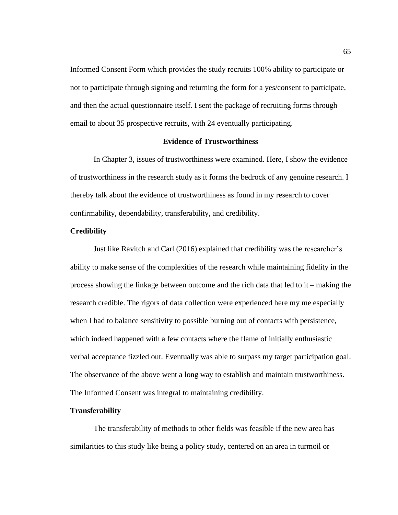Informed Consent Form which provides the study recruits 100% ability to participate or not to participate through signing and returning the form for a yes/consent to participate, and then the actual questionnaire itself. I sent the package of recruiting forms through email to about 35 prospective recruits, with 24 eventually participating.

# **Evidence of Trustworthiness**

In Chapter 3, issues of trustworthiness were examined. Here, I show the evidence of trustworthiness in the research study as it forms the bedrock of any genuine research. I thereby talk about the evidence of trustworthiness as found in my research to cover confirmability, dependability, transferability, and credibility.

# **Credibility**

Just like Ravitch and Carl (2016) explained that credibility was the researcher's ability to make sense of the complexities of the research while maintaining fidelity in the process showing the linkage between outcome and the rich data that led to it – making the research credible. The rigors of data collection were experienced here my me especially when I had to balance sensitivity to possible burning out of contacts with persistence, which indeed happened with a few contacts where the flame of initially enthusiastic verbal acceptance fizzled out. Eventually was able to surpass my target participation goal. The observance of the above went a long way to establish and maintain trustworthiness. The Informed Consent was integral to maintaining credibility.

# **Transferability**

The transferability of methods to other fields was feasible if the new area has similarities to this study like being a policy study, centered on an area in turmoil or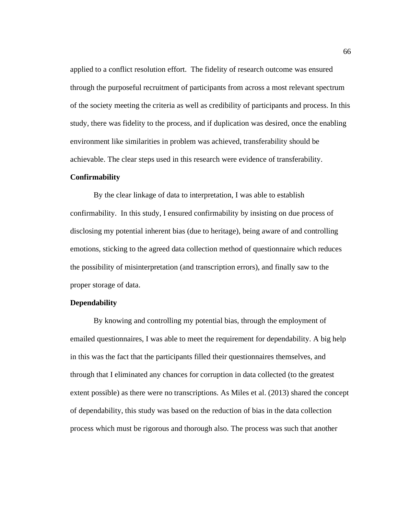applied to a conflict resolution effort. The fidelity of research outcome was ensured through the purposeful recruitment of participants from across a most relevant spectrum of the society meeting the criteria as well as credibility of participants and process. In this study, there was fidelity to the process, and if duplication was desired, once the enabling environment like similarities in problem was achieved, transferability should be achievable. The clear steps used in this research were evidence of transferability.

#### **Confirmability**

By the clear linkage of data to interpretation, I was able to establish confirmability. In this study, I ensured confirmability by insisting on due process of disclosing my potential inherent bias (due to heritage), being aware of and controlling emotions, sticking to the agreed data collection method of questionnaire which reduces the possibility of misinterpretation (and transcription errors), and finally saw to the proper storage of data.

# **Dependability**

By knowing and controlling my potential bias, through the employment of emailed questionnaires, I was able to meet the requirement for dependability. A big help in this was the fact that the participants filled their questionnaires themselves, and through that I eliminated any chances for corruption in data collected (to the greatest extent possible) as there were no transcriptions. As Miles et al. (2013) shared the concept of dependability, this study was based on the reduction of bias in the data collection process which must be rigorous and thorough also. The process was such that another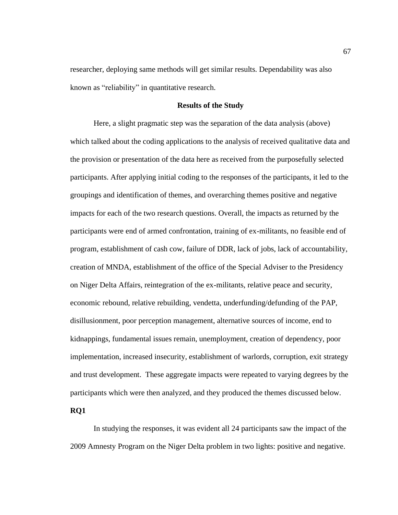researcher, deploying same methods will get similar results. Dependability was also known as "reliability" in quantitative research.

# **Results of the Study**

Here, a slight pragmatic step was the separation of the data analysis (above) which talked about the coding applications to the analysis of received qualitative data and the provision or presentation of the data here as received from the purposefully selected participants. After applying initial coding to the responses of the participants, it led to the groupings and identification of themes, and overarching themes positive and negative impacts for each of the two research questions. Overall, the impacts as returned by the participants were end of armed confrontation, training of ex-militants, no feasible end of program, establishment of cash cow, failure of DDR, lack of jobs, lack of accountability, creation of MNDA, establishment of the office of the Special Adviser to the Presidency on Niger Delta Affairs, reintegration of the ex-militants, relative peace and security, economic rebound, relative rebuilding, vendetta, underfunding/defunding of the PAP, disillusionment, poor perception management, alternative sources of income, end to kidnappings, fundamental issues remain, unemployment, creation of dependency, poor implementation, increased insecurity, establishment of warlords, corruption, exit strategy and trust development. These aggregate impacts were repeated to varying degrees by the participants which were then analyzed, and they produced the themes discussed below.

#### **RQ1**

In studying the responses, it was evident all 24 participants saw the impact of the 2009 Amnesty Program on the Niger Delta problem in two lights: positive and negative.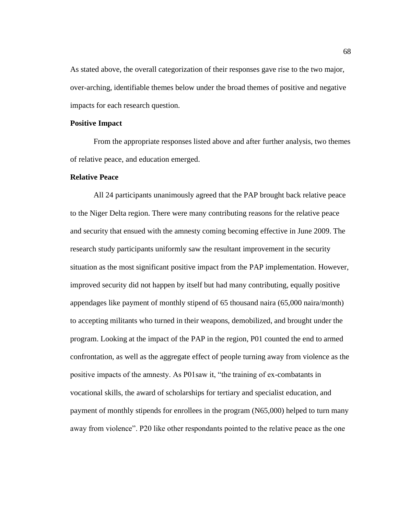As stated above, the overall categorization of their responses gave rise to the two major, over-arching, identifiable themes below under the broad themes of positive and negative impacts for each research question.

#### **Positive Impact**

From the appropriate responses listed above and after further analysis, two themes of relative peace, and education emerged.

#### **Relative Peace**

All 24 participants unanimously agreed that the PAP brought back relative peace to the Niger Delta region. There were many contributing reasons for the relative peace and security that ensued with the amnesty coming becoming effective in June 2009. The research study participants uniformly saw the resultant improvement in the security situation as the most significant positive impact from the PAP implementation. However, improved security did not happen by itself but had many contributing, equally positive appendages like payment of monthly stipend of 65 thousand naira (65,000 naira/month) to accepting militants who turned in their weapons, demobilized, and brought under the program. Looking at the impact of the PAP in the region, P01 counted the end to armed confrontation, as well as the aggregate effect of people turning away from violence as the positive impacts of the amnesty. As P01saw it, "the training of ex-combatants in vocational skills, the award of scholarships for tertiary and specialist education, and payment of monthly stipends for enrollees in the program (N65,000) helped to turn many away from violence". P20 like other respondants pointed to the relative peace as the one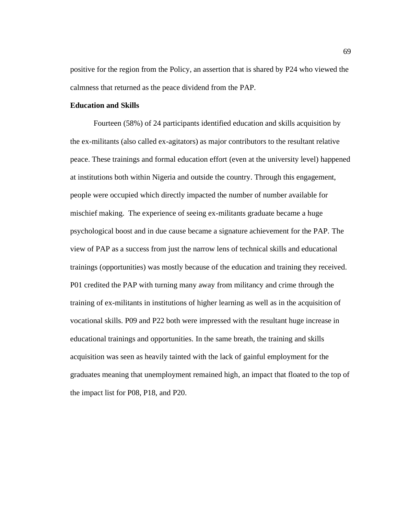positive for the region from the Policy, an assertion that is shared by P24 who viewed the calmness that returned as the peace dividend from the PAP.

# **Education and Skills**

Fourteen (58%) of 24 participants identified education and skills acquisition by the ex-militants (also called ex-agitators) as major contributors to the resultant relative peace. These trainings and formal education effort (even at the university level) happened at institutions both within Nigeria and outside the country. Through this engagement, people were occupied which directly impacted the number of number available for mischief making. The experience of seeing ex-militants graduate became a huge psychological boost and in due cause became a signature achievement for the PAP. The view of PAP as a success from just the narrow lens of technical skills and educational trainings (opportunities) was mostly because of the education and training they received. P01 credited the PAP with turning many away from militancy and crime through the training of ex-militants in institutions of higher learning as well as in the acquisition of vocational skills. P09 and P22 both were impressed with the resultant huge increase in educational trainings and opportunities. In the same breath, the training and skills acquisition was seen as heavily tainted with the lack of gainful employment for the graduates meaning that unemployment remained high, an impact that floated to the top of the impact list for P08, P18, and P20.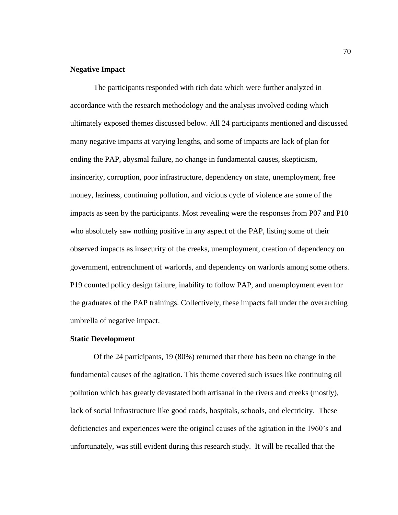# **Negative Impact**

The participants responded with rich data which were further analyzed in accordance with the research methodology and the analysis involved coding which ultimately exposed themes discussed below. All 24 participants mentioned and discussed many negative impacts at varying lengths, and some of impacts are lack of plan for ending the PAP, abysmal failure, no change in fundamental causes, skepticism, insincerity, corruption, poor infrastructure, dependency on state, unemployment, free money, laziness, continuing pollution, and vicious cycle of violence are some of the impacts as seen by the participants. Most revealing were the responses from P07 and P10 who absolutely saw nothing positive in any aspect of the PAP, listing some of their observed impacts as insecurity of the creeks, unemployment, creation of dependency on government, entrenchment of warlords, and dependency on warlords among some others. P19 counted policy design failure, inability to follow PAP, and unemployment even for the graduates of the PAP trainings. Collectively, these impacts fall under the overarching umbrella of negative impact.

### **Static Development**

Of the 24 participants, 19 (80%) returned that there has been no change in the fundamental causes of the agitation. This theme covered such issues like continuing oil pollution which has greatly devastated both artisanal in the rivers and creeks (mostly), lack of social infrastructure like good roads, hospitals, schools, and electricity. These deficiencies and experiences were the original causes of the agitation in the 1960's and unfortunately, was still evident during this research study. It will be recalled that the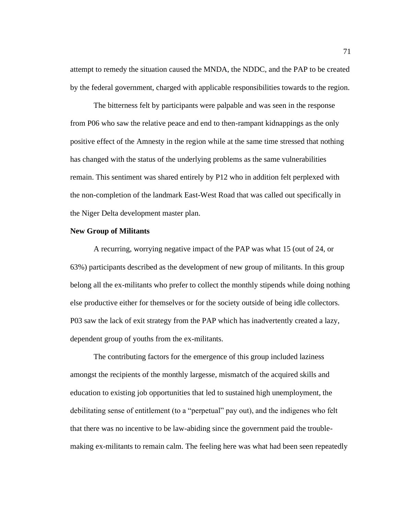attempt to remedy the situation caused the MNDA, the NDDC, and the PAP to be created by the federal government, charged with applicable responsibilities towards to the region.

The bitterness felt by participants were palpable and was seen in the response from P06 who saw the relative peace and end to then-rampant kidnappings as the only positive effect of the Amnesty in the region while at the same time stressed that nothing has changed with the status of the underlying problems as the same vulnerabilities remain. This sentiment was shared entirely by P12 who in addition felt perplexed with the non-completion of the landmark East-West Road that was called out specifically in the Niger Delta development master plan.

### **New Group of Militants**

A recurring, worrying negative impact of the PAP was what 15 (out of 24, or 63%) participants described as the development of new group of militants. In this group belong all the ex-militants who prefer to collect the monthly stipends while doing nothing else productive either for themselves or for the society outside of being idle collectors. P03 saw the lack of exit strategy from the PAP which has inadvertently created a lazy, dependent group of youths from the ex-militants.

The contributing factors for the emergence of this group included laziness amongst the recipients of the monthly largesse, mismatch of the acquired skills and education to existing job opportunities that led to sustained high unemployment, the debilitating sense of entitlement (to a "perpetual" pay out), and the indigenes who felt that there was no incentive to be law-abiding since the government paid the troublemaking ex-militants to remain calm. The feeling here was what had been seen repeatedly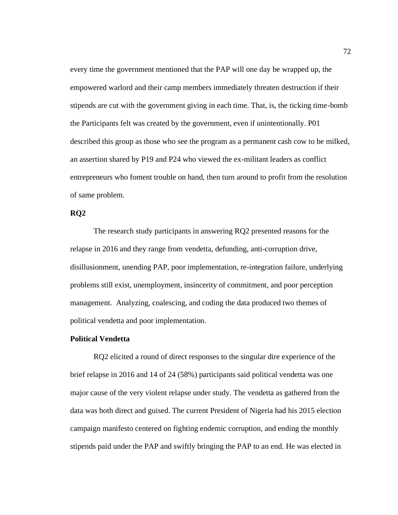every time the government mentioned that the PAP will one day be wrapped up, the empowered warlord and their camp members immediately threaten destruction if their stipends are cut with the government giving in each time. That, is, the ticking time-bomb the Participants felt was created by the government, even if unintentionally. P01 described this group as those who see the program as a permanent cash cow to be milked, an assertion shared by P19 and P24 who viewed the ex-militant leaders as conflict entrepreneurs who foment trouble on hand, then turn around to profit from the resolution of same problem.

# **RQ2**

The research study participants in answering RQ2 presented reasons for the relapse in 2016 and they range from vendetta, defunding, anti-corruption drive, disillusionment, unending PAP, poor implementation, re-integration failure, underlying problems still exist, unemployment, insincerity of commitment, and poor perception management. Analyzing, coalescing, and coding the data produced two themes of political vendetta and poor implementation.

### **Political Vendetta**

RQ2 elicited a round of direct responses to the singular dire experience of the brief relapse in 2016 and 14 of 24 (58%) participants said political vendetta was one major cause of the very violent relapse under study. The vendetta as gathered from the data was both direct and guised. The current President of Nigeria had his 2015 election campaign manifesto centered on fighting endemic corruption, and ending the monthly stipends paid under the PAP and swiftly bringing the PAP to an end. He was elected in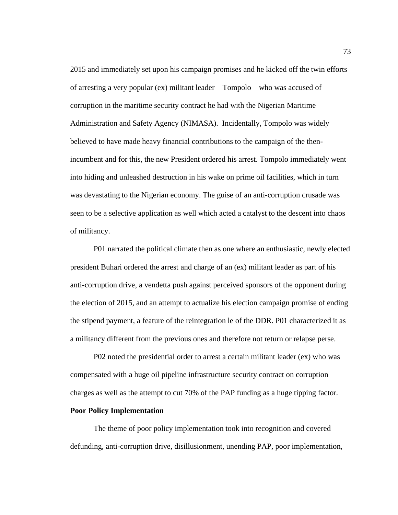2015 and immediately set upon his campaign promises and he kicked off the twin efforts of arresting a very popular (ex) militant leader – Tompolo – who was accused of corruption in the maritime security contract he had with the Nigerian Maritime Administration and Safety Agency (NIMASA). Incidentally, Tompolo was widely believed to have made heavy financial contributions to the campaign of the thenincumbent and for this, the new President ordered his arrest. Tompolo immediately went into hiding and unleashed destruction in his wake on prime oil facilities, which in turn was devastating to the Nigerian economy. The guise of an anti-corruption crusade was seen to be a selective application as well which acted a catalyst to the descent into chaos of militancy.

P01 narrated the political climate then as one where an enthusiastic, newly elected president Buhari ordered the arrest and charge of an (ex) militant leader as part of his anti-corruption drive, a vendetta push against perceived sponsors of the opponent during the election of 2015, and an attempt to actualize his election campaign promise of ending the stipend payment, a feature of the reintegration le of the DDR. P01 characterized it as a militancy different from the previous ones and therefore not return or relapse perse.

P02 noted the presidential order to arrest a certain militant leader (ex) who was compensated with a huge oil pipeline infrastructure security contract on corruption charges as well as the attempt to cut 70% of the PAP funding as a huge tipping factor.

### **Poor Policy Implementation**

The theme of poor policy implementation took into recognition and covered defunding, anti-corruption drive, disillusionment, unending PAP, poor implementation,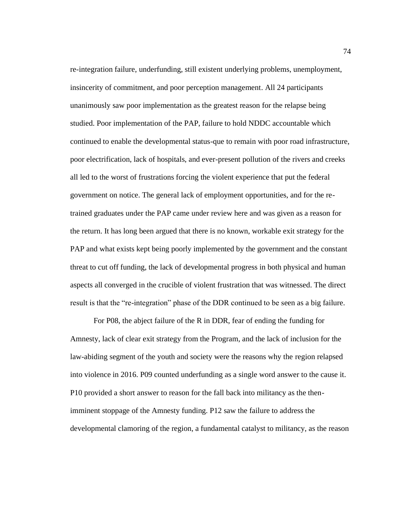re-integration failure, underfunding, still existent underlying problems, unemployment, insincerity of commitment, and poor perception management. All 24 participants unanimously saw poor implementation as the greatest reason for the relapse being studied. Poor implementation of the PAP, failure to hold NDDC accountable which continued to enable the developmental status-que to remain with poor road infrastructure, poor electrification, lack of hospitals, and ever-present pollution of the rivers and creeks all led to the worst of frustrations forcing the violent experience that put the federal government on notice. The general lack of employment opportunities, and for the retrained graduates under the PAP came under review here and was given as a reason for the return. It has long been argued that there is no known, workable exit strategy for the PAP and what exists kept being poorly implemented by the government and the constant threat to cut off funding, the lack of developmental progress in both physical and human aspects all converged in the crucible of violent frustration that was witnessed. The direct result is that the "re-integration" phase of the DDR continued to be seen as a big failure.

For P08, the abject failure of the R in DDR, fear of ending the funding for Amnesty, lack of clear exit strategy from the Program, and the lack of inclusion for the law-abiding segment of the youth and society were the reasons why the region relapsed into violence in 2016. P09 counted underfunding as a single word answer to the cause it. P10 provided a short answer to reason for the fall back into militancy as the thenimminent stoppage of the Amnesty funding. P12 saw the failure to address the developmental clamoring of the region, a fundamental catalyst to militancy, as the reason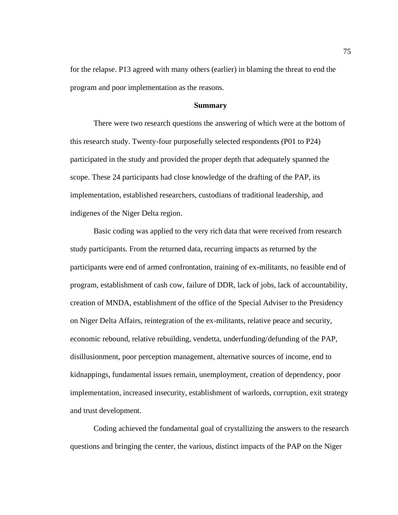for the relapse. P13 agreed with many others (earlier) in blaming the threat to end the program and poor implementation as the reasons.

#### **Summary**

There were two research questions the answering of which were at the bottom of this research study. Twenty-four purposefully selected respondents (P01 to P24) participated in the study and provided the proper depth that adequately spanned the scope. These 24 participants had close knowledge of the drafting of the PAP, its implementation, established researchers, custodians of traditional leadership, and indigenes of the Niger Delta region.

Basic coding was applied to the very rich data that were received from research study participants. From the returned data, recurring impacts as returned by the participants were end of armed confrontation, training of ex-militants, no feasible end of program, establishment of cash cow, failure of DDR, lack of jobs, lack of accountability, creation of MNDA, establishment of the office of the Special Adviser to the Presidency on Niger Delta Affairs, reintegration of the ex-militants, relative peace and security, economic rebound, relative rebuilding, vendetta, underfunding/defunding of the PAP, disillusionment, poor perception management, alternative sources of income, end to kidnappings, fundamental issues remain, unemployment, creation of dependency, poor implementation, increased insecurity, establishment of warlords, corruption, exit strategy and trust development.

Coding achieved the fundamental goal of crystallizing the answers to the research questions and bringing the center, the various, distinct impacts of the PAP on the Niger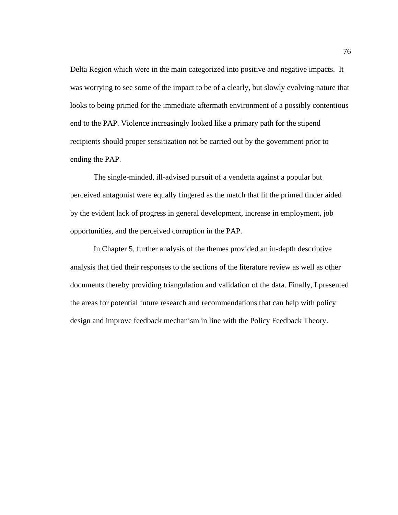Delta Region which were in the main categorized into positive and negative impacts. It was worrying to see some of the impact to be of a clearly, but slowly evolving nature that looks to being primed for the immediate aftermath environment of a possibly contentious end to the PAP. Violence increasingly looked like a primary path for the stipend recipients should proper sensitization not be carried out by the government prior to ending the PAP.

The single-minded, ill-advised pursuit of a vendetta against a popular but perceived antagonist were equally fingered as the match that lit the primed tinder aided by the evident lack of progress in general development, increase in employment, job opportunities, and the perceived corruption in the PAP.

In Chapter 5, further analysis of the themes provided an in-depth descriptive analysis that tied their responses to the sections of the literature review as well as other documents thereby providing triangulation and validation of the data. Finally, I presented the areas for potential future research and recommendations that can help with policy design and improve feedback mechanism in line with the Policy Feedback Theory.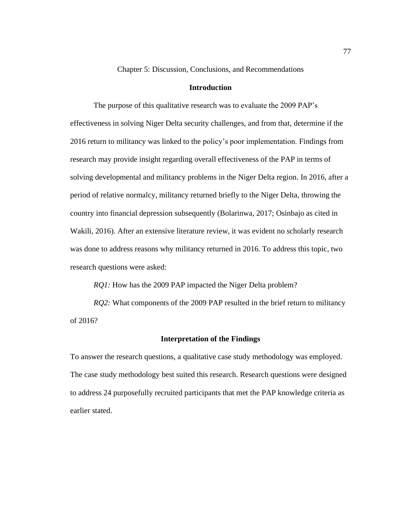Chapter 5: Discussion, Conclusions, and Recommendations

# **Introduction**

The purpose of this qualitative research was to evaluate the 2009 PAP's effectiveness in solving Niger Delta security challenges, and from that, determine if the 2016 return to militancy was linked to the policy's poor implementation. Findings from research may provide insight regarding overall effectiveness of the PAP in terms of solving developmental and militancy problems in the Niger Delta region. In 2016, after a period of relative normalcy, militancy returned briefly to the Niger Delta, throwing the country into financial depression subsequently (Bolarinwa, 2017; Osinbajo as cited in Wakili, 2016). After an extensive literature review, it was evident no scholarly research was done to address reasons why militancy returned in 2016. To address this topic, two research questions were asked:

*RQ1:* How has the 2009 PAP impacted the Niger Delta problem?

*RQ2*: What components of the 2009 PAP resulted in the brief return to militancy of 2016?

#### **Interpretation of the Findings**

To answer the research questions, a qualitative case study methodology was employed. The case study methodology best suited this research. Research questions were designed to address 24 purposefully recruited participants that met the PAP knowledge criteria as earlier stated.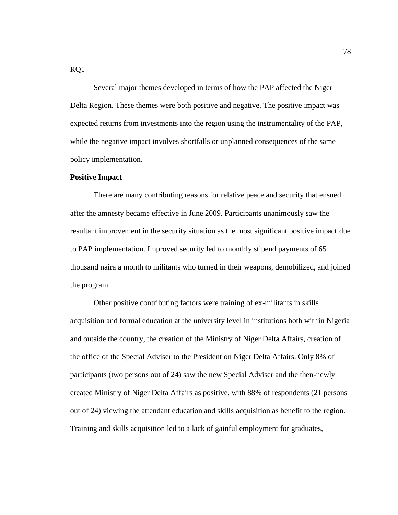Several major themes developed in terms of how the PAP affected the Niger Delta Region. These themes were both positive and negative. The positive impact was expected returns from investments into the region using the instrumentality of the PAP, while the negative impact involves shortfalls or unplanned consequences of the same policy implementation.

### **Positive Impact**

There are many contributing reasons for relative peace and security that ensued after the amnesty became effective in June 2009. Participants unanimously saw the resultant improvement in the security situation as the most significant positive impact due to PAP implementation. Improved security led to monthly stipend payments of 65 thousand naira a month to militants who turned in their weapons, demobilized, and joined the program.

Other positive contributing factors were training of ex-militants in skills acquisition and formal education at the university level in institutions both within Nigeria and outside the country, the creation of the Ministry of Niger Delta Affairs, creation of the office of the Special Adviser to the President on Niger Delta Affairs. Only 8% of participants (two persons out of 24) saw the new Special Adviser and the then-newly created Ministry of Niger Delta Affairs as positive, with 88% of respondents (21 persons out of 24) viewing the attendant education and skills acquisition as benefit to the region. Training and skills acquisition led to a lack of gainful employment for graduates,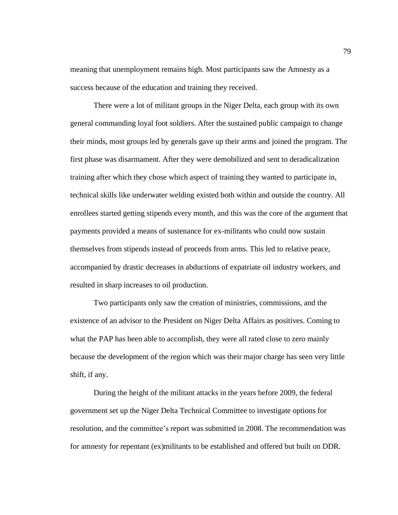meaning that unemployment remains high. Most participants saw the Amnesty as a success because of the education and training they received.

There were a lot of militant groups in the Niger Delta, each group with its own general commanding loyal foot soldiers. After the sustained public campaign to change their minds, most groups led by generals gave up their arms and joined the program. The first phase was disarmament. After they were demobilized and sent to deradicalization training after which they chose which aspect of training they wanted to participate in, technical skills like underwater welding existed both within and outside the country. All enrollees started getting stipends every month, and this was the core of the argument that payments provided a means of sustenance for ex-militants who could now sustain themselves from stipends instead of proceeds from arms. This led to relative peace, accompanied by drastic decreases in abductions of expatriate oil industry workers, and resulted in sharp increases to oil production.

Two participants only saw the creation of ministries, commissions, and the existence of an advisor to the President on Niger Delta Affairs as positives. Coming to what the PAP has been able to accomplish, they were all rated close to zero mainly because the development of the region which was their major charge has seen very little shift, if any.

During the height of the militant attacks in the years before 2009, the federal government set up the Niger Delta Technical Committee to investigate options for resolution, and the committee's report was submitted in 2008. The recommendation was for amnesty for repentant (ex)militants to be established and offered but built on DDR.

79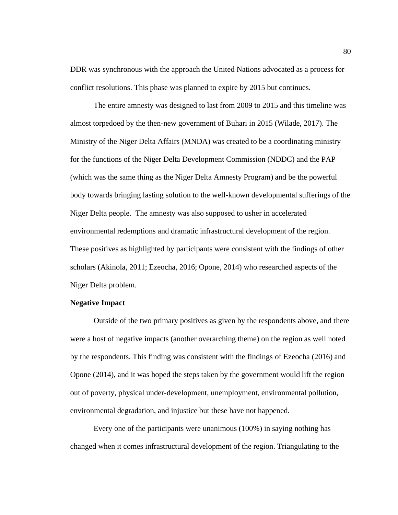DDR was synchronous with the approach the United Nations advocated as a process for conflict resolutions. This phase was planned to expire by 2015 but continues.

The entire amnesty was designed to last from 2009 to 2015 and this timeline was almost torpedoed by the then-new government of Buhari in 2015 (Wilade, 2017). The Ministry of the Niger Delta Affairs (MNDA) was created to be a coordinating ministry for the functions of the Niger Delta Development Commission (NDDC) and the PAP (which was the same thing as the Niger Delta Amnesty Program) and be the powerful body towards bringing lasting solution to the well-known developmental sufferings of the Niger Delta people. The amnesty was also supposed to usher in accelerated environmental redemptions and dramatic infrastructural development of the region. These positives as highlighted by participants were consistent with the findings of other scholars (Akinola, 2011; Ezeocha, 2016; Opone, 2014) who researched aspects of the Niger Delta problem.

# **Negative Impact**

Outside of the two primary positives as given by the respondents above, and there were a host of negative impacts (another overarching theme) on the region as well noted by the respondents. This finding was consistent with the findings of Ezeocha (2016) and Opone (2014), and it was hoped the steps taken by the government would lift the region out of poverty, physical under-development, unemployment, environmental pollution, environmental degradation, and injustice but these have not happened.

Every one of the participants were unanimous (100%) in saying nothing has changed when it comes infrastructural development of the region. Triangulating to the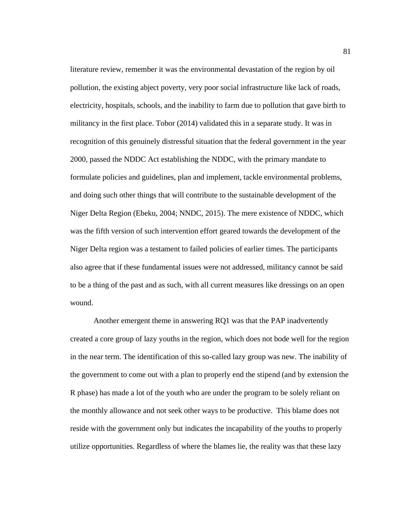literature review, remember it was the environmental devastation of the region by oil pollution, the existing abject poverty, very poor social infrastructure like lack of roads, electricity, hospitals, schools, and the inability to farm due to pollution that gave birth to militancy in the first place. Tobor (2014) validated this in a separate study. It was in recognition of this genuinely distressful situation that the federal government in the year 2000, passed the NDDC Act establishing the NDDC, with the primary mandate to formulate policies and guidelines, plan and implement, tackle environmental problems, and doing such other things that will contribute to the sustainable development of the Niger Delta Region (Ebeku, 2004; NNDC, 2015). The mere existence of NDDC, which was the fifth version of such intervention effort geared towards the development of the Niger Delta region was a testament to failed policies of earlier times. The participants also agree that if these fundamental issues were not addressed, militancy cannot be said to be a thing of the past and as such, with all current measures like dressings on an open wound.

Another emergent theme in answering RQ1 was that the PAP inadvertently created a core group of lazy youths in the region, which does not bode well for the region in the near term. The identification of this so-called lazy group was new. The inability of the government to come out with a plan to properly end the stipend (and by extension the R phase) has made a lot of the youth who are under the program to be solely reliant on the monthly allowance and not seek other ways to be productive. This blame does not reside with the government only but indicates the incapability of the youths to properly utilize opportunities. Regardless of where the blames lie, the reality was that these lazy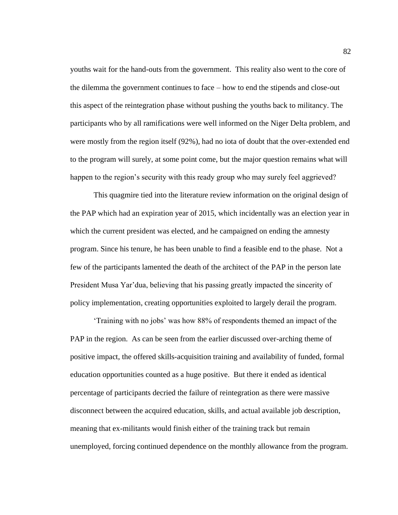youths wait for the hand-outs from the government. This reality also went to the core of the dilemma the government continues to face – how to end the stipends and close-out this aspect of the reintegration phase without pushing the youths back to militancy. The participants who by all ramifications were well informed on the Niger Delta problem, and were mostly from the region itself (92%), had no iota of doubt that the over-extended end to the program will surely, at some point come, but the major question remains what will happen to the region's security with this ready group who may surely feel aggrieved?

This quagmire tied into the literature review information on the original design of the PAP which had an expiration year of 2015, which incidentally was an election year in which the current president was elected, and he campaigned on ending the amnesty program. Since his tenure, he has been unable to find a feasible end to the phase. Not a few of the participants lamented the death of the architect of the PAP in the person late President Musa Yar'dua, believing that his passing greatly impacted the sincerity of policy implementation, creating opportunities exploited to largely derail the program.

'Training with no jobs' was how 88% of respondents themed an impact of the PAP in the region. As can be seen from the earlier discussed over-arching theme of positive impact, the offered skills-acquisition training and availability of funded, formal education opportunities counted as a huge positive. But there it ended as identical percentage of participants decried the failure of reintegration as there were massive disconnect between the acquired education, skills, and actual available job description, meaning that ex-militants would finish either of the training track but remain unemployed, forcing continued dependence on the monthly allowance from the program.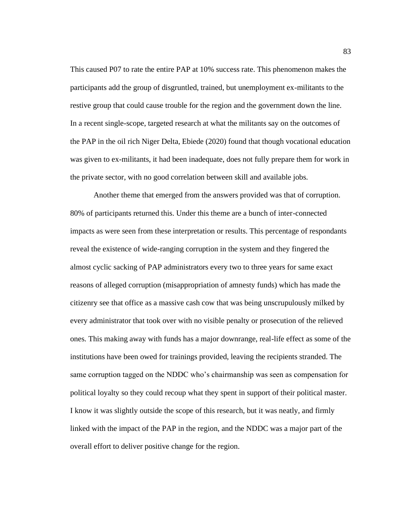This caused P07 to rate the entire PAP at 10% success rate. This phenomenon makes the participants add the group of disgruntled, trained, but unemployment ex-militants to the restive group that could cause trouble for the region and the government down the line. In a recent single-scope, targeted research at what the militants say on the outcomes of the PAP in the oil rich Niger Delta, Ebiede (2020) found that though vocational education was given to ex-militants, it had been inadequate, does not fully prepare them for work in the private sector, with no good correlation between skill and available jobs.

Another theme that emerged from the answers provided was that of corruption. 80% of participants returned this. Under this theme are a bunch of inter-connected impacts as were seen from these interpretation or results. This percentage of respondants reveal the existence of wide-ranging corruption in the system and they fingered the almost cyclic sacking of PAP administrators every two to three years for same exact reasons of alleged corruption (misappropriation of amnesty funds) which has made the citizenry see that office as a massive cash cow that was being unscrupulously milked by every administrator that took over with no visible penalty or prosecution of the relieved ones. This making away with funds has a major downrange, real-life effect as some of the institutions have been owed for trainings provided, leaving the recipients stranded. The same corruption tagged on the NDDC who's chairmanship was seen as compensation for political loyalty so they could recoup what they spent in support of their political master. I know it was slightly outside the scope of this research, but it was neatly, and firmly linked with the impact of the PAP in the region, and the NDDC was a major part of the overall effort to deliver positive change for the region.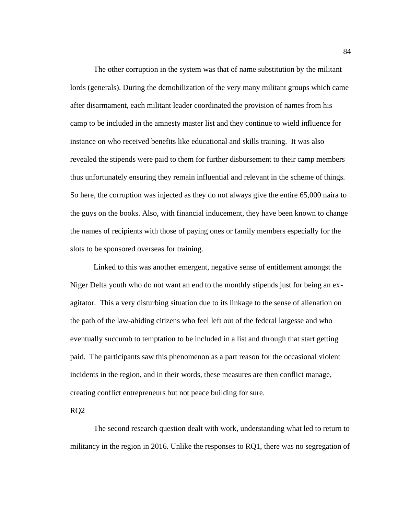The other corruption in the system was that of name substitution by the militant lords (generals). During the demobilization of the very many militant groups which came after disarmament, each militant leader coordinated the provision of names from his camp to be included in the amnesty master list and they continue to wield influence for instance on who received benefits like educational and skills training. It was also revealed the stipends were paid to them for further disbursement to their camp members thus unfortunately ensuring they remain influential and relevant in the scheme of things. So here, the corruption was injected as they do not always give the entire 65,000 naira to the guys on the books. Also, with financial inducement, they have been known to change the names of recipients with those of paying ones or family members especially for the slots to be sponsored overseas for training.

Linked to this was another emergent, negative sense of entitlement amongst the Niger Delta youth who do not want an end to the monthly stipends just for being an exagitator. This a very disturbing situation due to its linkage to the sense of alienation on the path of the law-abiding citizens who feel left out of the federal largesse and who eventually succumb to temptation to be included in a list and through that start getting paid. The participants saw this phenomenon as a part reason for the occasional violent incidents in the region, and in their words, these measures are then conflict manage, creating conflict entrepreneurs but not peace building for sure.

RQ2

The second research question dealt with work, understanding what led to return to militancy in the region in 2016. Unlike the responses to RQ1, there was no segregation of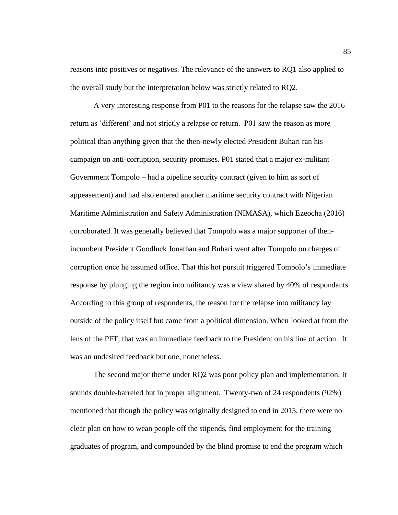reasons into positives or negatives. The relevance of the answers to RQ1 also applied to the overall study but the interpretation below was strictly related to RQ2.

A very interesting response from P01 to the reasons for the relapse saw the 2016 return as 'different' and not strictly a relapse or return. P01 saw the reason as more political than anything given that the then-newly elected President Buhari ran his campaign on anti-corruption, security promises. P01 stated that a major ex-militant – Government Tompolo – had a pipeline security contract (given to him as sort of appeasement) and had also entered another maritime security contract with Nigerian Maritime Administration and Safety Administration (NIMASA), which Ezeocha (2016) corroborated. It was generally believed that Tompolo was a major supporter of thenincumbent President Goodluck Jonathan and Buhari went after Tompolo on charges of corruption once he assumed office. That this hot pursuit triggered Tompolo's immediate response by plunging the region into militancy was a view shared by 40% of respondants. According to this group of respondents, the reason for the relapse into militancy lay outside of the policy itself but came from a political dimension. When looked at from the lens of the PFT, that was an immediate feedback to the President on his line of action. It was an undesired feedback but one, nonetheless.

The second major theme under RQ2 was poor policy plan and implementation. It sounds double-barreled but in proper alignment. Twenty-two of 24 respondents (92%) mentioned that though the policy was originally designed to end in 2015, there were no clear plan on how to wean people off the stipends, find employment for the training graduates of program, and compounded by the blind promise to end the program which

85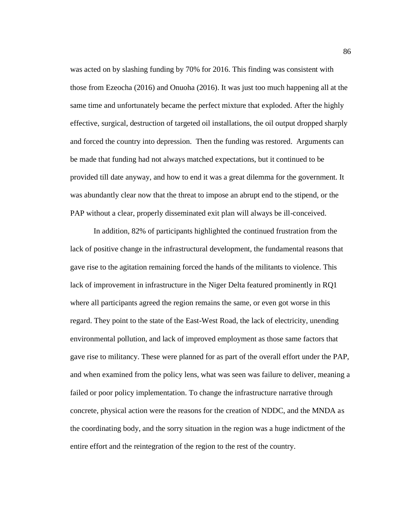was acted on by slashing funding by 70% for 2016. This finding was consistent with those from Ezeocha (2016) and Onuoha (2016). It was just too much happening all at the same time and unfortunately became the perfect mixture that exploded. After the highly effective, surgical, destruction of targeted oil installations, the oil output dropped sharply and forced the country into depression. Then the funding was restored. Arguments can be made that funding had not always matched expectations, but it continued to be provided till date anyway, and how to end it was a great dilemma for the government. It was abundantly clear now that the threat to impose an abrupt end to the stipend, or the PAP without a clear, properly disseminated exit plan will always be ill-conceived.

In addition, 82% of participants highlighted the continued frustration from the lack of positive change in the infrastructural development, the fundamental reasons that gave rise to the agitation remaining forced the hands of the militants to violence. This lack of improvement in infrastructure in the Niger Delta featured prominently in RQ1 where all participants agreed the region remains the same, or even got worse in this regard. They point to the state of the East-West Road, the lack of electricity, unending environmental pollution, and lack of improved employment as those same factors that gave rise to militancy. These were planned for as part of the overall effort under the PAP, and when examined from the policy lens, what was seen was failure to deliver, meaning a failed or poor policy implementation. To change the infrastructure narrative through concrete, physical action were the reasons for the creation of NDDC, and the MNDA as the coordinating body, and the sorry situation in the region was a huge indictment of the entire effort and the reintegration of the region to the rest of the country.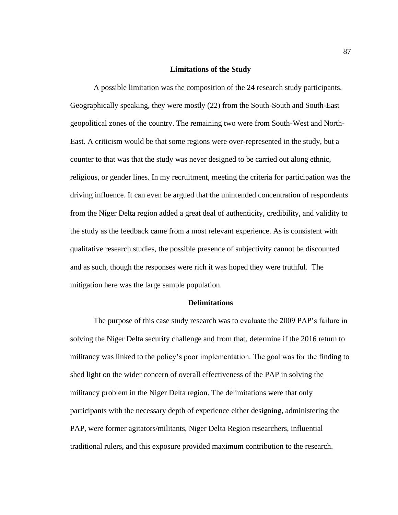#### **Limitations of the Study**

A possible limitation was the composition of the 24 research study participants. Geographically speaking, they were mostly (22) from the South-South and South-East geopolitical zones of the country. The remaining two were from South-West and North-East. A criticism would be that some regions were over-represented in the study, but a counter to that was that the study was never designed to be carried out along ethnic, religious, or gender lines. In my recruitment, meeting the criteria for participation was the driving influence. It can even be argued that the unintended concentration of respondents from the Niger Delta region added a great deal of authenticity, credibility, and validity to the study as the feedback came from a most relevant experience. As is consistent with qualitative research studies, the possible presence of subjectivity cannot be discounted and as such, though the responses were rich it was hoped they were truthful. The mitigation here was the large sample population.

#### **Delimitations**

The purpose of this case study research was to evaluate the 2009 PAP's failure in solving the Niger Delta security challenge and from that, determine if the 2016 return to militancy was linked to the policy's poor implementation. The goal was for the finding to shed light on the wider concern of overall effectiveness of the PAP in solving the militancy problem in the Niger Delta region. The delimitations were that only participants with the necessary depth of experience either designing, administering the PAP, were former agitators/militants, Niger Delta Region researchers, influential traditional rulers, and this exposure provided maximum contribution to the research.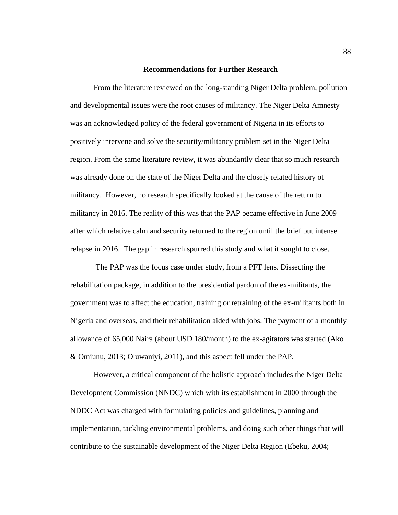#### **Recommendations for Further Research**

From the literature reviewed on the long-standing Niger Delta problem, pollution and developmental issues were the root causes of militancy. The Niger Delta Amnesty was an acknowledged policy of the federal government of Nigeria in its efforts to positively intervene and solve the security/militancy problem set in the Niger Delta region. From the same literature review, it was abundantly clear that so much research was already done on the state of the Niger Delta and the closely related history of militancy. However, no research specifically looked at the cause of the return to militancy in 2016. The reality of this was that the PAP became effective in June 2009 after which relative calm and security returned to the region until the brief but intense relapse in 2016. The gap in research spurred this study and what it sought to close.

The PAP was the focus case under study, from a PFT lens. Dissecting the rehabilitation package, in addition to the presidential pardon of the ex-militants, the government was to affect the education, training or retraining of the ex-militants both in Nigeria and overseas, and their rehabilitation aided with jobs. The payment of a monthly allowance of 65,000 Naira (about USD 180/month) to the ex-agitators was started (Ako & Omiunu, 2013; Oluwaniyi, 2011), and this aspect fell under the PAP.

However, a critical component of the holistic approach includes the Niger Delta Development Commission (NNDC) which with its establishment in 2000 through the NDDC Act was charged with formulating policies and guidelines, planning and implementation, tackling environmental problems, and doing such other things that will contribute to the sustainable development of the Niger Delta Region (Ebeku, 2004;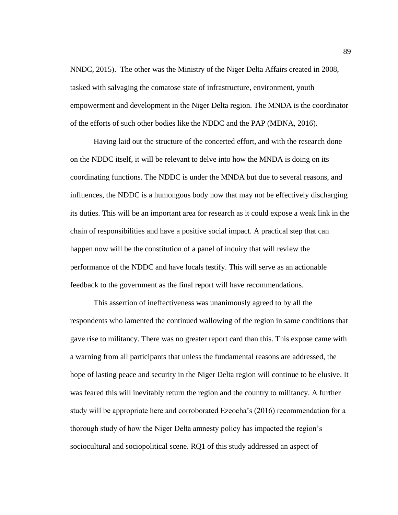NNDC, 2015). The other was the Ministry of the Niger Delta Affairs created in 2008, tasked with salvaging the comatose state of infrastructure, environment, youth empowerment and development in the Niger Delta region. The MNDA is the coordinator of the efforts of such other bodies like the NDDC and the PAP (MDNA, 2016).

Having laid out the structure of the concerted effort, and with the research done on the NDDC itself, it will be relevant to delve into how the MNDA is doing on its coordinating functions. The NDDC is under the MNDA but due to several reasons, and influences, the NDDC is a humongous body now that may not be effectively discharging its duties. This will be an important area for research as it could expose a weak link in the chain of responsibilities and have a positive social impact. A practical step that can happen now will be the constitution of a panel of inquiry that will review the performance of the NDDC and have locals testify. This will serve as an actionable feedback to the government as the final report will have recommendations.

This assertion of ineffectiveness was unanimously agreed to by all the respondents who lamented the continued wallowing of the region in same conditions that gave rise to militancy. There was no greater report card than this. This expose came with a warning from all participants that unless the fundamental reasons are addressed, the hope of lasting peace and security in the Niger Delta region will continue to be elusive. It was feared this will inevitably return the region and the country to militancy. A further study will be appropriate here and corroborated Ezeocha's (2016) recommendation for a thorough study of how the Niger Delta amnesty policy has impacted the region's sociocultural and sociopolitical scene. RQ1 of this study addressed an aspect of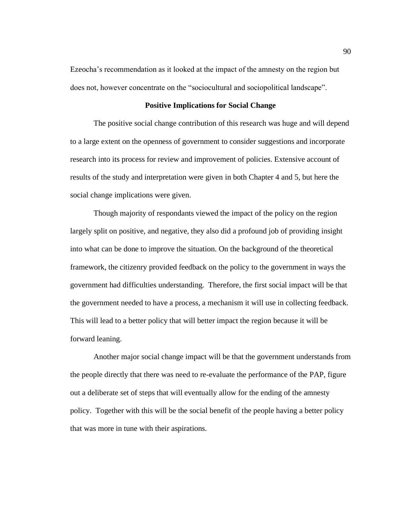Ezeocha's recommendation as it looked at the impact of the amnesty on the region but does not, however concentrate on the "sociocultural and sociopolitical landscape".

#### **Positive Implications for Social Change**

The positive social change contribution of this research was huge and will depend to a large extent on the openness of government to consider suggestions and incorporate research into its process for review and improvement of policies. Extensive account of results of the study and interpretation were given in both Chapter 4 and 5, but here the social change implications were given.

Though majority of respondants viewed the impact of the policy on the region largely split on positive, and negative, they also did a profound job of providing insight into what can be done to improve the situation. On the background of the theoretical framework, the citizenry provided feedback on the policy to the government in ways the government had difficulties understanding. Therefore, the first social impact will be that the government needed to have a process, a mechanism it will use in collecting feedback. This will lead to a better policy that will better impact the region because it will be forward leaning.

Another major social change impact will be that the government understands from the people directly that there was need to re-evaluate the performance of the PAP, figure out a deliberate set of steps that will eventually allow for the ending of the amnesty policy. Together with this will be the social benefit of the people having a better policy that was more in tune with their aspirations.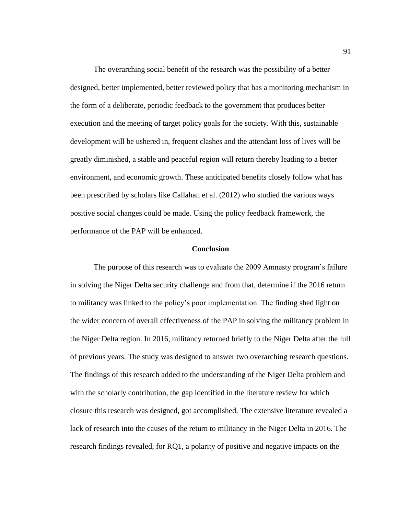The overarching social benefit of the research was the possibility of a better designed, better implemented, better reviewed policy that has a monitoring mechanism in the form of a deliberate, periodic feedback to the government that produces better execution and the meeting of target policy goals for the society. With this, sustainable development will be ushered in, frequent clashes and the attendant loss of lives will be greatly diminished, a stable and peaceful region will return thereby leading to a better environment, and economic growth. These anticipated benefits closely follow what has been prescribed by scholars like Callahan et al. (2012) who studied the various ways positive social changes could be made. Using the policy feedback framework, the performance of the PAP will be enhanced.

### **Conclusion**

The purpose of this research was to evaluate the 2009 Amnesty program's failure in solving the Niger Delta security challenge and from that, determine if the 2016 return to militancy was linked to the policy's poor implementation. The finding shed light on the wider concern of overall effectiveness of the PAP in solving the militancy problem in the Niger Delta region. In 2016, militancy returned briefly to the Niger Delta after the lull of previous years. The study was designed to answer two overarching research questions. The findings of this research added to the understanding of the Niger Delta problem and with the scholarly contribution, the gap identified in the literature review for which closure this research was designed, got accomplished. The extensive literature revealed a lack of research into the causes of the return to militancy in the Niger Delta in 2016. The research findings revealed, for RQ1, a polarity of positive and negative impacts on the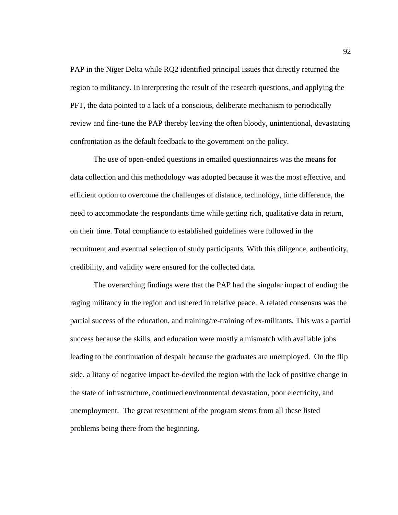PAP in the Niger Delta while RQ2 identified principal issues that directly returned the region to militancy. In interpreting the result of the research questions, and applying the PFT, the data pointed to a lack of a conscious, deliberate mechanism to periodically review and fine-tune the PAP thereby leaving the often bloody, unintentional, devastating confrontation as the default feedback to the government on the policy.

The use of open-ended questions in emailed questionnaires was the means for data collection and this methodology was adopted because it was the most effective, and efficient option to overcome the challenges of distance, technology, time difference, the need to accommodate the respondants time while getting rich, qualitative data in return, on their time. Total compliance to established guidelines were followed in the recruitment and eventual selection of study participants. With this diligence, authenticity, credibility, and validity were ensured for the collected data.

The overarching findings were that the PAP had the singular impact of ending the raging militancy in the region and ushered in relative peace. A related consensus was the partial success of the education, and training/re-training of ex-militants. This was a partial success because the skills, and education were mostly a mismatch with available jobs leading to the continuation of despair because the graduates are unemployed. On the flip side, a litany of negative impact be-deviled the region with the lack of positive change in the state of infrastructure, continued environmental devastation, poor electricity, and unemployment. The great resentment of the program stems from all these listed problems being there from the beginning.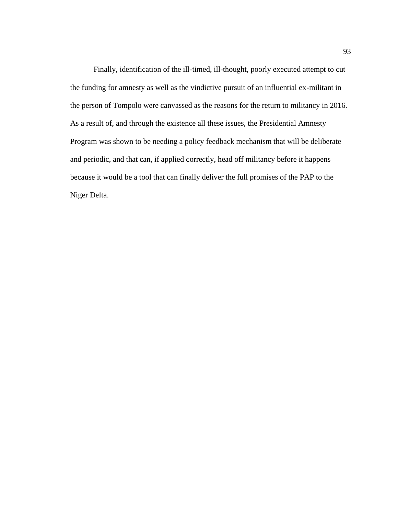Finally, identification of the ill-timed, ill-thought, poorly executed attempt to cut the funding for amnesty as well as the vindictive pursuit of an influential ex-militant in the person of Tompolo were canvassed as the reasons for the return to militancy in 2016. As a result of, and through the existence all these issues, the Presidential Amnesty Program was shown to be needing a policy feedback mechanism that will be deliberate and periodic, and that can, if applied correctly, head off militancy before it happens because it would be a tool that can finally deliver the full promises of the PAP to the Niger Delta.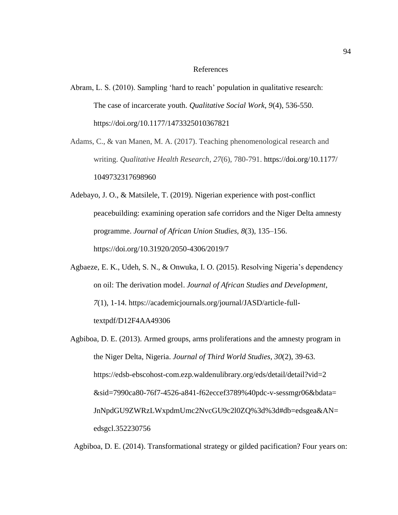#### References

Abram, L. S. (2010). Sampling 'hard to reach' population in qualitative research: The case of incarcerate youth. *Qualitative Social Work, 9*(4), 536-550. https://doi.org/10.1177/1473325010367821

Adams, C., & van Manen, M. A. (2017). Teaching phenomenological research and writing. *Qualitative Health Research*, *27*(6), 780-791. https://doi.org/10.1177/ 1049732317698960

Adebayo, J. O., & Matsilele, T. (2019). Nigerian experience with post-conflict peacebuilding: examining operation safe corridors and the Niger Delta amnesty programme. *Journal of African Union Studies, 8*(3), 135–156. https://doi.org/10.31920/2050-4306/2019/7

Agbaeze, E. K., Udeh, S. N., & Onwuka, I. O. (2015). Resolving Nigeria's dependency on oil: The derivation model. *Journal of African Studies and Development*, *7*(1), 1-14. https://academicjournals.org/journal/JASD/article-fulltextpdf/D12F4AA49306

Agbiboa, D. E. (2013). Armed groups, arms proliferations and the amnesty program in the Niger Delta, Nigeria. *Journal of Third World Studies*, *30*(2), 39-63. https://edsb-ebscohost-com.ezp.waldenulibrary.org/eds/detail/detail?vid=2 &sid=7990ca80-76f7-4526-a841-f62eccef3789%40pdc-v-sessmgr06&bdata= JnNpdGU9ZWRzLWxpdmUmc2NvcGU9c2l0ZQ%3d%3d#db=edsgea&AN= edsgcl.352230756

Agbiboa, D. E. (2014). Transformational strategy or gilded pacification? Four years on: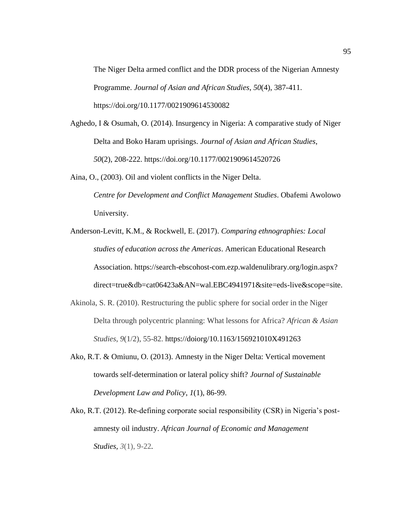The Niger Delta armed conflict and the DDR process of the Nigerian Amnesty Programme. *Journal of Asian and African Studies*, *50*(4), 387-411. https://doi.org/10.1177/0021909614530082

- Aghedo, I & Osumah, O. (2014). Insurgency in Nigeria: A comparative study of Niger Delta and Boko Haram uprisings. *Journal of Asian and African Studies*, *50*(2), 208-222. https://doi.org/10.1177/0021909614520726
- Aina, O., (2003). Oil and violent conflicts in the Niger Delta. *Centre for Development and Conflict Management Studies*. Obafemi Awolowo University.
- Anderson-Levitt, K.M., & Rockwell, E. (2017). *Comparing ethnographies: Local studies of education across the Americas*. American Educational Research Association. https://search-ebscohost-com.ezp.waldenulibrary.org/login.aspx? direct=true&db=cat06423a&AN=wal.EBC4941971&site=eds-live&scope=site.
- Akinola, S. R. (2010). Restructuring the public sphere for social order in the Niger Delta through polycentric planning: What lessons for Africa? *African & Asian Studies*, *9*(1/2), 55-82. https://doiorg/10.1163/156921010X491263
- Ako, R.T. & Omiunu, O. (2013). Amnesty in the Niger Delta: Vertical movement towards self-determination or lateral policy shift? *Journal of Sustainable Development Law and Policy*, *1*(1), 86-99.
- Ako, R.T. (2012). Re-defining corporate social responsibility (CSR) in Nigeria's postamnesty oil industry. *African Journal of Economic and Management Studies, 3*(1), 9-22*.*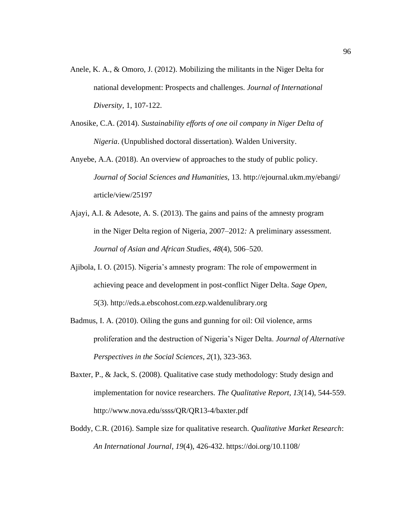- Anele, K. A., & Omoro, J. (2012). Mobilizing the militants in the Niger Delta for national development: Prospects and challenges. *Journal of International Diversity,* 1, 107-122.
- Anosike, C.A. (2014). *Sustainability efforts of one oil company in Niger Delta of Nigeria*. (Unpublished doctoral dissertation). Walden University.
- Anyebe, A.A. (2018). An overview of approaches to the study of public policy. *Journal of Social Sciences and Humanities,* 13. http://ejournal.ukm.my/ebangi/ article/view/25197
- Ajayi, A.I. & Adesote, A. S. (2013). The gains and pains of the amnesty program in the Niger Delta region of Nigeria, 2007–2012*:* A preliminary assessment*. Journal of Asian and African Studies, 48*(4), 506–520.
- Ajibola, I. O. (2015). Nigeria's amnesty program: The role of empowerment in achieving peace and development in post-conflict Niger Delta. *Sage Open*, *5*(3). http://eds.a.ebscohost.com.ezp.waldenulibrary.org
- Badmus, I. A. (2010). Oiling the guns and gunning for oil: Oil violence, arms proliferation and the destruction of Nigeria's Niger Delta. *Journal of Alternative Perspectives in the Social Sciences*, *2*(1), 323-363.
- Baxter, P., & Jack, S. (2008). Qualitative case study methodology: Study design and implementation for novice researchers. *The Qualitative Report, 13*(14), 544-559. http://www.nova.edu/ssss/QR/QR13-4/baxter.pdf
- Boddy, C.R. (2016). Sample size for qualitative research. *Qualitative Market Research*: *An International Journal*, *19*(4), 426-432. https://doi.org/10.1108/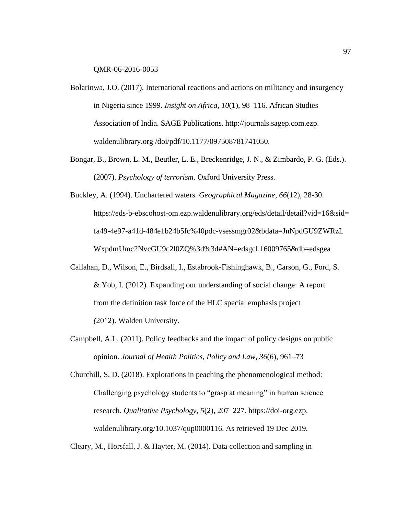QMR-06-2016-0053

- Bolarinwa, J.O. (2017). International reactions and actions on militancy and insurgency in Nigeria since 1999. *Insight on Africa, 10*(1), 98–116. African Studies Association of India. SAGE Publications. http://journals.sagep.com.ezp. waldenulibrary.org /doi/pdf/10.1177/097508781741050.
- Bongar, B., Brown, L. M., Beutler, L. E., Breckenridge, J. N., & Zimbardo, P. G. (Eds.). (2007). *Psychology of terrorism*. Oxford University Press.
- Buckley, A. (1994). Unchartered waters. *Geographical Magazine*, *66*(12), 28-30. https://eds-b-ebscohost-om.ezp.waldenulibrary.org/eds/detail/detail?vid=16&sid= fa49-4e97-a41d-484e1b24b5fc%40pdc-vsessmgr02&bdata=JnNpdGU9ZWRzL WxpdmUmc2NvcGU9c2l0ZQ%3d%3d#AN=edsgcl.16009765&db=edsgea
- Callahan, D., Wilson, E., Birdsall, I., Estabrook-Fishinghawk, B., Carson, G., Ford, S. & Yob, I. (2012)*.* Expanding our understanding of social change: A report from the definition task force of the HLC special emphasis project *(*2012). Walden University.
- Campbell, A.L. (2011). Policy feedbacks and the impact of policy designs on public opinion. *Journal of Health Politics, Policy and Law, 36*(6), 961–73

Churchill, S. D. (2018). Explorations in peaching the phenomenological method: Challenging psychology students to "grasp at meaning" in human science research. *Qualitative Psychology*, *5*(2), 207–227. https://doi-org.ezp. waldenulibrary.org/10.1037/qup0000116. As retrieved 19 Dec 2019.

Cleary, M., Horsfall, J. & Hayter, M. (2014). Data collection and sampling in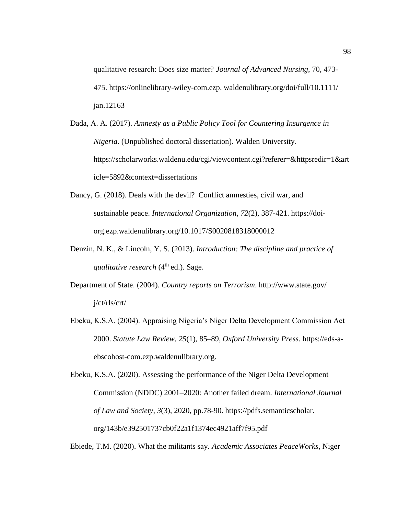qualitative research: Does size matter? *Journal of Advanced Nursing*, 70, 473- 475. https://onlinelibrary-wiley-com.ezp. waldenulibrary.org/doi/full/10.1111/ jan.12163

- Dada, A. A. (2017). *Amnesty as a Public Policy Tool for Countering Insurgence in Nigeria*. (Unpublished doctoral dissertation). Walden University. https://scholarworks.waldenu.edu/cgi/viewcontent.cgi?referer=&httpsredir=1&art icle=5892&context=dissertations
- Dancy, G. (2018). Deals with the devil? Conflict amnesties, civil war, and sustainable peace. *International Organization*, *72*(2), 387-421. https://doiorg.ezp.waldenulibrary.org/10.1017/S0020818318000012
- Denzin, N. K., & Lincoln, Y. S. (2013). *Introduction: The discipline and practice of qualitative research* (4<sup>th</sup> ed.). Sage.
- Department of State. (2004). *Country reports on Terrorism*. http://www.state.gov/ j/ct/rls/crt/
- Ebeku, K.S.A. (2004). Appraising Nigeria's Niger Delta Development Commission Act 2000. *Statute Law Review, 25*(1), 85–89, *Oxford University Press*. https://eds-aebscohost-com.ezp.waldenulibrary.org.

Ebeku, K.S.A. (2020). Assessing the performance of the Niger Delta Development Commission (NDDC) 2001–2020: Another failed dream. *International Journal of Law and Society*, *3*(3), 2020, pp.78-90. https://pdfs.semanticscholar. org/143b/e392501737cb0f22a1f1374ec4921aff7f95.pdf

Ebiede, T.M. (2020). What the militants say. *Academic Associates PeaceWorks*, Niger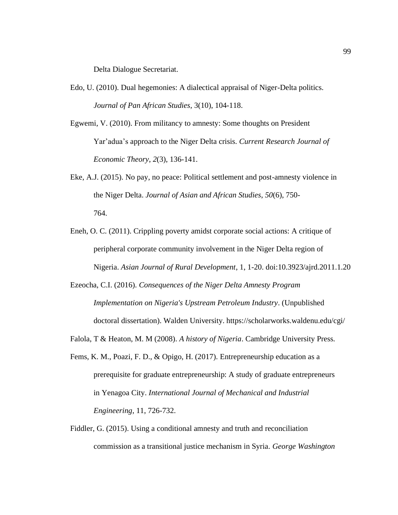Delta Dialogue Secretariat.

- Edo, U. (2010). Dual hegemonies: A dialectical appraisal of Niger-Delta politics. *Journal of Pan African Studies*, 3(10), 104-118.
- Egwemi, V. (2010). From militancy to amnesty: Some thoughts on President Yar'adua's approach to the Niger Delta crisis. *Current Research Journal of Economic Theory*, *2*(3), 136-141.
- Eke, A.J. (2015). No pay, no peace: Political settlement and post-amnesty violence in the Niger Delta. *Journal of Asian and African Studies*, *50*(6), 750- 764.
- Eneh, O. C. (2011). Crippling poverty amidst corporate social actions: A critique of peripheral corporate community involvement in the Niger Delta region of Nigeria. *Asian Journal of Rural Development*, 1, 1-20. doi:10.3923/ajrd.2011.1.20
- Ezeocha, C.I. (2016). *Consequences of the Niger Delta Amnesty Program Implementation on Nigeria's Upstream Petroleum Industry*. (Unpublished doctoral dissertation). Walden University. https://scholarworks.waldenu.edu/cgi/
- Falola, T & Heaton, M. M (2008). *A history of Nigeria*. Cambridge University Press.
- Fems, K. M., Poazi, F. D., & Opigo, H. (2017). Entrepreneurship education as a prerequisite for graduate entrepreneurship: A study of graduate entrepreneurs in Yenagoa City. *International Journal of Mechanical and Industrial Engineering*, 11, 726-732.
- Fiddler, G. (2015). Using a conditional amnesty and truth and reconciliation commission as a transitional justice mechanism in Syria. *George Washington*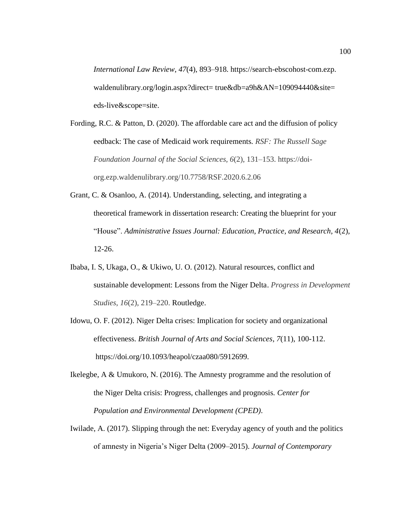*International Law Review*, *47*(4), 893–918. https://search-ebscohost-com.ezp. waldenulibrary.org/login.aspx?direct= true&db=a9h&AN=109094440&site= eds-live&scope=site.

- Fording, R.C. & Patton, D. (2020). The affordable care act and the diffusion of policy eedback: The case of Medicaid work requirements*. RSF: The Russell Sage Foundation Journal of the Social Sciences, 6*(2), 131–153. https://doiorg.ezp.waldenulibrary.org/10.7758/RSF.2020.6.2.06
- Grant, C. & Osanloo, A. (2014). Understanding, selecting, and integrating a theoretical framework in dissertation research: Creating the blueprint for your "House". *Administrative Issues Journal: Education, Practice, and Research, 4*(2), 12-26.
- Ibaba, I. S, Ukaga, O., & Ukiwo, U. O. (2012). Natural resources, conflict and sustainable development: Lessons from the Niger Delta. *Progress in Development Studies*, *16*(2), 219–220. Routledge.
- Idowu, O. F. (2012). Niger Delta crises: Implication for society and organizational effectiveness. *British Journal of Arts and Social Sciences*, *7*(11), 100-112. https://doi.org/10.1093/heapol/czaa080/5912699.
- Ikelegbe, A & Umukoro, N. (2016). The Amnesty programme and the resolution of the Niger Delta crisis: Progress, challenges and prognosis. *Center for Population and Environmental Development (CPED)*.
- Iwilade, A. (2017). Slipping through the net: Everyday agency of youth and the politics of amnesty in Nigeria's Niger Delta (2009–2015). *Journal of Contemporary*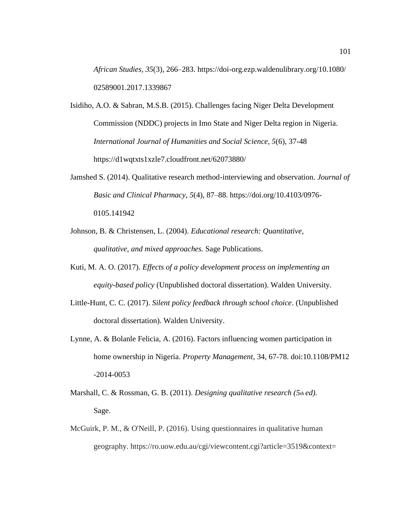*African Studies, 35*(3), 266–283. [https://doi-o](https://doi-/)rg.ezp.waldenulibrary.org/10.1080/ 02589001.2017.1339867

- Isidiho, A.O. & Sabran, M.S.B. (2015). Challenges facing Niger Delta Development Commission (NDDC) projects in Imo State and Niger Delta region in Nigeria. *International Journal of Humanities and Social Science, 5*(6), 37-48 https://d1wqtxts1xzle7.cloudfront.net/62073880/
- Jamshed S. (2014). Qualitative research method-interviewing and observation. *Journal of Basic and Clinical Pharmacy*, *5*(4), 87–88. https://doi.org/10.4103/0976- 0105.141942
- Johnson, B. & Christensen, L. (2004). *Educational research: Quantitative, qualitative, and mixed approaches.* Sage Publications.
- Kuti, M. A. O. (2017). *Effects of a policy development process on implementing an equity-based policy* (Unpublished doctoral dissertation). Walden University.
- Little-Hunt, C. C. (2017). *Silent policy feedback through school choice*. (Unpublished doctoral dissertation). Walden University.
- Lynne, A. & Bolanle Felicia, A. (2016). Factors influencing women participation in home ownership in Nigeria. *Property Management*, 34, 67-78. doi:10.1108/PM12 -2014-0053
- Marshall, C. & Rossman, G. B. (2011). *Designing qualitative research (5th ed).* Sage.
- McGuirk, P. M., & O'Neill, P. (2016). Using questionnaires in qualitative human geography. https://ro.uow.edu.au/cgi/viewcontent.cgi?article=3519&context=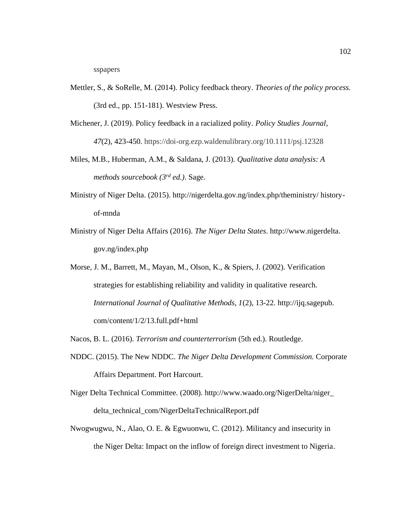- Mettler, S., & SoRelle, M. (2014). Policy feedback theory*. Theories of the policy process.* (3rd ed., pp. 151-181). Westview Press.
- Michener, J. (2019). Policy feedback in a racialized polity. *Policy Studies Journal*, *47*(2), 423-450. https://doi-org.ezp.waldenulibrary.org/10.1111/psj.12328
- Miles, M.B., Huberman, A.M., & Saldana, J. (2013). *Qualitative data analysis: A methods sourcebook (3rd ed.)*. Sage.
- Ministry of Niger Delta. (2015). http://nigerdelta.gov.ng/index.php/theministry/ historyof-mnda
- Ministry of Niger Delta Affairs (2016). *The Niger Delta States*. http://www.nigerdelta. gov.ng/index.php
- Morse, J. M., Barrett, M., Mayan, M., Olson, K., & Spiers, J. (2002). Verification strategies for establishing reliability and validity in qualitative research. *International Journal of Qualitative Methods, 1*(2), 13-22. http://ijq.sagepub. com/content/1/2/13.full.pdf+html
- Nacos, B. L. (2016). *Terrorism and counterterrorism* (5th ed.). Routledge.
- NDDC. (2015). The New NDDC. *The Niger Delta Development Commission.* Corporate Affairs Department. Port Harcourt.
- Niger Delta Technical Committee. (2008). http://www.waado.org/NigerDelta/niger\_ delta\_technical\_com/NigerDeltaTechnicalReport.pdf
- Nwogwugwu, N., Alao, O. E. & Egwuonwu, C. (2012). Militancy and insecurity in the Niger Delta: Impact on the inflow of foreign direct investment to Nigeria.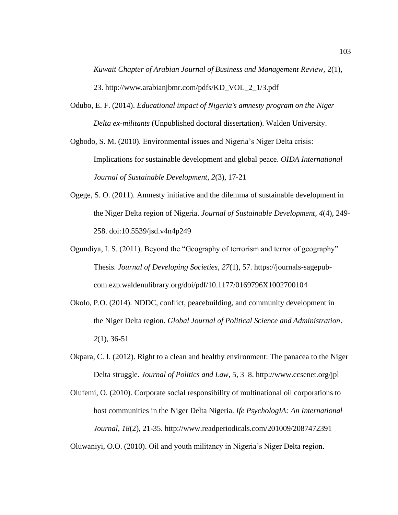*Kuwait Chapter of Arabian Journal of Business and Management Review,* 2(1), 23. http://www.arabianjbmr.com/pdfs/KD\_VOL\_2\_1/3.pdf

Odubo, E. F. (2014). *Educational impact of Nigeria's amnesty program on the Niger Delta ex-militants* (Unpublished doctoral dissertation). Walden University.

Ogbodo, S. M. (2010). Environmental issues and Nigeria's Niger Delta crisis: Implications for sustainable development and global peace. *OIDA International Journal of Sustainable Development*, *2*(3), 17-21

- Ogege, S. O. (2011). Amnesty initiative and the dilemma of sustainable development in the Niger Delta region of Nigeria. *Journal of Sustainable Development*, *4*(4), 249- 258. doi:10.5539/jsd.v4n4p249
- Ogundiya, I. S. (2011). Beyond the "Geography of terrorism and terror of geography" Thesis. *Journal of Developing Societies*, *27*(1), 57. https://journals-sagepubcom.ezp.waldenulibrary.org/doi/pdf/10.1177/0169796X1002700104
- Okolo, P.O. (2014). NDDC, conflict, peacebuilding, and community development in the Niger Delta region. *Global Journal of Political Science and Administration*. *2*(1), 36-51
- Okpara, C. I. (2012). Right to a clean and healthy environment: The panacea to the Niger Delta struggle. *Journal of Politics and Law*, 5, 3–8. http://www.ccsenet.org/jpl
- Olufemi, O. (2010). Corporate social responsibility of multinational oil corporations to host communities in the Niger Delta Nigeria. *Ife PsychologIA: An International Journal*, *18*(2), 21-35. http://www.readperiodicals.com/201009/2087472391

Oluwaniyi, O.O. (2010). Oil and youth militancy in Nigeria's Niger Delta region.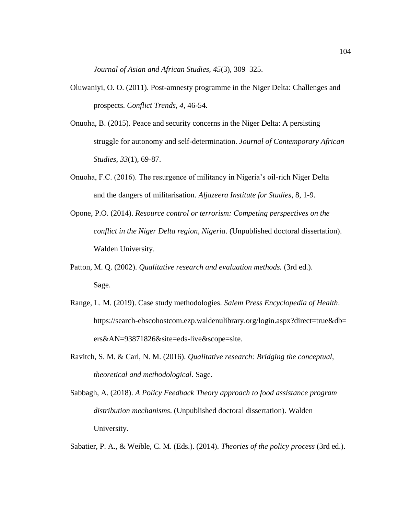*Journal of Asian and African Studies, 45*(3), 309–325.

- Oluwaniyi, O. O. (2011). Post-amnesty programme in the Niger Delta: Challenges and prospects. *Conflict Trends, 4,* 46-54.
- Onuoha, B. (2015). Peace and security concerns in the Niger Delta: A persisting struggle for autonomy and self-determination. *Journal of Contemporary African Studies*, *33*(1), 69-87.
- Onuoha, F.C. (2016). The resurgence of militancy in Nigeria's oil-rich Niger Delta and the dangers of militarisation. *Aljazeera Institute for Studies*, 8, 1-9.
- Opone, P.O. (2014). *Resource control or terrorism: Competing perspectives on the conflict in the Niger Delta region, Nigeria*. (Unpublished doctoral dissertation). Walden University.
- Patton, M. Q. (2002). *Qualitative research and evaluation methods.* (3rd ed.). Sage.
- Range, L. M. (2019). Case study methodologies. *Salem Press Encyclopedia of Health*. https://search-ebscohostcom.ezp.waldenulibrary.org/login.aspx?direct=true&db= ers&AN=93871826&site=eds-live&scope=site.
- Ravitch, S. M. & Carl, N. M. (2016). *Qualitative research: Bridging the conceptual, theoretical and methodological*. Sage.
- Sabbagh, A. (2018). *A Policy Feedback Theory approach to food assistance program distribution mechanisms*. (Unpublished doctoral dissertation). Walden University.

Sabatier, P. A., & Weible, C. M. (Eds.). (2014). *Theories of the policy process* (3rd ed.).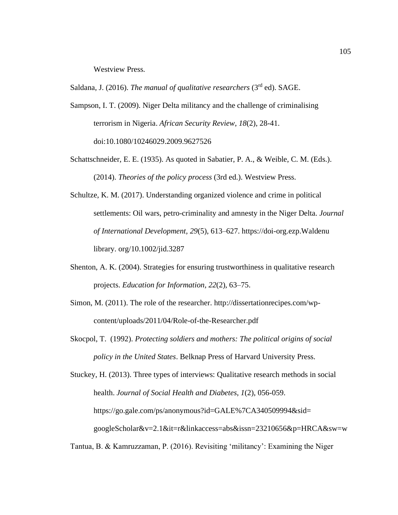Westview Press.

Saldana, J. (2016). *The manual of qualitative researchers* (3rd ed). SAGE.

- Sampson, I. T. (2009). Niger Delta militancy and the challenge of criminalising terrorism in Nigeria. *African Security Review*, *18*(2), 28-41. doi:10.1080/10246029.2009.9627526
- Schattschneider, E. E. (1935). As quoted in Sabatier, P. A., & Weible, C. M. (Eds.). (2014). *Theories of the policy process* (3rd ed.). Westview Press.
- Schultze, K. M. (2017). Understanding organized violence and crime in political settlements: Oil wars, petro-criminality and amnesty in the Niger Delta. *Journal of International Development, 29*(5), 613–627. https://doi-org.ezp.Waldenu library. org/10.1002/jid.3287
- Shenton, A. K. (2004). Strategies for ensuring trustworthiness in qualitative research projects. *Education for Information, 22*(2), 63–75.
- Simon, M. (2011). The role of the researcher. http://dissertationrecipes.com/wpcontent/uploads/2011/04/Role-of-the-Researcher.pdf
- Skocpol, T. (1992). *Protecting soldiers and mothers: The political origins of social policy in the United States*. Belknap Press of Harvard University Press.

Stuckey, H. (2013). Three types of interviews: Qualitative research methods in social health. *Journal of Social Health and Diabetes*, *1*(2), 056-059. https://go.gale.com/ps/anonymous?id=GALE%7CA340509994&sid= googleScholar&v=2.1&it=r&linkaccess=abs&issn=23210656&p=HRCA&sw=w

Tantua, B. & Kamruzzaman, P. (2016). Revisiting 'militancy': Examining the Niger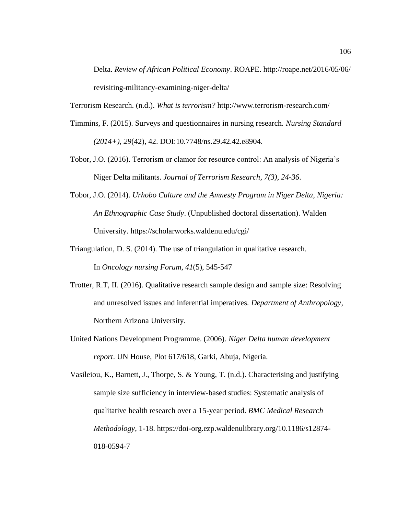Delta. *Review of African Political Economy*. ROAPE. http://roape.net/2016/05/06/ revisiting-militancy-examining-niger-delta/

Terrorism Research. (n.d.). *What is terrorism?* http://www.terrorism-research.com/

- Timmins, F. (2015). Surveys and questionnaires in nursing research. *Nursing Standard (2014+)*, *29*(42), 42. DOI:10.7748/ns.29.42.42.e8904.
- Tobor, J.O. (2016). Terrorism or clamor for resource control: An analysis of Nigeria's Niger Delta militants. *Journal of Terrorism Research, 7(3), 24-36*.
- Tobor, J.O. (2014). *Urhobo Culture and the Amnesty Program in Niger Delta, Nigeria: An Ethnographic Case Study*. (Unpublished doctoral dissertation). Walden University. https://scholarworks.waldenu.edu/cgi/
- Triangulation, D. S. (2014). The use of triangulation in qualitative research. In *Oncology nursing Forum*, *41*(5), 545-547
- Trotter, R.T, II. (2016). Qualitative research sample design and sample size: Resolving and unresolved issues and inferential imperatives. *Department of Anthropology*, Northern Arizona University.
- United Nations Development Programme. (2006). *Niger Delta human development report*. UN House, Plot 617/618, Garki, Abuja, Nigeria.

Vasileiou, K., Barnett, J., Thorpe, S. & Young, T. (n.d.). Characterising and justifying sample size sufficiency in interview-based studies: Systematic analysis of qualitative health research over a 15-year period. *BMC Medical Research Methodology*, 1-18. https://doi-org.ezp.waldenulibrary.org/10.1186/s12874- 018-0594-7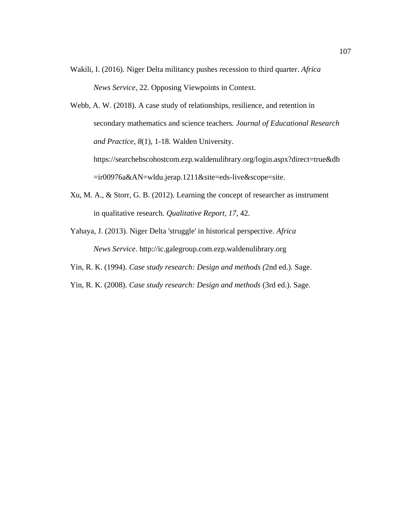- Wakili, I. (2016). Niger Delta militancy pushes recession to third quarter. *Africa News Service*, 22. Opposing Viewpoints in Context.
- Webb, A. W. (2018). A case study of relationships, resilience, and retention in secondary mathematics and science teachers. *Journal of Educational Research and Practice*, *8*(1), 1-18. Walden University.

https://searchebscohostcom.ezp.waldenulibrary.org/login.aspx?direct=true&db =ir00976a&AN=wldu.jerap.1211&site=eds-live&scope=site.

- Xu, M. A., & Storr, G. B. (2012). Learning the concept of researcher as instrument in qualitative research. *Qualitative Report*, *17*, 42.
- Yahaya, J. (2013). Niger Delta 'struggle' in historical perspective*. Africa News Service*. http://ic.galegroup.com.ezp.waldenulibrary.org
- Yin, R. K. (1994). *Case study research: Design and methods (*2nd ed.). Sage.
- Yin, R. K. (2008). *Case study research: Design and methods* (3rd ed.). Sage.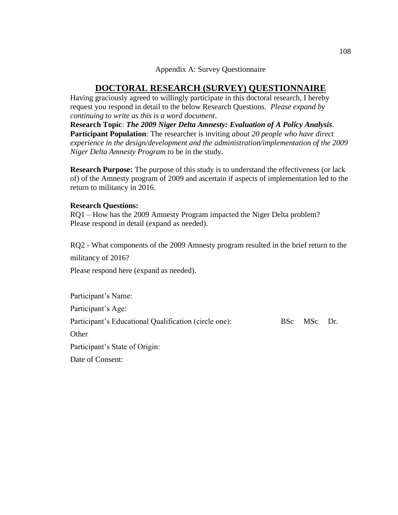## Appendix A: Survey Questionnaire

## **DOCTORAL RESEARCH (SURVEY) QUESTIONNAIRE**

Having graciously agreed to willingly participate in this doctoral research, I hereby request you respond in detail to the below Research Questions. *Please expand by continuing to write as this is a word document*.

**Research Topic**: *The 2009 Niger Delta Amnesty: Evaluation of A Policy Analysis*. **Participant Population**: The researcher is inviting *about 20 people who have direct experience in the design/development and the administration/implementation of the 2009 Niger Delta Amnesty Program t*o be in the study.

**Research Purpose:** The purpose of this study is to understand the effectiveness (or lack of) of the Amnesty program of 2009 and ascertain if aspects of implementation led to the return to militancy in 2016.

## **Research Questions:**

RQ1 – How has the 2009 Amnesty Program impacted the Niger Delta problem? Please respond in detail (expand as needed).

RQ2 - What components of the 2009 Amnesty program resulted in the brief return to the militancy of 2016?

Please respond here (expand as needed).

Participant's Name: Participant's Age: Participant's Educational Qualification (circle one): BSc MSc Dr. **Other** Participant's State of Origin: Date of Consent: